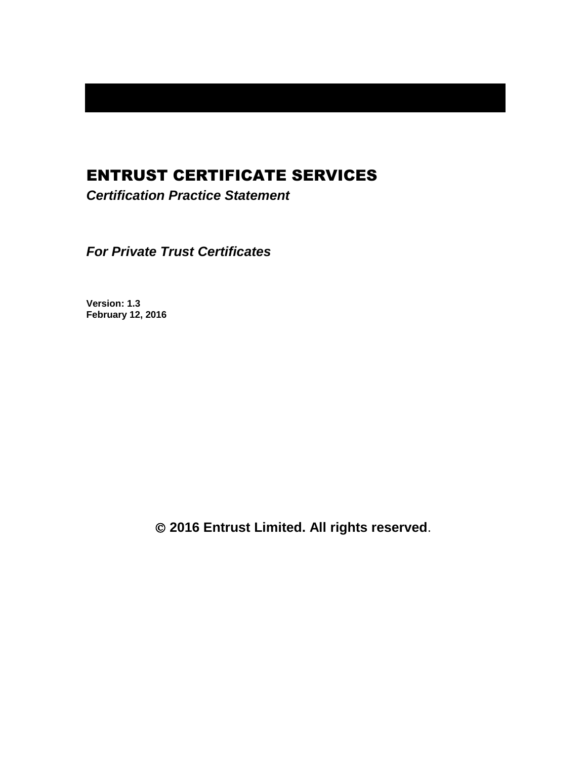# ENTRUST CERTIFICATE SERVICES

*Certification Practice Statement*

*For Private Trust Certificates*

**Version: 1.3 February 12, 2016**

**2016 Entrust Limited. All rights reserved**.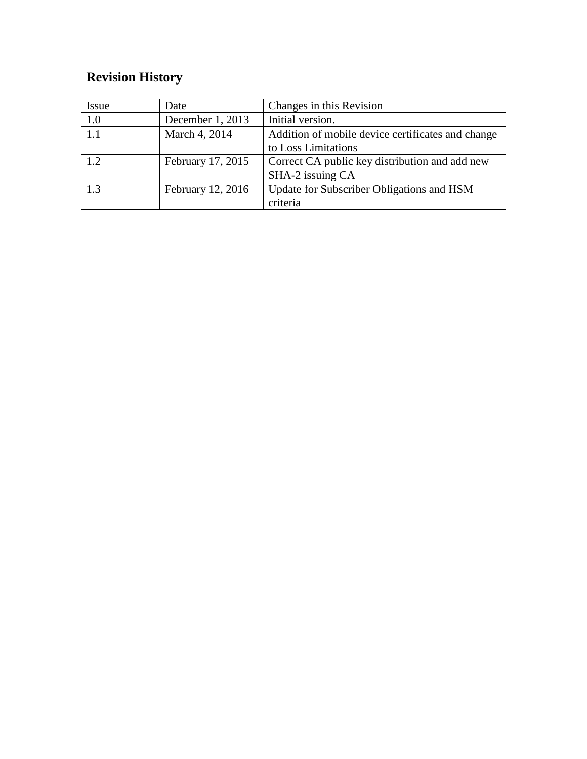# **Revision History**

| <b>Issue</b> | Date              | Changes in this Revision                          |
|--------------|-------------------|---------------------------------------------------|
| 1.0          | December 1, 2013  | Initial version.                                  |
| 1.1          | March 4, 2014     | Addition of mobile device certificates and change |
|              |                   | to Loss Limitations                               |
| 1.2          | February 17, 2015 | Correct CA public key distribution and add new    |
|              |                   | SHA-2 issuing CA                                  |
| 1.3          | February 12, 2016 | Update for Subscriber Obligations and HSM         |
|              |                   | criteria                                          |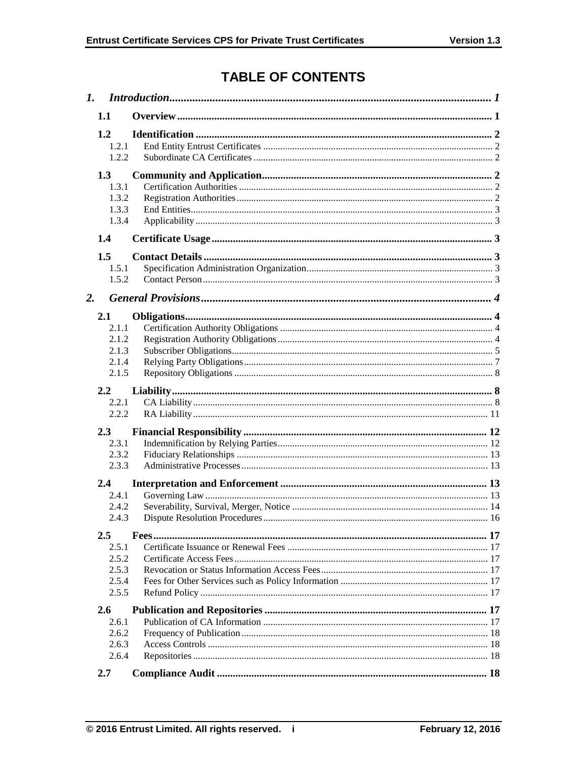# **TABLE OF CONTENTS**

| 1. |                                                  |  |
|----|--------------------------------------------------|--|
|    | 1.1                                              |  |
|    | 1.2<br>1.2.1<br>1.2.2                            |  |
|    | 1.3<br>1.3.1<br>1.3.2<br>1.3.3<br>1.3.4          |  |
|    | 1.4                                              |  |
|    | 1.5<br>1.5.1<br>1.5.2                            |  |
| 2. |                                                  |  |
|    | 2.1<br>2.1.1<br>2.1.2<br>2.1.3<br>2.1.4<br>2.1.5 |  |
|    | 2.2<br>2.2.1<br>2.2.2                            |  |
|    | 2.3<br>2.3.1<br>2.3.2<br>2.3.3                   |  |
|    | 2.4                                              |  |
|    | 2.4.1<br>2.4.2<br>2.4.3                          |  |
|    | $2.5\,$                                          |  |
|    | 2.5.1<br>2.5.2<br>2.5.3<br>2.5.4<br>2.5.5        |  |
|    | 2.6                                              |  |
|    | 2.6.1<br>2.6.2<br>2.6.3                          |  |
|    | 2.6.4<br>2.7                                     |  |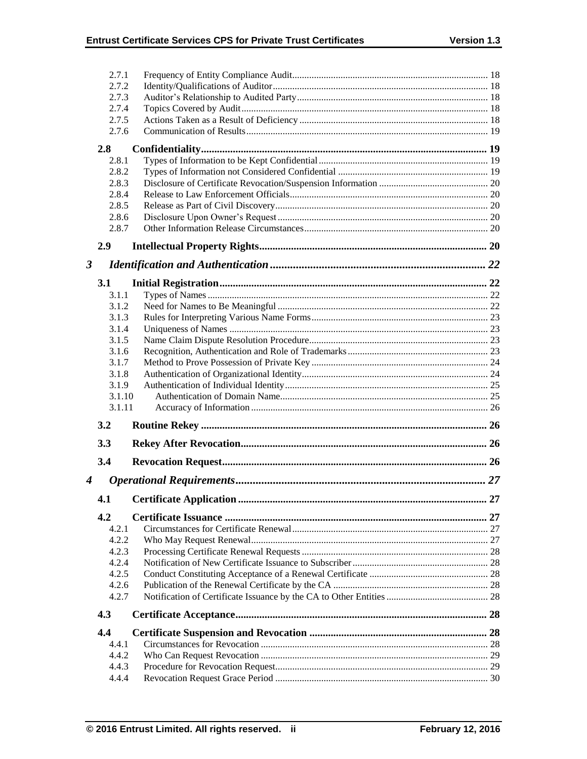|                      | 2.7.1          |  |
|----------------------|----------------|--|
|                      | 2.7.2          |  |
|                      | 2.7.3          |  |
|                      | 2.7.4          |  |
|                      | 2.7.5          |  |
|                      | 2.7.6          |  |
|                      | 2.8            |  |
|                      | 2.8.1          |  |
|                      | 2.8.2          |  |
|                      | 2.8.3          |  |
|                      | 2.8.4          |  |
|                      | 2.8.5          |  |
|                      | 2.8.6          |  |
|                      | 2.8.7          |  |
|                      | 2.9            |  |
| $\boldsymbol{\beta}$ |                |  |
|                      | <b>3.1</b>     |  |
|                      | 3.1.1          |  |
|                      | 3.1.2          |  |
|                      | 3.1.3          |  |
|                      | 3.1.4          |  |
|                      | 3.1.5          |  |
|                      | 3.1.6          |  |
|                      | 3.1.7          |  |
|                      | 3.1.8<br>3.1.9 |  |
|                      |                |  |
|                      |                |  |
|                      | 3.1.10         |  |
|                      | 3.1.11         |  |
|                      | 3.2            |  |
|                      | 3.3            |  |
|                      | 3.4            |  |
| 4                    |                |  |
|                      |                |  |
|                      | 4.2            |  |
|                      | 4.2.1          |  |
|                      | 4.2.2          |  |
|                      | 4.2.3          |  |
|                      | 4.2.4          |  |
|                      | 4.2.5          |  |
|                      | 4.2.6          |  |
|                      | 4.2.7          |  |
|                      | 4.3            |  |
|                      | 4.4            |  |
|                      | 4.4.1          |  |
|                      | 4.4.2          |  |
|                      | 4.4.3<br>4.4.4 |  |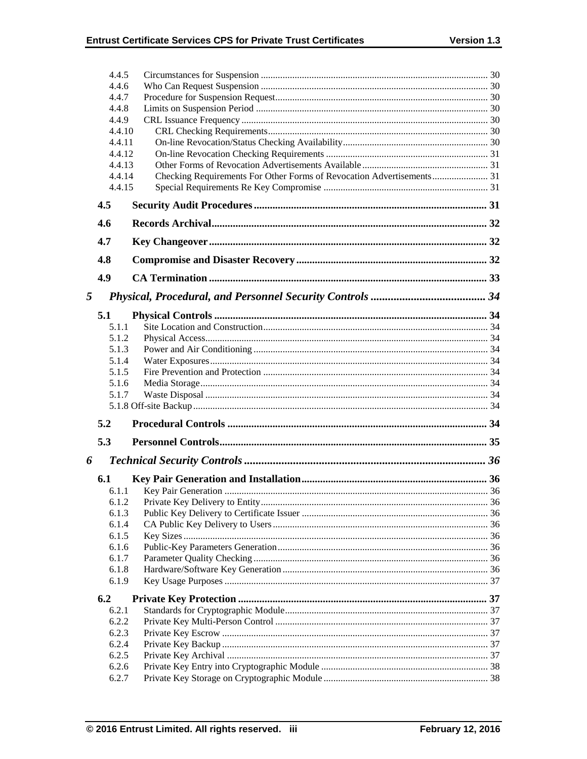|       | 4.4.5            |                                                                       |  |
|-------|------------------|-----------------------------------------------------------------------|--|
|       | 4.4.6            |                                                                       |  |
|       | 4.4.7            |                                                                       |  |
| 4.4.8 |                  |                                                                       |  |
|       | 4.4.9            |                                                                       |  |
|       | 4.4.10           |                                                                       |  |
|       | 4.4.11           |                                                                       |  |
|       | 4.4.12<br>4.4.13 |                                                                       |  |
|       | 4.4.14           | Checking Requirements For Other Forms of Revocation Advertisements 31 |  |
|       | 4.4.15           |                                                                       |  |
|       | 4.5              |                                                                       |  |
|       | 4.6              |                                                                       |  |
|       | 4.7              |                                                                       |  |
|       | 4.8              |                                                                       |  |
|       | 4.9              |                                                                       |  |
|       |                  |                                                                       |  |
| 5     |                  |                                                                       |  |
|       | 5.1              |                                                                       |  |
|       | 5.1.1            |                                                                       |  |
|       | 5.1.2            |                                                                       |  |
|       | 5.1.3            |                                                                       |  |
|       | 5.1.4<br>5.1.5   |                                                                       |  |
|       | 5.1.6            |                                                                       |  |
|       | 5.1.7            |                                                                       |  |
|       |                  |                                                                       |  |
|       | 5.2              |                                                                       |  |
|       | 5.3              |                                                                       |  |
| 6     |                  |                                                                       |  |
|       |                  |                                                                       |  |
|       | 6.1              |                                                                       |  |
|       | 6.1.1<br>6.1.2   |                                                                       |  |
|       | 6.1.3            |                                                                       |  |
|       | 6.1.4            |                                                                       |  |
|       | 6.1.5            |                                                                       |  |
|       | 6.1.6            |                                                                       |  |
|       | 6.1.7            |                                                                       |  |
|       | 6.1.8            |                                                                       |  |
|       | 6.1.9            |                                                                       |  |
|       | 6.2              |                                                                       |  |
|       | 6.2.1            |                                                                       |  |
|       |                  |                                                                       |  |
|       | 6.2.2            |                                                                       |  |
|       | 6.2.3            |                                                                       |  |
|       | 6.2.4            |                                                                       |  |
|       | 6.2.5            |                                                                       |  |
|       | 6.2.6<br>6.2.7   |                                                                       |  |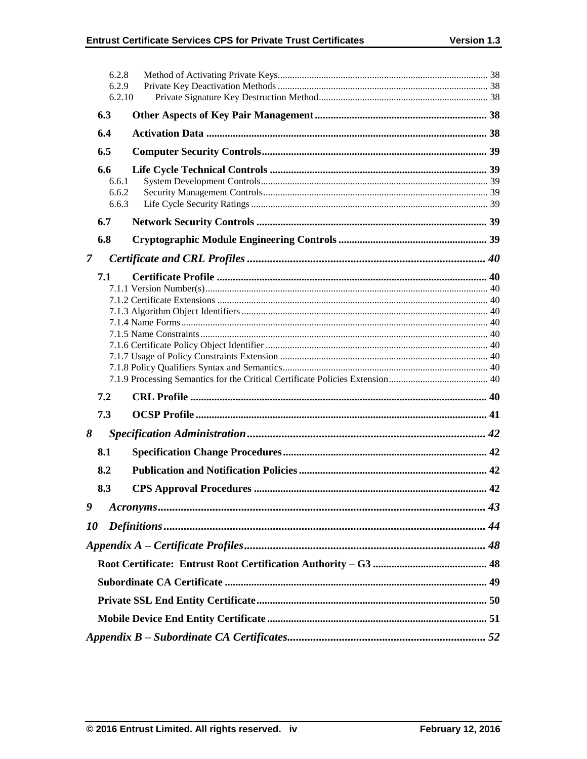|                | 6.2.8          |  |
|----------------|----------------|--|
|                | 6.2.9          |  |
|                | 6.2.10         |  |
|                | 6.3            |  |
|                | 6.4            |  |
|                | 6.5            |  |
|                |                |  |
|                | 6.6            |  |
|                | 6.6.1          |  |
|                | 6.6.2<br>6.6.3 |  |
|                | 6.7            |  |
|                | 6.8            |  |
|                |                |  |
| $\overline{7}$ |                |  |
|                | 7.1            |  |
|                |                |  |
|                |                |  |
|                |                |  |
|                |                |  |
|                |                |  |
|                |                |  |
|                |                |  |
|                |                |  |
|                | 7.2            |  |
|                | 7.3            |  |
| 8              |                |  |
|                | 8.1            |  |
|                | 8.2            |  |
|                | 8.3            |  |
| 9              |                |  |
| 10             |                |  |
|                |                |  |
|                |                |  |
|                |                |  |
|                |                |  |
|                |                |  |
|                |                |  |
|                |                |  |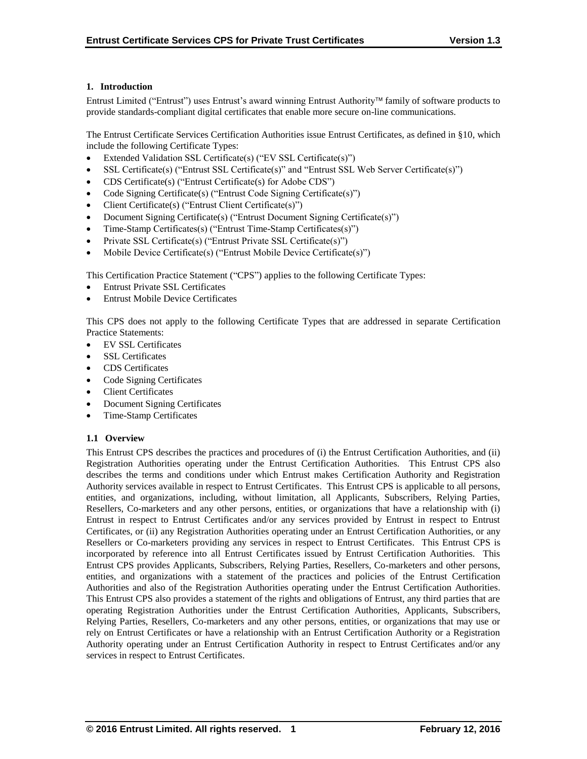# **1. Introduction**

Entrust Limited ("Entrust") uses Entrust's award winning Entrust Authority family of software products to provide standards-compliant digital certificates that enable more secure on-line communications.

The Entrust Certificate Services Certification Authorities issue Entrust Certificates, as defined in §10, which include the following Certificate Types:

- Extended Validation SSL Certificate(s) ("EV SSL Certificate(s)")
- SSL Certificate(s) ("Entrust SSL Certificate(s)" and "Entrust SSL Web Server Certificate(s)")
- CDS Certificate(s) ("Entrust Certificate(s) for Adobe CDS")
- Code Signing Certificate(s) ("Entrust Code Signing Certificate(s)")
- Client Certificate(s) ("Entrust Client Certificate(s)")
- Document Signing Certificate(s) ("Entrust Document Signing Certificate(s)")
- Time-Stamp Certificates(s) ("Entrust Time-Stamp Certificates(s)")
- Private SSL Certificate(s) ("Entrust Private SSL Certificate(s)")
- Mobile Device Certificate(s) ("Entrust Mobile Device Certificate(s)")

This Certification Practice Statement ("CPS") applies to the following Certificate Types:

- Entrust Private SSL Certificates
- Entrust Mobile Device Certificates

This CPS does not apply to the following Certificate Types that are addressed in separate Certification Practice Statements:

- EV SSL Certificates
- SSL Certificates
- CDS Certificates
- Code Signing Certificates
- Client Certificates
- Document Signing Certificates
- Time-Stamp Certificates

## **1.1 Overview**

This Entrust CPS describes the practices and procedures of (i) the Entrust Certification Authorities, and (ii) Registration Authorities operating under the Entrust Certification Authorities. This Entrust CPS also describes the terms and conditions under which Entrust makes Certification Authority and Registration Authority services available in respect to Entrust Certificates. This Entrust CPS is applicable to all persons, entities, and organizations, including, without limitation, all Applicants, Subscribers, Relying Parties, Resellers, Co-marketers and any other persons, entities, or organizations that have a relationship with (i) Entrust in respect to Entrust Certificates and/or any services provided by Entrust in respect to Entrust Certificates, or (ii) any Registration Authorities operating under an Entrust Certification Authorities, or any Resellers or Co-marketers providing any services in respect to Entrust Certificates. This Entrust CPS is incorporated by reference into all Entrust Certificates issued by Entrust Certification Authorities. This Entrust CPS provides Applicants, Subscribers, Relying Parties, Resellers, Co-marketers and other persons, entities, and organizations with a statement of the practices and policies of the Entrust Certification Authorities and also of the Registration Authorities operating under the Entrust Certification Authorities. This Entrust CPS also provides a statement of the rights and obligations of Entrust, any third parties that are operating Registration Authorities under the Entrust Certification Authorities, Applicants, Subscribers, Relying Parties, Resellers, Co-marketers and any other persons, entities, or organizations that may use or rely on Entrust Certificates or have a relationship with an Entrust Certification Authority or a Registration Authority operating under an Entrust Certification Authority in respect to Entrust Certificates and/or any services in respect to Entrust Certificates.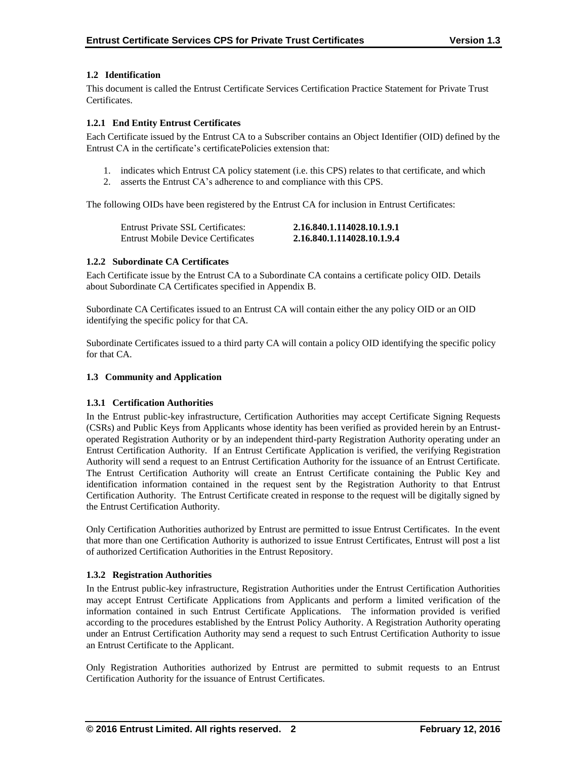# **1.2 Identification**

This document is called the Entrust Certificate Services Certification Practice Statement for Private Trust Certificates.

# **1.2.1 End Entity Entrust Certificates**

Each Certificate issued by the Entrust CA to a Subscriber contains an Object Identifier (OID) defined by the Entrust CA in the certificate's certificatePolicies extension that:

- 1. indicates which Entrust CA policy statement (i.e. this CPS) relates to that certificate, and which
- 2. asserts the Entrust CA's adherence to and compliance with this CPS.

The following OIDs have been registered by the Entrust CA for inclusion in Entrust Certificates:

| Entrust Private SSL Certificates:         | 2.16.840.1.114028.10.1.9.1 |
|-------------------------------------------|----------------------------|
| <b>Entrust Mobile Device Certificates</b> | 2.16.840.1.114028.10.1.9.4 |

## **1.2.2 Subordinate CA Certificates**

Each Certificate issue by the Entrust CA to a Subordinate CA contains a certificate policy OID. Details about Subordinate CA Certificates specified in Appendix B.

Subordinate CA Certificates issued to an Entrust CA will contain either the any policy OID or an OID identifying the specific policy for that CA.

Subordinate Certificates issued to a third party CA will contain a policy OID identifying the specific policy for that CA.

## **1.3 Community and Application**

## **1.3.1 Certification Authorities**

In the Entrust public-key infrastructure, Certification Authorities may accept Certificate Signing Requests (CSRs) and Public Keys from Applicants whose identity has been verified as provided herein by an Entrustoperated Registration Authority or by an independent third-party Registration Authority operating under an Entrust Certification Authority. If an Entrust Certificate Application is verified, the verifying Registration Authority will send a request to an Entrust Certification Authority for the issuance of an Entrust Certificate. The Entrust Certification Authority will create an Entrust Certificate containing the Public Key and identification information contained in the request sent by the Registration Authority to that Entrust Certification Authority. The Entrust Certificate created in response to the request will be digitally signed by the Entrust Certification Authority.

Only Certification Authorities authorized by Entrust are permitted to issue Entrust Certificates. In the event that more than one Certification Authority is authorized to issue Entrust Certificates, Entrust will post a list of authorized Certification Authorities in the Entrust Repository.

# **1.3.2 Registration Authorities**

In the Entrust public-key infrastructure, Registration Authorities under the Entrust Certification Authorities may accept Entrust Certificate Applications from Applicants and perform a limited verification of the information contained in such Entrust Certificate Applications. The information provided is verified according to the procedures established by the Entrust Policy Authority. A Registration Authority operating under an Entrust Certification Authority may send a request to such Entrust Certification Authority to issue an Entrust Certificate to the Applicant.

Only Registration Authorities authorized by Entrust are permitted to submit requests to an Entrust Certification Authority for the issuance of Entrust Certificates.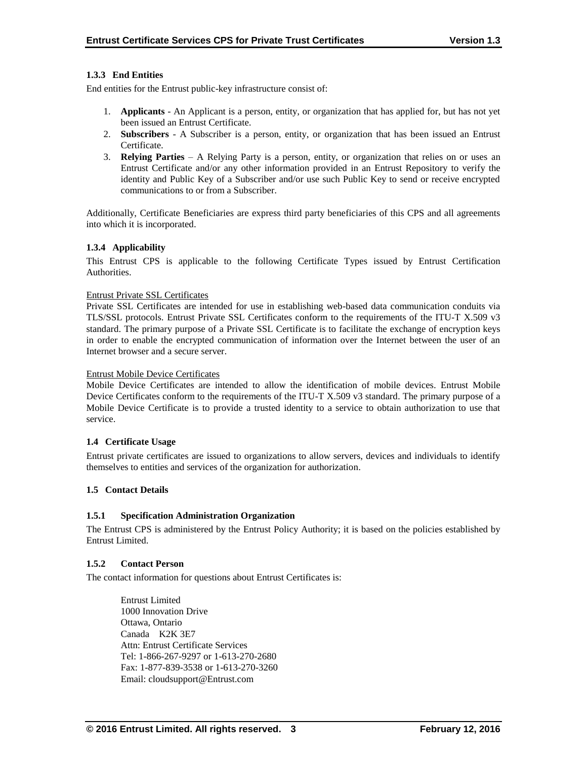# **1.3.3 End Entities**

End entities for the Entrust public-key infrastructure consist of:

- 1. **Applicants** An Applicant is a person, entity, or organization that has applied for, but has not yet been issued an Entrust Certificate.
- 2. **Subscribers**  A Subscriber is a person, entity, or organization that has been issued an Entrust Certificate.
- 3. **Relying Parties**  A Relying Party is a person, entity, or organization that relies on or uses an Entrust Certificate and/or any other information provided in an Entrust Repository to verify the identity and Public Key of a Subscriber and/or use such Public Key to send or receive encrypted communications to or from a Subscriber.

Additionally, Certificate Beneficiaries are express third party beneficiaries of this CPS and all agreements into which it is incorporated.

## **1.3.4 Applicability**

This Entrust CPS is applicable to the following Certificate Types issued by Entrust Certification Authorities.

#### Entrust Private SSL Certificates

Private SSL Certificates are intended for use in establishing web-based data communication conduits via TLS/SSL protocols. Entrust Private SSL Certificates conform to the requirements of the ITU-T X.509 v3 standard. The primary purpose of a Private SSL Certificate is to facilitate the exchange of encryption keys in order to enable the encrypted communication of information over the Internet between the user of an Internet browser and a secure server.

#### Entrust Mobile Device Certificates

Mobile Device Certificates are intended to allow the identification of mobile devices. Entrust Mobile Device Certificates conform to the requirements of the ITU-T X.509 v3 standard. The primary purpose of a Mobile Device Certificate is to provide a trusted identity to a service to obtain authorization to use that service.

## **1.4 Certificate Usage**

Entrust private certificates are issued to organizations to allow servers, devices and individuals to identify themselves to entities and services of the organization for authorization.

## **1.5 Contact Details**

## **1.5.1 Specification Administration Organization**

The Entrust CPS is administered by the Entrust Policy Authority; it is based on the policies established by Entrust Limited.

## **1.5.2 Contact Person**

The contact information for questions about Entrust Certificates is:

Entrust Limited 1000 Innovation Drive Ottawa, Ontario Canada K2K 3E7 Attn: Entrust Certificate Services Tel: 1-866-267-9297 or 1-613-270-2680 Fax: 1-877-839-3538 or 1-613-270-3260 Email: cloudsupport@Entrust.com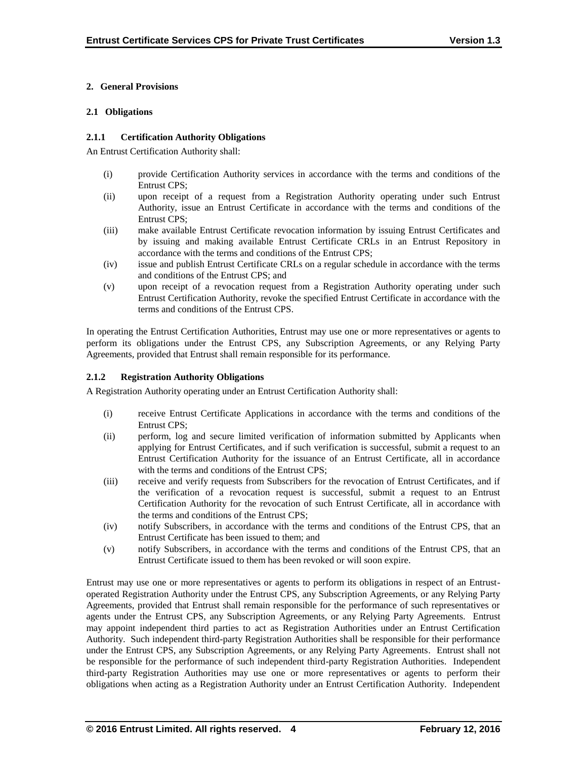# **2. General Provisions**

## **2.1 Obligations**

## **2.1.1 Certification Authority Obligations**

An Entrust Certification Authority shall:

- (i) provide Certification Authority services in accordance with the terms and conditions of the Entrust CPS;
- (ii) upon receipt of a request from a Registration Authority operating under such Entrust Authority, issue an Entrust Certificate in accordance with the terms and conditions of the Entrust CPS;
- (iii) make available Entrust Certificate revocation information by issuing Entrust Certificates and by issuing and making available Entrust Certificate CRLs in an Entrust Repository in accordance with the terms and conditions of the Entrust CPS;
- (iv) issue and publish Entrust Certificate CRLs on a regular schedule in accordance with the terms and conditions of the Entrust CPS; and
- (v) upon receipt of a revocation request from a Registration Authority operating under such Entrust Certification Authority, revoke the specified Entrust Certificate in accordance with the terms and conditions of the Entrust CPS.

In operating the Entrust Certification Authorities, Entrust may use one or more representatives or agents to perform its obligations under the Entrust CPS, any Subscription Agreements, or any Relying Party Agreements, provided that Entrust shall remain responsible for its performance.

# **2.1.2 Registration Authority Obligations**

A Registration Authority operating under an Entrust Certification Authority shall:

- (i) receive Entrust Certificate Applications in accordance with the terms and conditions of the Entrust CPS;
- (ii) perform, log and secure limited verification of information submitted by Applicants when applying for Entrust Certificates, and if such verification is successful, submit a request to an Entrust Certification Authority for the issuance of an Entrust Certificate, all in accordance with the terms and conditions of the Entrust CPS;
- (iii) receive and verify requests from Subscribers for the revocation of Entrust Certificates, and if the verification of a revocation request is successful, submit a request to an Entrust Certification Authority for the revocation of such Entrust Certificate, all in accordance with the terms and conditions of the Entrust CPS;
- (iv) notify Subscribers, in accordance with the terms and conditions of the Entrust CPS, that an Entrust Certificate has been issued to them; and
- (v) notify Subscribers, in accordance with the terms and conditions of the Entrust CPS, that an Entrust Certificate issued to them has been revoked or will soon expire.

Entrust may use one or more representatives or agents to perform its obligations in respect of an Entrustoperated Registration Authority under the Entrust CPS, any Subscription Agreements, or any Relying Party Agreements, provided that Entrust shall remain responsible for the performance of such representatives or agents under the Entrust CPS, any Subscription Agreements, or any Relying Party Agreements. Entrust may appoint independent third parties to act as Registration Authorities under an Entrust Certification Authority. Such independent third-party Registration Authorities shall be responsible for their performance under the Entrust CPS, any Subscription Agreements, or any Relying Party Agreements. Entrust shall not be responsible for the performance of such independent third-party Registration Authorities. Independent third-party Registration Authorities may use one or more representatives or agents to perform their obligations when acting as a Registration Authority under an Entrust Certification Authority. Independent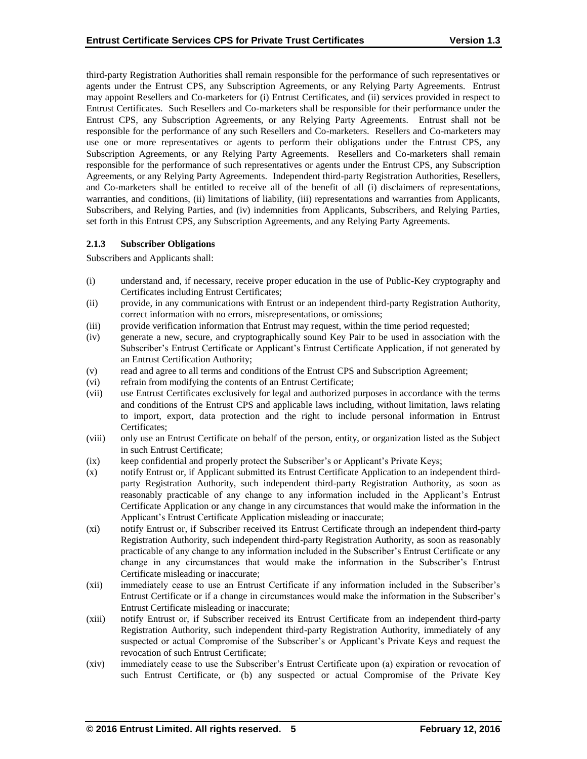third-party Registration Authorities shall remain responsible for the performance of such representatives or agents under the Entrust CPS, any Subscription Agreements, or any Relying Party Agreements. Entrust may appoint Resellers and Co-marketers for (i) Entrust Certificates, and (ii) services provided in respect to Entrust Certificates. Such Resellers and Co-marketers shall be responsible for their performance under the Entrust CPS, any Subscription Agreements, or any Relying Party Agreements. Entrust shall not be responsible for the performance of any such Resellers and Co-marketers. Resellers and Co-marketers may use one or more representatives or agents to perform their obligations under the Entrust CPS, any Subscription Agreements, or any Relying Party Agreements. Resellers and Co-marketers shall remain responsible for the performance of such representatives or agents under the Entrust CPS, any Subscription Agreements, or any Relying Party Agreements. Independent third-party Registration Authorities, Resellers, and Co-marketers shall be entitled to receive all of the benefit of all (i) disclaimers of representations, warranties, and conditions, (ii) limitations of liability, (iii) representations and warranties from Applicants, Subscribers, and Relying Parties, and (iv) indemnities from Applicants, Subscribers, and Relying Parties, set forth in this Entrust CPS, any Subscription Agreements, and any Relying Party Agreements.

## **2.1.3 Subscriber Obligations**

Subscribers and Applicants shall:

- (i) understand and, if necessary, receive proper education in the use of Public-Key cryptography and Certificates including Entrust Certificates;
- (ii) provide, in any communications with Entrust or an independent third-party Registration Authority, correct information with no errors, misrepresentations, or omissions;
- (iii) provide verification information that Entrust may request, within the time period requested;
- (iv) generate a new, secure, and cryptographically sound Key Pair to be used in association with the Subscriber's Entrust Certificate or Applicant's Entrust Certificate Application, if not generated by an Entrust Certification Authority;
- (v) read and agree to all terms and conditions of the Entrust CPS and Subscription Agreement;
- (vi) refrain from modifying the contents of an Entrust Certificate;
- (vii) use Entrust Certificates exclusively for legal and authorized purposes in accordance with the terms and conditions of the Entrust CPS and applicable laws including, without limitation, laws relating to import, export, data protection and the right to include personal information in Entrust Certificates;
- (viii) only use an Entrust Certificate on behalf of the person, entity, or organization listed as the Subject in such Entrust Certificate;
- (ix) keep confidential and properly protect the Subscriber's or Applicant's Private Keys;
- (x) notify Entrust or, if Applicant submitted its Entrust Certificate Application to an independent thirdparty Registration Authority, such independent third-party Registration Authority, as soon as reasonably practicable of any change to any information included in the Applicant's Entrust Certificate Application or any change in any circumstances that would make the information in the Applicant's Entrust Certificate Application misleading or inaccurate;
- (xi) notify Entrust or, if Subscriber received its Entrust Certificate through an independent third-party Registration Authority, such independent third-party Registration Authority, as soon as reasonably practicable of any change to any information included in the Subscriber's Entrust Certificate or any change in any circumstances that would make the information in the Subscriber's Entrust Certificate misleading or inaccurate;
- (xii) immediately cease to use an Entrust Certificate if any information included in the Subscriber's Entrust Certificate or if a change in circumstances would make the information in the Subscriber's Entrust Certificate misleading or inaccurate;
- (xiii) notify Entrust or, if Subscriber received its Entrust Certificate from an independent third-party Registration Authority, such independent third-party Registration Authority, immediately of any suspected or actual Compromise of the Subscriber's or Applicant's Private Keys and request the revocation of such Entrust Certificate;
- (xiv) immediately cease to use the Subscriber's Entrust Certificate upon (a) expiration or revocation of such Entrust Certificate, or (b) any suspected or actual Compromise of the Private Key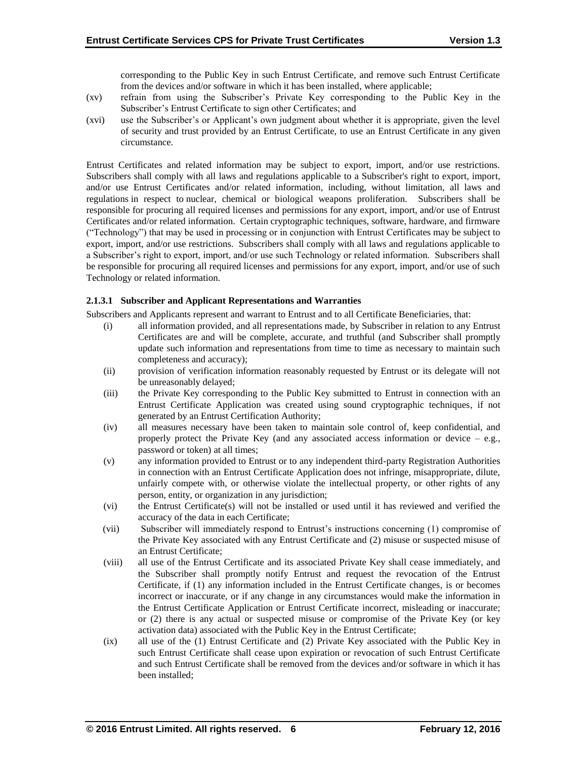corresponding to the Public Key in such Entrust Certificate, and remove such Entrust Certificate from the devices and/or software in which it has been installed, where applicable;

- (xv) refrain from using the Subscriber's Private Key corresponding to the Public Key in the Subscriber's Entrust Certificate to sign other Certificates; and
- (xvi) use the Subscriber's or Applicant's own judgment about whether it is appropriate, given the level of security and trust provided by an Entrust Certificate, to use an Entrust Certificate in any given circumstance.

Entrust Certificates and related information may be subject to export, import, and/or use restrictions. Subscribers shall comply with all laws and regulations applicable to a Subscriber's right to export, import, and/or use Entrust Certificates and/or related information, including, without limitation, all laws and regulations in respect to nuclear, chemical or biological weapons proliferation. Subscribers shall be responsible for procuring all required licenses and permissions for any export, import, and/or use of Entrust Certificates and/or related information. Certain cryptographic techniques, software, hardware, and firmware ("Technology") that may be used in processing or in conjunction with Entrust Certificates may be subject to export, import, and/or use restrictions. Subscribers shall comply with all laws and regulations applicable to a Subscriber's right to export, import, and/or use such Technology or related information. Subscribers shall be responsible for procuring all required licenses and permissions for any export, import, and/or use of such Technology or related information.

# **2.1.3.1 Subscriber and Applicant Representations and Warranties**

Subscribers and Applicants represent and warrant to Entrust and to all Certificate Beneficiaries, that:

- (i) all information provided, and all representations made, by Subscriber in relation to any Entrust Certificates are and will be complete, accurate, and truthful (and Subscriber shall promptly update such information and representations from time to time as necessary to maintain such completeness and accuracy);
- (ii) provision of verification information reasonably requested by Entrust or its delegate will not be unreasonably delayed;
- (iii) the Private Key corresponding to the Public Key submitted to Entrust in connection with an Entrust Certificate Application was created using sound cryptographic techniques, if not generated by an Entrust Certification Authority;
- (iv) all measures necessary have been taken to maintain sole control of, keep confidential, and properly protect the Private Key (and any associated access information or device – e.g., password or token) at all times;
- (v) any information provided to Entrust or to any independent third-party Registration Authorities in connection with an Entrust Certificate Application does not infringe, misappropriate, dilute, unfairly compete with, or otherwise violate the intellectual property, or other rights of any person, entity, or organization in any jurisdiction;
- (vi) the Entrust Certificate(s) will not be installed or used until it has reviewed and verified the accuracy of the data in each Certificate;
- (vii) Subscriber will immediately respond to Entrust's instructions concerning (1) compromise of the Private Key associated with any Entrust Certificate and (2) misuse or suspected misuse of an Entrust Certificate;
- (viii) all use of the Entrust Certificate and its associated Private Key shall cease immediately, and the Subscriber shall promptly notify Entrust and request the revocation of the Entrust Certificate, if (1) any information included in the Entrust Certificate changes, is or becomes incorrect or inaccurate, or if any change in any circumstances would make the information in the Entrust Certificate Application or Entrust Certificate incorrect, misleading or inaccurate; or (2) there is any actual or suspected misuse or compromise of the Private Key (or key activation data) associated with the Public Key in the Entrust Certificate;
- (ix) all use of the (1) Entrust Certificate and (2) Private Key associated with the Public Key in such Entrust Certificate shall cease upon expiration or revocation of such Entrust Certificate and such Entrust Certificate shall be removed from the devices and/or software in which it has been installed;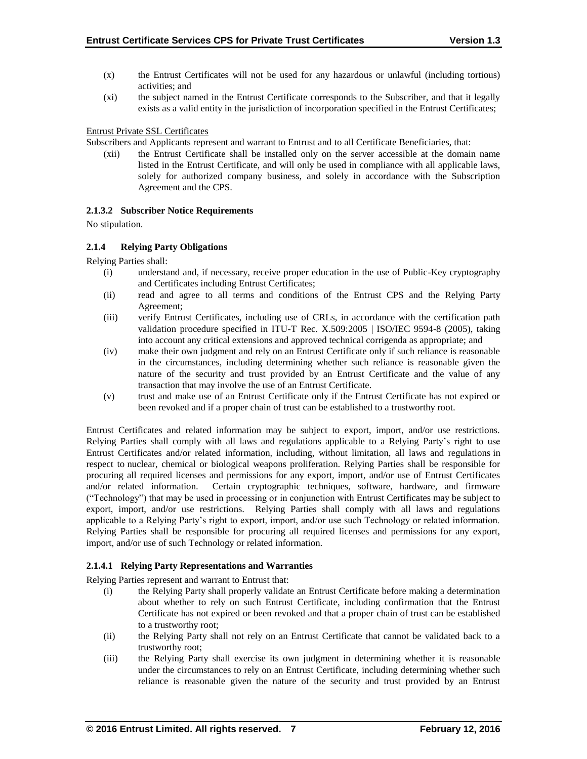- (x) the Entrust Certificates will not be used for any hazardous or unlawful (including tortious) activities; and
- (xi) the subject named in the Entrust Certificate corresponds to the Subscriber, and that it legally exists as a valid entity in the jurisdiction of incorporation specified in the Entrust Certificates;

## Entrust Private SSL Certificates

Subscribers and Applicants represent and warrant to Entrust and to all Certificate Beneficiaries, that:

(xii) the Entrust Certificate shall be installed only on the server accessible at the domain name listed in the Entrust Certificate, and will only be used in compliance with all applicable laws, solely for authorized company business, and solely in accordance with the Subscription Agreement and the CPS.

# **2.1.3.2 Subscriber Notice Requirements**

No stipulation.

# **2.1.4 Relying Party Obligations**

Relying Parties shall:

- (i) understand and, if necessary, receive proper education in the use of Public-Key cryptography and Certificates including Entrust Certificates;
- (ii) read and agree to all terms and conditions of the Entrust CPS and the Relying Party Agreement;
- (iii) verify Entrust Certificates, including use of CRLs, in accordance with the certification path validation procedure specified in ITU-T Rec. X.509:2005 | ISO/IEC 9594-8 (2005), taking into account any critical extensions and approved technical corrigenda as appropriate; and
- (iv) make their own judgment and rely on an Entrust Certificate only if such reliance is reasonable in the circumstances, including determining whether such reliance is reasonable given the nature of the security and trust provided by an Entrust Certificate and the value of any transaction that may involve the use of an Entrust Certificate.
- (v) trust and make use of an Entrust Certificate only if the Entrust Certificate has not expired or been revoked and if a proper chain of trust can be established to a trustworthy root.

Entrust Certificates and related information may be subject to export, import, and/or use restrictions. Relying Parties shall comply with all laws and regulations applicable to a Relying Party's right to use Entrust Certificates and/or related information, including, without limitation, all laws and regulations in respect to nuclear, chemical or biological weapons proliferation. Relying Parties shall be responsible for procuring all required licenses and permissions for any export, import, and/or use of Entrust Certificates and/or related information. Certain cryptographic techniques, software, hardware, and firmware ("Technology") that may be used in processing or in conjunction with Entrust Certificates may be subject to export, import, and/or use restrictions. Relying Parties shall comply with all laws and regulations applicable to a Relying Party's right to export, import, and/or use such Technology or related information. Relying Parties shall be responsible for procuring all required licenses and permissions for any export, import, and/or use of such Technology or related information.

# **2.1.4.1 Relying Party Representations and Warranties**

Relying Parties represent and warrant to Entrust that:

- (i) the Relying Party shall properly validate an Entrust Certificate before making a determination about whether to rely on such Entrust Certificate, including confirmation that the Entrust Certificate has not expired or been revoked and that a proper chain of trust can be established to a trustworthy root;
- (ii) the Relying Party shall not rely on an Entrust Certificate that cannot be validated back to a trustworthy root;
- (iii) the Relying Party shall exercise its own judgment in determining whether it is reasonable under the circumstances to rely on an Entrust Certificate, including determining whether such reliance is reasonable given the nature of the security and trust provided by an Entrust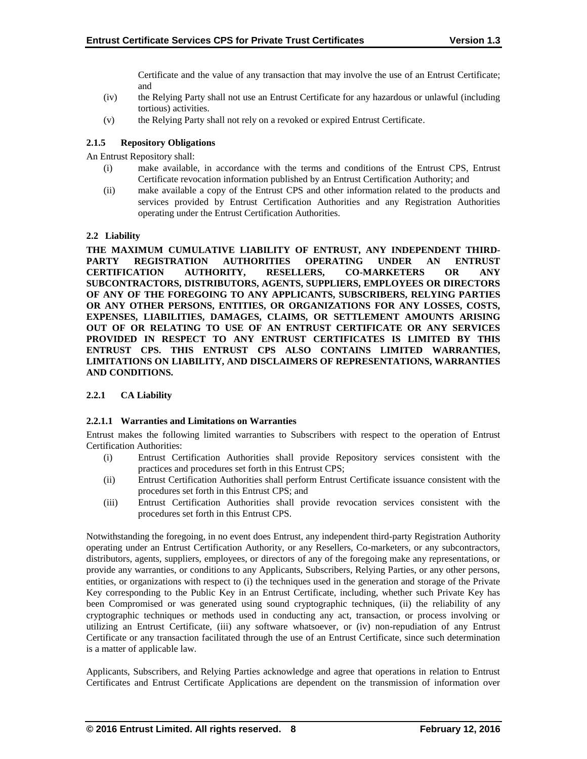Certificate and the value of any transaction that may involve the use of an Entrust Certificate; and

- (iv) the Relying Party shall not use an Entrust Certificate for any hazardous or unlawful (including tortious) activities.
- (v) the Relying Party shall not rely on a revoked or expired Entrust Certificate.

# **2.1.5 Repository Obligations**

An Entrust Repository shall:

- (i) make available, in accordance with the terms and conditions of the Entrust CPS, Entrust Certificate revocation information published by an Entrust Certification Authority; and
- (ii) make available a copy of the Entrust CPS and other information related to the products and services provided by Entrust Certification Authorities and any Registration Authorities operating under the Entrust Certification Authorities.

# **2.2 Liability**

**THE MAXIMUM CUMULATIVE LIABILITY OF ENTRUST, ANY INDEPENDENT THIRD-PARTY REGISTRATION AUTHORITIES OPERATING UNDER AN ENTRUST CERTIFICATION AUTHORITY, RESELLERS, CO-MARKETERS OR ANY SUBCONTRACTORS, DISTRIBUTORS, AGENTS, SUPPLIERS, EMPLOYEES OR DIRECTORS OF ANY OF THE FOREGOING TO ANY APPLICANTS, SUBSCRIBERS, RELYING PARTIES OR ANY OTHER PERSONS, ENTITIES, OR ORGANIZATIONS FOR ANY LOSSES, COSTS, EXPENSES, LIABILITIES, DAMAGES, CLAIMS, OR SETTLEMENT AMOUNTS ARISING OUT OF OR RELATING TO USE OF AN ENTRUST CERTIFICATE OR ANY SERVICES PROVIDED IN RESPECT TO ANY ENTRUST CERTIFICATES IS LIMITED BY THIS ENTRUST CPS. THIS ENTRUST CPS ALSO CONTAINS LIMITED WARRANTIES, LIMITATIONS ON LIABILITY, AND DISCLAIMERS OF REPRESENTATIONS, WARRANTIES AND CONDITIONS.**

# **2.2.1 CA Liability**

## **2.2.1.1 Warranties and Limitations on Warranties**

Entrust makes the following limited warranties to Subscribers with respect to the operation of Entrust Certification Authorities:

- (i) Entrust Certification Authorities shall provide Repository services consistent with the practices and procedures set forth in this Entrust CPS;
- (ii) Entrust Certification Authorities shall perform Entrust Certificate issuance consistent with the procedures set forth in this Entrust CPS; and
- (iii) Entrust Certification Authorities shall provide revocation services consistent with the procedures set forth in this Entrust CPS.

Notwithstanding the foregoing, in no event does Entrust, any independent third-party Registration Authority operating under an Entrust Certification Authority, or any Resellers, Co-marketers, or any subcontractors, distributors, agents, suppliers, employees, or directors of any of the foregoing make any representations, or provide any warranties, or conditions to any Applicants, Subscribers, Relying Parties, or any other persons, entities, or organizations with respect to (i) the techniques used in the generation and storage of the Private Key corresponding to the Public Key in an Entrust Certificate, including, whether such Private Key has been Compromised or was generated using sound cryptographic techniques, (ii) the reliability of any cryptographic techniques or methods used in conducting any act, transaction, or process involving or utilizing an Entrust Certificate, (iii) any software whatsoever, or (iv) non-repudiation of any Entrust Certificate or any transaction facilitated through the use of an Entrust Certificate, since such determination is a matter of applicable law.

Applicants, Subscribers, and Relying Parties acknowledge and agree that operations in relation to Entrust Certificates and Entrust Certificate Applications are dependent on the transmission of information over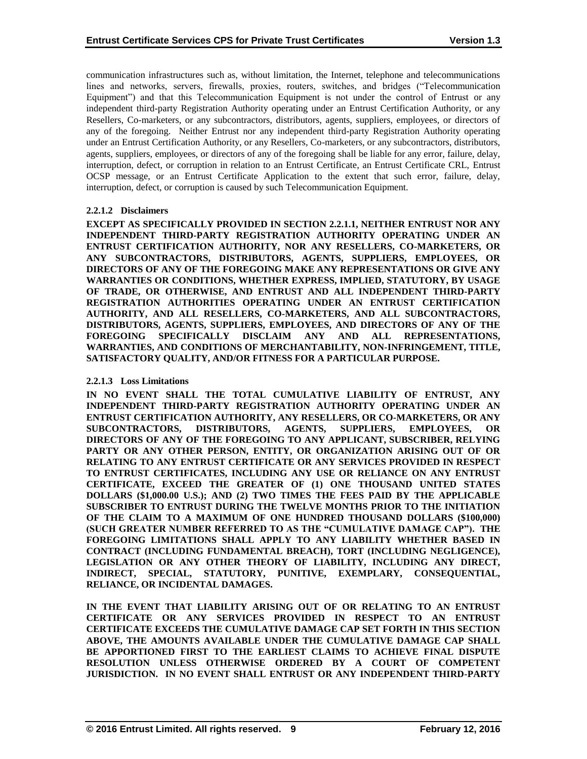communication infrastructures such as, without limitation, the Internet, telephone and telecommunications lines and networks, servers, firewalls, proxies, routers, switches, and bridges ("Telecommunication Equipment") and that this Telecommunication Equipment is not under the control of Entrust or any independent third-party Registration Authority operating under an Entrust Certification Authority, or any Resellers, Co-marketers, or any subcontractors, distributors, agents, suppliers, employees, or directors of any of the foregoing. Neither Entrust nor any independent third-party Registration Authority operating under an Entrust Certification Authority, or any Resellers, Co-marketers, or any subcontractors, distributors, agents, suppliers, employees, or directors of any of the foregoing shall be liable for any error, failure, delay, interruption, defect, or corruption in relation to an Entrust Certificate, an Entrust Certificate CRL, Entrust OCSP message, or an Entrust Certificate Application to the extent that such error, failure, delay, interruption, defect, or corruption is caused by such Telecommunication Equipment.

## **2.2.1.2 Disclaimers**

**EXCEPT AS SPECIFICALLY PROVIDED IN SECTION 2.2.1.1, NEITHER ENTRUST NOR ANY INDEPENDENT THIRD-PARTY REGISTRATION AUTHORITY OPERATING UNDER AN ENTRUST CERTIFICATION AUTHORITY, NOR ANY RESELLERS, CO-MARKETERS, OR ANY SUBCONTRACTORS, DISTRIBUTORS, AGENTS, SUPPLIERS, EMPLOYEES, OR DIRECTORS OF ANY OF THE FOREGOING MAKE ANY REPRESENTATIONS OR GIVE ANY WARRANTIES OR CONDITIONS, WHETHER EXPRESS, IMPLIED, STATUTORY, BY USAGE OF TRADE, OR OTHERWISE, AND ENTRUST AND ALL INDEPENDENT THIRD-PARTY REGISTRATION AUTHORITIES OPERATING UNDER AN ENTRUST CERTIFICATION AUTHORITY, AND ALL RESELLERS, CO-MARKETERS, AND ALL SUBCONTRACTORS, DISTRIBUTORS, AGENTS, SUPPLIERS, EMPLOYEES, AND DIRECTORS OF ANY OF THE FOREGOING SPECIFICALLY DISCLAIM ANY AND ALL REPRESENTATIONS, WARRANTIES, AND CONDITIONS OF MERCHANTABILITY, NON-INFRINGEMENT, TITLE, SATISFACTORY QUALITY, AND/OR FITNESS FOR A PARTICULAR PURPOSE.**

## **2.2.1.3 Loss Limitations**

**IN NO EVENT SHALL THE TOTAL CUMULATIVE LIABILITY OF ENTRUST, ANY INDEPENDENT THIRD-PARTY REGISTRATION AUTHORITY OPERATING UNDER AN ENTRUST CERTIFICATION AUTHORITY, ANY RESELLERS, OR CO-MARKETERS, OR ANY SUBCONTRACTORS, DISTRIBUTORS, AGENTS, SUPPLIERS, EMPLOYEES, OR DIRECTORS OF ANY OF THE FOREGOING TO ANY APPLICANT, SUBSCRIBER, RELYING PARTY OR ANY OTHER PERSON, ENTITY, OR ORGANIZATION ARISING OUT OF OR RELATING TO ANY ENTRUST CERTIFICATE OR ANY SERVICES PROVIDED IN RESPECT TO ENTRUST CERTIFICATES, INCLUDING ANY USE OR RELIANCE ON ANY ENTRUST CERTIFICATE, EXCEED THE GREATER OF (1) ONE THOUSAND UNITED STATES DOLLARS (\$1,000.00 U.S.); AND (2) TWO TIMES THE FEES PAID BY THE APPLICABLE SUBSCRIBER TO ENTRUST DURING THE TWELVE MONTHS PRIOR TO THE INITIATION OF THE CLAIM TO A MAXIMUM OF ONE HUNDRED THOUSAND DOLLARS (\$100,000) (SUCH GREATER NUMBER REFERRED TO AS THE "CUMULATIVE DAMAGE CAP"). THE FOREGOING LIMITATIONS SHALL APPLY TO ANY LIABILITY WHETHER BASED IN CONTRACT (INCLUDING FUNDAMENTAL BREACH), TORT (INCLUDING NEGLIGENCE), LEGISLATION OR ANY OTHER THEORY OF LIABILITY, INCLUDING ANY DIRECT, INDIRECT, SPECIAL, STATUTORY, PUNITIVE, EXEMPLARY, CONSEQUENTIAL, RELIANCE, OR INCIDENTAL DAMAGES.**

**IN THE EVENT THAT LIABILITY ARISING OUT OF OR RELATING TO AN ENTRUST CERTIFICATE OR ANY SERVICES PROVIDED IN RESPECT TO AN ENTRUST CERTIFICATE EXCEEDS THE CUMULATIVE DAMAGE CAP SET FORTH IN THIS SECTION ABOVE, THE AMOUNTS AVAILABLE UNDER THE CUMULATIVE DAMAGE CAP SHALL BE APPORTIONED FIRST TO THE EARLIEST CLAIMS TO ACHIEVE FINAL DISPUTE RESOLUTION UNLESS OTHERWISE ORDERED BY A COURT OF COMPETENT JURISDICTION. IN NO EVENT SHALL ENTRUST OR ANY INDEPENDENT THIRD-PARTY**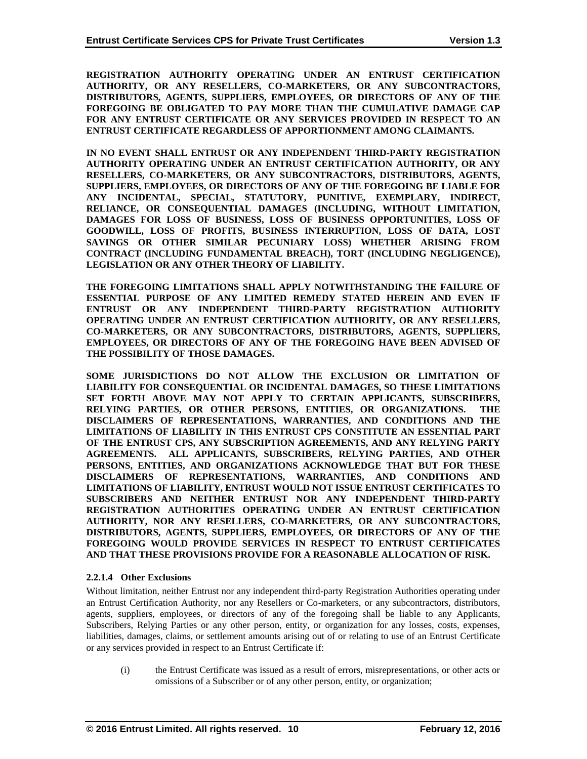**REGISTRATION AUTHORITY OPERATING UNDER AN ENTRUST CERTIFICATION AUTHORITY, OR ANY RESELLERS, CO-MARKETERS, OR ANY SUBCONTRACTORS, DISTRIBUTORS, AGENTS, SUPPLIERS, EMPLOYEES, OR DIRECTORS OF ANY OF THE FOREGOING BE OBLIGATED TO PAY MORE THAN THE CUMULATIVE DAMAGE CAP FOR ANY ENTRUST CERTIFICATE OR ANY SERVICES PROVIDED IN RESPECT TO AN ENTRUST CERTIFICATE REGARDLESS OF APPORTIONMENT AMONG CLAIMANTS.**

**IN NO EVENT SHALL ENTRUST OR ANY INDEPENDENT THIRD-PARTY REGISTRATION AUTHORITY OPERATING UNDER AN ENTRUST CERTIFICATION AUTHORITY, OR ANY RESELLERS, CO-MARKETERS, OR ANY SUBCONTRACTORS, DISTRIBUTORS, AGENTS, SUPPLIERS, EMPLOYEES, OR DIRECTORS OF ANY OF THE FOREGOING BE LIABLE FOR ANY INCIDENTAL, SPECIAL, STATUTORY, PUNITIVE, EXEMPLARY, INDIRECT, RELIANCE, OR CONSEQUENTIAL DAMAGES (INCLUDING, WITHOUT LIMITATION, DAMAGES FOR LOSS OF BUSINESS, LOSS OF BUSINESS OPPORTUNITIES, LOSS OF GOODWILL, LOSS OF PROFITS, BUSINESS INTERRUPTION, LOSS OF DATA, LOST SAVINGS OR OTHER SIMILAR PECUNIARY LOSS) WHETHER ARISING FROM CONTRACT (INCLUDING FUNDAMENTAL BREACH), TORT (INCLUDING NEGLIGENCE), LEGISLATION OR ANY OTHER THEORY OF LIABILITY.** 

**THE FOREGOING LIMITATIONS SHALL APPLY NOTWITHSTANDING THE FAILURE OF ESSENTIAL PURPOSE OF ANY LIMITED REMEDY STATED HEREIN AND EVEN IF ENTRUST OR ANY INDEPENDENT THIRD-PARTY REGISTRATION AUTHORITY OPERATING UNDER AN ENTRUST CERTIFICATION AUTHORITY, OR ANY RESELLERS, CO-MARKETERS, OR ANY SUBCONTRACTORS, DISTRIBUTORS, AGENTS, SUPPLIERS, EMPLOYEES, OR DIRECTORS OF ANY OF THE FOREGOING HAVE BEEN ADVISED OF THE POSSIBILITY OF THOSE DAMAGES.**

**SOME JURISDICTIONS DO NOT ALLOW THE EXCLUSION OR LIMITATION OF LIABILITY FOR CONSEQUENTIAL OR INCIDENTAL DAMAGES, SO THESE LIMITATIONS SET FORTH ABOVE MAY NOT APPLY TO CERTAIN APPLICANTS, SUBSCRIBERS, RELYING PARTIES, OR OTHER PERSONS, ENTITIES, OR ORGANIZATIONS. THE DISCLAIMERS OF REPRESENTATIONS, WARRANTIES, AND CONDITIONS AND THE LIMITATIONS OF LIABILITY IN THIS ENTRUST CPS CONSTITUTE AN ESSENTIAL PART OF THE ENTRUST CPS, ANY SUBSCRIPTION AGREEMENTS, AND ANY RELYING PARTY AGREEMENTS. ALL APPLICANTS, SUBSCRIBERS, RELYING PARTIES, AND OTHER PERSONS, ENTITIES, AND ORGANIZATIONS ACKNOWLEDGE THAT BUT FOR THESE DISCLAIMERS OF REPRESENTATIONS, WARRANTIES, AND CONDITIONS AND LIMITATIONS OF LIABILITY, ENTRUST WOULD NOT ISSUE ENTRUST CERTIFICATES TO SUBSCRIBERS AND NEITHER ENTRUST NOR ANY INDEPENDENT THIRD-PARTY REGISTRATION AUTHORITIES OPERATING UNDER AN ENTRUST CERTIFICATION AUTHORITY, NOR ANY RESELLERS, CO-MARKETERS, OR ANY SUBCONTRACTORS, DISTRIBUTORS, AGENTS, SUPPLIERS, EMPLOYEES, OR DIRECTORS OF ANY OF THE FOREGOING WOULD PROVIDE SERVICES IN RESPECT TO ENTRUST CERTIFICATES AND THAT THESE PROVISIONS PROVIDE FOR A REASONABLE ALLOCATION OF RISK.**

## **2.2.1.4 Other Exclusions**

Without limitation, neither Entrust nor any independent third-party Registration Authorities operating under an Entrust Certification Authority, nor any Resellers or Co-marketers, or any subcontractors, distributors, agents, suppliers, employees, or directors of any of the foregoing shall be liable to any Applicants, Subscribers, Relying Parties or any other person, entity, or organization for any losses, costs, expenses, liabilities, damages, claims, or settlement amounts arising out of or relating to use of an Entrust Certificate or any services provided in respect to an Entrust Certificate if:

(i) the Entrust Certificate was issued as a result of errors, misrepresentations, or other acts or omissions of a Subscriber or of any other person, entity, or organization;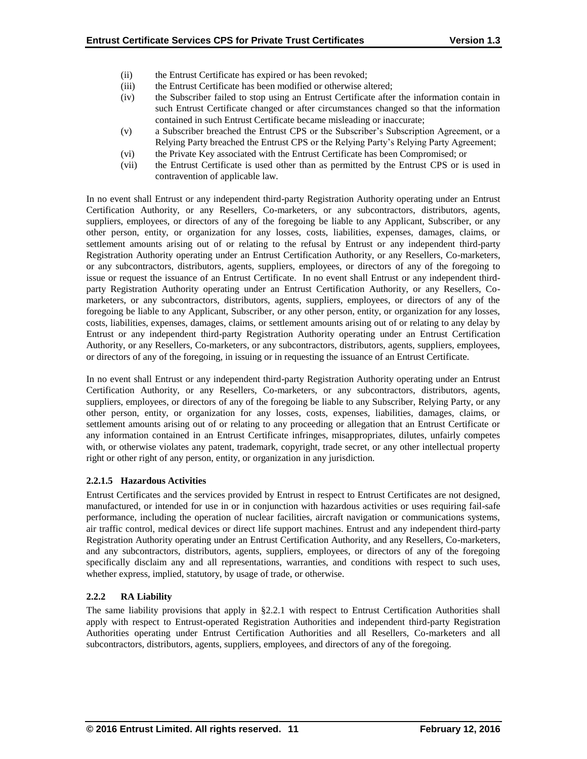- (ii) the Entrust Certificate has expired or has been revoked;
- (iii) the Entrust Certificate has been modified or otherwise altered;
- (iv) the Subscriber failed to stop using an Entrust Certificate after the information contain in such Entrust Certificate changed or after circumstances changed so that the information contained in such Entrust Certificate became misleading or inaccurate;
- (v) a Subscriber breached the Entrust CPS or the Subscriber's Subscription Agreement, or a Relying Party breached the Entrust CPS or the Relying Party's Relying Party Agreement;
- (vi) the Private Key associated with the Entrust Certificate has been Compromised; or
- (vii) the Entrust Certificate is used other than as permitted by the Entrust CPS or is used in contravention of applicable law.

In no event shall Entrust or any independent third-party Registration Authority operating under an Entrust Certification Authority, or any Resellers, Co-marketers, or any subcontractors, distributors, agents, suppliers, employees, or directors of any of the foregoing be liable to any Applicant, Subscriber, or any other person, entity, or organization for any losses, costs, liabilities, expenses, damages, claims, or settlement amounts arising out of or relating to the refusal by Entrust or any independent third-party Registration Authority operating under an Entrust Certification Authority, or any Resellers, Co-marketers, or any subcontractors, distributors, agents, suppliers, employees, or directors of any of the foregoing to issue or request the issuance of an Entrust Certificate. In no event shall Entrust or any independent thirdparty Registration Authority operating under an Entrust Certification Authority, or any Resellers, Comarketers, or any subcontractors, distributors, agents, suppliers, employees, or directors of any of the foregoing be liable to any Applicant, Subscriber, or any other person, entity, or organization for any losses, costs, liabilities, expenses, damages, claims, or settlement amounts arising out of or relating to any delay by Entrust or any independent third-party Registration Authority operating under an Entrust Certification Authority, or any Resellers, Co-marketers, or any subcontractors, distributors, agents, suppliers, employees, or directors of any of the foregoing, in issuing or in requesting the issuance of an Entrust Certificate.

In no event shall Entrust or any independent third-party Registration Authority operating under an Entrust Certification Authority, or any Resellers, Co-marketers, or any subcontractors, distributors, agents, suppliers, employees, or directors of any of the foregoing be liable to any Subscriber, Relying Party, or any other person, entity, or organization for any losses, costs, expenses, liabilities, damages, claims, or settlement amounts arising out of or relating to any proceeding or allegation that an Entrust Certificate or any information contained in an Entrust Certificate infringes, misappropriates, dilutes, unfairly competes with, or otherwise violates any patent, trademark, copyright, trade secret, or any other intellectual property right or other right of any person, entity, or organization in any jurisdiction.

# **2.2.1.5 Hazardous Activities**

Entrust Certificates and the services provided by Entrust in respect to Entrust Certificates are not designed, manufactured, or intended for use in or in conjunction with hazardous activities or uses requiring fail-safe performance, including the operation of nuclear facilities, aircraft navigation or communications systems, air traffic control, medical devices or direct life support machines. Entrust and any independent third-party Registration Authority operating under an Entrust Certification Authority, and any Resellers, Co-marketers, and any subcontractors, distributors, agents, suppliers, employees, or directors of any of the foregoing specifically disclaim any and all representations, warranties, and conditions with respect to such uses, whether express, implied, statutory, by usage of trade, or otherwise.

# **2.2.2 RA Liability**

The same liability provisions that apply in §2.2.1 with respect to Entrust Certification Authorities shall apply with respect to Entrust-operated Registration Authorities and independent third-party Registration Authorities operating under Entrust Certification Authorities and all Resellers, Co-marketers and all subcontractors, distributors, agents, suppliers, employees, and directors of any of the foregoing.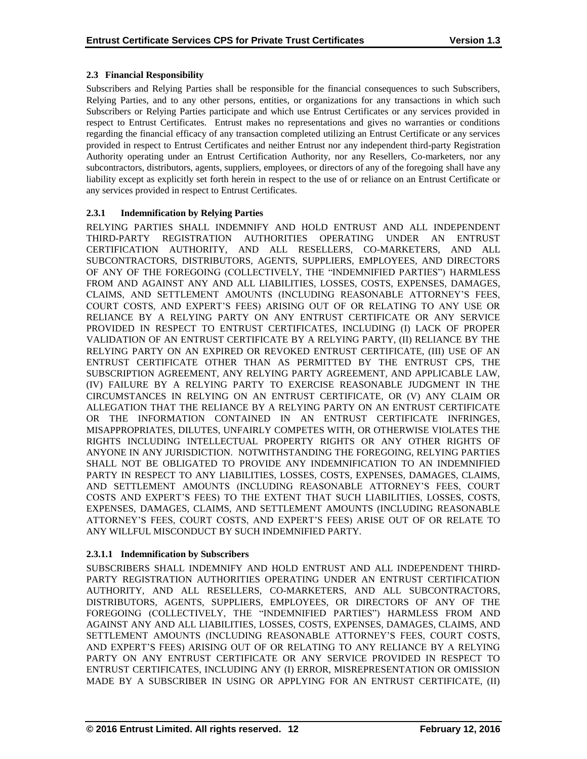# **2.3 Financial Responsibility**

Subscribers and Relying Parties shall be responsible for the financial consequences to such Subscribers, Relying Parties, and to any other persons, entities, or organizations for any transactions in which such Subscribers or Relying Parties participate and which use Entrust Certificates or any services provided in respect to Entrust Certificates. Entrust makes no representations and gives no warranties or conditions regarding the financial efficacy of any transaction completed utilizing an Entrust Certificate or any services provided in respect to Entrust Certificates and neither Entrust nor any independent third-party Registration Authority operating under an Entrust Certification Authority, nor any Resellers, Co-marketers, nor any subcontractors, distributors, agents, suppliers, employees, or directors of any of the foregoing shall have any liability except as explicitly set forth herein in respect to the use of or reliance on an Entrust Certificate or any services provided in respect to Entrust Certificates.

# **2.3.1 Indemnification by Relying Parties**

RELYING PARTIES SHALL INDEMNIFY AND HOLD ENTRUST AND ALL INDEPENDENT THIRD-PARTY REGISTRATION AUTHORITIES OPERATING UNDER AN ENTRUST CERTIFICATION AUTHORITY, AND ALL RESELLERS, CO-MARKETERS, AND ALL SUBCONTRACTORS, DISTRIBUTORS, AGENTS, SUPPLIERS, EMPLOYEES, AND DIRECTORS OF ANY OF THE FOREGOING (COLLECTIVELY, THE "INDEMNIFIED PARTIES") HARMLESS FROM AND AGAINST ANY AND ALL LIABILITIES, LOSSES, COSTS, EXPENSES, DAMAGES, CLAIMS, AND SETTLEMENT AMOUNTS (INCLUDING REASONABLE ATTORNEY'S FEES, COURT COSTS, AND EXPERT'S FEES) ARISING OUT OF OR RELATING TO ANY USE OR RELIANCE BY A RELYING PARTY ON ANY ENTRUST CERTIFICATE OR ANY SERVICE PROVIDED IN RESPECT TO ENTRUST CERTIFICATES, INCLUDING (I) LACK OF PROPER VALIDATION OF AN ENTRUST CERTIFICATE BY A RELYING PARTY, (II) RELIANCE BY THE RELYING PARTY ON AN EXPIRED OR REVOKED ENTRUST CERTIFICATE, (III) USE OF AN ENTRUST CERTIFICATE OTHER THAN AS PERMITTED BY THE ENTRUST CPS, THE SUBSCRIPTION AGREEMENT, ANY RELYING PARTY AGREEMENT, AND APPLICABLE LAW, (IV) FAILURE BY A RELYING PARTY TO EXERCISE REASONABLE JUDGMENT IN THE CIRCUMSTANCES IN RELYING ON AN ENTRUST CERTIFICATE, OR (V) ANY CLAIM OR ALLEGATION THAT THE RELIANCE BY A RELYING PARTY ON AN ENTRUST CERTIFICATE OR THE INFORMATION CONTAINED IN AN ENTRUST CERTIFICATE INFRINGES, MISAPPROPRIATES, DILUTES, UNFAIRLY COMPETES WITH, OR OTHERWISE VIOLATES THE RIGHTS INCLUDING INTELLECTUAL PROPERTY RIGHTS OR ANY OTHER RIGHTS OF ANYONE IN ANY JURISDICTION. NOTWITHSTANDING THE FOREGOING, RELYING PARTIES SHALL NOT BE OBLIGATED TO PROVIDE ANY INDEMNIFICATION TO AN INDEMNIFIED PARTY IN RESPECT TO ANY LIABILITIES, LOSSES, COSTS, EXPENSES, DAMAGES, CLAIMS, AND SETTLEMENT AMOUNTS (INCLUDING REASONABLE ATTORNEY'S FEES, COURT COSTS AND EXPERT'S FEES) TO THE EXTENT THAT SUCH LIABILITIES, LOSSES, COSTS, EXPENSES, DAMAGES, CLAIMS, AND SETTLEMENT AMOUNTS (INCLUDING REASONABLE ATTORNEY'S FEES, COURT COSTS, AND EXPERT'S FEES) ARISE OUT OF OR RELATE TO ANY WILLFUL MISCONDUCT BY SUCH INDEMNIFIED PARTY.

# **2.3.1.1 Indemnification by Subscribers**

SUBSCRIBERS SHALL INDEMNIFY AND HOLD ENTRUST AND ALL INDEPENDENT THIRD-PARTY REGISTRATION AUTHORITIES OPERATING UNDER AN ENTRUST CERTIFICATION AUTHORITY, AND ALL RESELLERS, CO-MARKETERS, AND ALL SUBCONTRACTORS, DISTRIBUTORS, AGENTS, SUPPLIERS, EMPLOYEES, OR DIRECTORS OF ANY OF THE FOREGOING (COLLECTIVELY, THE "INDEMNIFIED PARTIES") HARMLESS FROM AND AGAINST ANY AND ALL LIABILITIES, LOSSES, COSTS, EXPENSES, DAMAGES, CLAIMS, AND SETTLEMENT AMOUNTS (INCLUDING REASONABLE ATTORNEY'S FEES, COURT COSTS, AND EXPERT'S FEES) ARISING OUT OF OR RELATING TO ANY RELIANCE BY A RELYING PARTY ON ANY ENTRUST CERTIFICATE OR ANY SERVICE PROVIDED IN RESPECT TO ENTRUST CERTIFICATES, INCLUDING ANY (I) ERROR, MISREPRESENTATION OR OMISSION MADE BY A SUBSCRIBER IN USING OR APPLYING FOR AN ENTRUST CERTIFICATE, (II)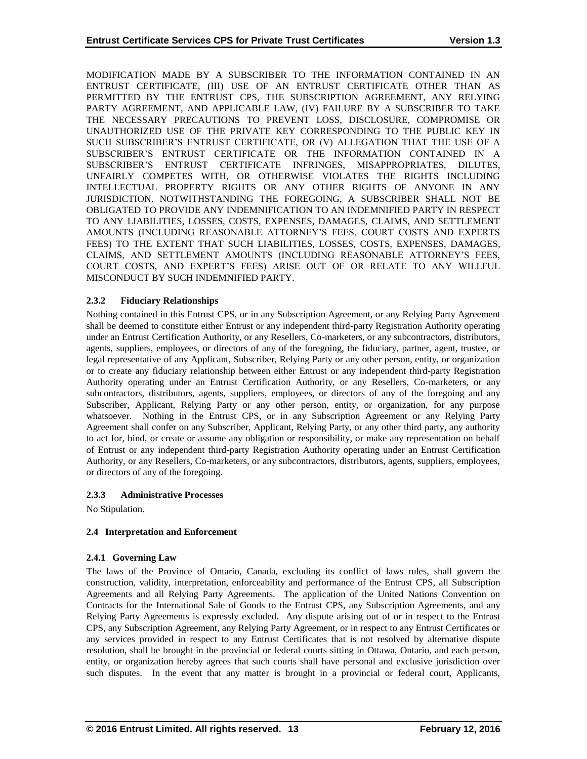MODIFICATION MADE BY A SUBSCRIBER TO THE INFORMATION CONTAINED IN AN ENTRUST CERTIFICATE, (III) USE OF AN ENTRUST CERTIFICATE OTHER THAN AS PERMITTED BY THE ENTRUST CPS, THE SUBSCRIPTION AGREEMENT, ANY RELYING PARTY AGREEMENT, AND APPLICABLE LAW, (IV) FAILURE BY A SUBSCRIBER TO TAKE THE NECESSARY PRECAUTIONS TO PREVENT LOSS, DISCLOSURE, COMPROMISE OR UNAUTHORIZED USE OF THE PRIVATE KEY CORRESPONDING TO THE PUBLIC KEY IN SUCH SUBSCRIBER'S ENTRUST CERTIFICATE, OR (V) ALLEGATION THAT THE USE OF A SUBSCRIBER'S ENTRUST CERTIFICATE OR THE INFORMATION CONTAINED IN A SUBSCRIBER'S ENTRUST CERTIFICATE INFRINGES, MISAPPROPRIATES, DILUTES, UNFAIRLY COMPETES WITH, OR OTHERWISE VIOLATES THE RIGHTS INCLUDING INTELLECTUAL PROPERTY RIGHTS OR ANY OTHER RIGHTS OF ANYONE IN ANY JURISDICTION. NOTWITHSTANDING THE FOREGOING, A SUBSCRIBER SHALL NOT BE OBLIGATED TO PROVIDE ANY INDEMNIFICATION TO AN INDEMNIFIED PARTY IN RESPECT TO ANY LIABILITIES, LOSSES, COSTS, EXPENSES, DAMAGES, CLAIMS, AND SETTLEMENT AMOUNTS (INCLUDING REASONABLE ATTORNEY'S FEES, COURT COSTS AND EXPERTS FEES) TO THE EXTENT THAT SUCH LIABILITIES, LOSSES, COSTS, EXPENSES, DAMAGES, CLAIMS, AND SETTLEMENT AMOUNTS (INCLUDING REASONABLE ATTORNEY'S FEES, COURT COSTS, AND EXPERT'S FEES) ARISE OUT OF OR RELATE TO ANY WILLFUL MISCONDUCT BY SUCH INDEMNIFIED PARTY.

# **2.3.2 Fiduciary Relationships**

Nothing contained in this Entrust CPS, or in any Subscription Agreement, or any Relying Party Agreement shall be deemed to constitute either Entrust or any independent third-party Registration Authority operating under an Entrust Certification Authority, or any Resellers, Co-marketers, or any subcontractors, distributors, agents, suppliers, employees, or directors of any of the foregoing, the fiduciary, partner, agent, trustee, or legal representative of any Applicant, Subscriber, Relying Party or any other person, entity, or organization or to create any fiduciary relationship between either Entrust or any independent third-party Registration Authority operating under an Entrust Certification Authority, or any Resellers, Co-marketers, or any subcontractors, distributors, agents, suppliers, employees, or directors of any of the foregoing and any Subscriber, Applicant, Relying Party or any other person, entity, or organization, for any purpose whatsoever. Nothing in the Entrust CPS, or in any Subscription Agreement or any Relying Party Agreement shall confer on any Subscriber, Applicant, Relying Party, or any other third party, any authority to act for, bind, or create or assume any obligation or responsibility, or make any representation on behalf of Entrust or any independent third-party Registration Authority operating under an Entrust Certification Authority, or any Resellers, Co-marketers, or any subcontractors, distributors, agents, suppliers, employees, or directors of any of the foregoing.

# **2.3.3 Administrative Processes**

No Stipulation.

# **2.4 Interpretation and Enforcement**

## **2.4.1 Governing Law**

The laws of the Province of Ontario, Canada, excluding its conflict of laws rules, shall govern the construction, validity, interpretation, enforceability and performance of the Entrust CPS, all Subscription Agreements and all Relying Party Agreements. The application of the United Nations Convention on Contracts for the International Sale of Goods to the Entrust CPS, any Subscription Agreements, and any Relying Party Agreements is expressly excluded. Any dispute arising out of or in respect to the Entrust CPS, any Subscription Agreement, any Relying Party Agreement, or in respect to any Entrust Certificates or any services provided in respect to any Entrust Certificates that is not resolved by alternative dispute resolution, shall be brought in the provincial or federal courts sitting in Ottawa, Ontario, and each person, entity, or organization hereby agrees that such courts shall have personal and exclusive jurisdiction over such disputes. In the event that any matter is brought in a provincial or federal court, Applicants,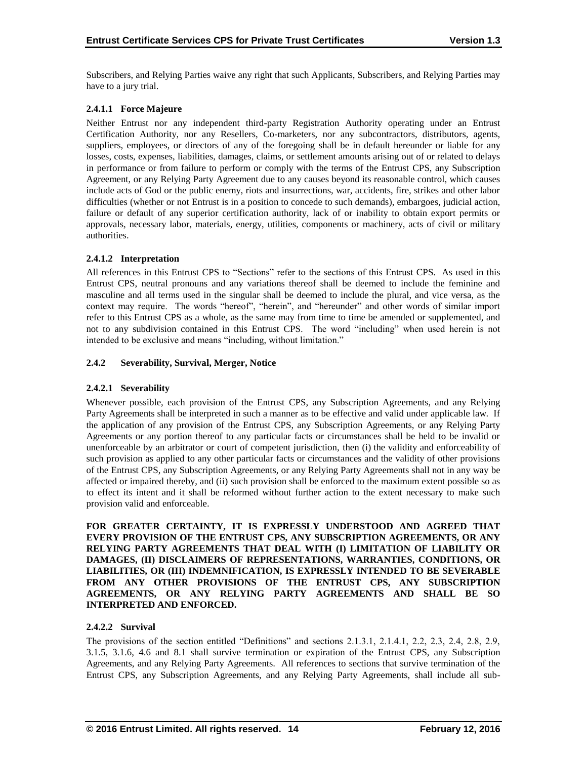Subscribers, and Relying Parties waive any right that such Applicants, Subscribers, and Relying Parties may have to a jury trial.

# **2.4.1.1 Force Majeure**

Neither Entrust nor any independent third-party Registration Authority operating under an Entrust Certification Authority, nor any Resellers, Co-marketers, nor any subcontractors, distributors, agents, suppliers, employees, or directors of any of the foregoing shall be in default hereunder or liable for any losses, costs, expenses, liabilities, damages, claims, or settlement amounts arising out of or related to delays in performance or from failure to perform or comply with the terms of the Entrust CPS, any Subscription Agreement, or any Relying Party Agreement due to any causes beyond its reasonable control, which causes include acts of God or the public enemy, riots and insurrections, war, accidents, fire, strikes and other labor difficulties (whether or not Entrust is in a position to concede to such demands), embargoes, judicial action, failure or default of any superior certification authority, lack of or inability to obtain export permits or approvals, necessary labor, materials, energy, utilities, components or machinery, acts of civil or military authorities.

# **2.4.1.2 Interpretation**

All references in this Entrust CPS to "Sections" refer to the sections of this Entrust CPS. As used in this Entrust CPS, neutral pronouns and any variations thereof shall be deemed to include the feminine and masculine and all terms used in the singular shall be deemed to include the plural, and vice versa, as the context may require. The words "hereof", "herein", and "hereunder" and other words of similar import refer to this Entrust CPS as a whole, as the same may from time to time be amended or supplemented, and not to any subdivision contained in this Entrust CPS. The word "including" when used herein is not intended to be exclusive and means "including, without limitation."

# **2.4.2 Severability, Survival, Merger, Notice**

# **2.4.2.1 Severability**

Whenever possible, each provision of the Entrust CPS, any Subscription Agreements, and any Relying Party Agreements shall be interpreted in such a manner as to be effective and valid under applicable law. If the application of any provision of the Entrust CPS, any Subscription Agreements, or any Relying Party Agreements or any portion thereof to any particular facts or circumstances shall be held to be invalid or unenforceable by an arbitrator or court of competent jurisdiction, then (i) the validity and enforceability of such provision as applied to any other particular facts or circumstances and the validity of other provisions of the Entrust CPS, any Subscription Agreements, or any Relying Party Agreements shall not in any way be affected or impaired thereby, and (ii) such provision shall be enforced to the maximum extent possible so as to effect its intent and it shall be reformed without further action to the extent necessary to make such provision valid and enforceable.

**FOR GREATER CERTAINTY, IT IS EXPRESSLY UNDERSTOOD AND AGREED THAT EVERY PROVISION OF THE ENTRUST CPS, ANY SUBSCRIPTION AGREEMENTS, OR ANY RELYING PARTY AGREEMENTS THAT DEAL WITH (I) LIMITATION OF LIABILITY OR DAMAGES, (II) DISCLAIMERS OF REPRESENTATIONS, WARRANTIES, CONDITIONS, OR LIABILITIES, OR (III) INDEMNIFICATION, IS EXPRESSLY INTENDED TO BE SEVERABLE FROM ANY OTHER PROVISIONS OF THE ENTRUST CPS, ANY SUBSCRIPTION AGREEMENTS, OR ANY RELYING PARTY AGREEMENTS AND SHALL BE SO INTERPRETED AND ENFORCED.**

## **2.4.2.2 Survival**

The provisions of the section entitled "Definitions" and sections 2.1.3.1, 2.1.4.1, 2.2, 2.3, 2.4, 2.8, 2.9, 3.1.5, 3.1.6, 4.6 and 8.1 shall survive termination or expiration of the Entrust CPS, any Subscription Agreements, and any Relying Party Agreements. All references to sections that survive termination of the Entrust CPS, any Subscription Agreements, and any Relying Party Agreements, shall include all sub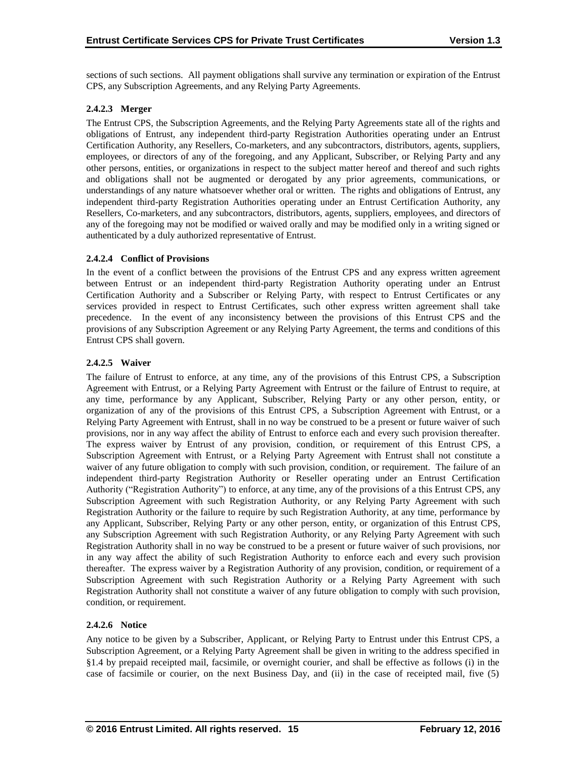sections of such sections. All payment obligations shall survive any termination or expiration of the Entrust CPS, any Subscription Agreements, and any Relying Party Agreements.

# **2.4.2.3 Merger**

The Entrust CPS, the Subscription Agreements, and the Relying Party Agreements state all of the rights and obligations of Entrust, any independent third-party Registration Authorities operating under an Entrust Certification Authority, any Resellers, Co-marketers, and any subcontractors, distributors, agents, suppliers, employees, or directors of any of the foregoing, and any Applicant, Subscriber, or Relying Party and any other persons, entities, or organizations in respect to the subject matter hereof and thereof and such rights and obligations shall not be augmented or derogated by any prior agreements, communications, or understandings of any nature whatsoever whether oral or written. The rights and obligations of Entrust, any independent third-party Registration Authorities operating under an Entrust Certification Authority, any Resellers, Co-marketers, and any subcontractors, distributors, agents, suppliers, employees, and directors of any of the foregoing may not be modified or waived orally and may be modified only in a writing signed or authenticated by a duly authorized representative of Entrust.

# **2.4.2.4 Conflict of Provisions**

In the event of a conflict between the provisions of the Entrust CPS and any express written agreement between Entrust or an independent third-party Registration Authority operating under an Entrust Certification Authority and a Subscriber or Relying Party, with respect to Entrust Certificates or any services provided in respect to Entrust Certificates, such other express written agreement shall take precedence. In the event of any inconsistency between the provisions of this Entrust CPS and the provisions of any Subscription Agreement or any Relying Party Agreement, the terms and conditions of this Entrust CPS shall govern.

# **2.4.2.5 Waiver**

The failure of Entrust to enforce, at any time, any of the provisions of this Entrust CPS, a Subscription Agreement with Entrust, or a Relying Party Agreement with Entrust or the failure of Entrust to require, at any time, performance by any Applicant, Subscriber, Relying Party or any other person, entity, or organization of any of the provisions of this Entrust CPS, a Subscription Agreement with Entrust, or a Relying Party Agreement with Entrust, shall in no way be construed to be a present or future waiver of such provisions, nor in any way affect the ability of Entrust to enforce each and every such provision thereafter. The express waiver by Entrust of any provision, condition, or requirement of this Entrust CPS, a Subscription Agreement with Entrust, or a Relying Party Agreement with Entrust shall not constitute a waiver of any future obligation to comply with such provision, condition, or requirement. The failure of an independent third-party Registration Authority or Reseller operating under an Entrust Certification Authority ("Registration Authority") to enforce, at any time, any of the provisions of a this Entrust CPS, any Subscription Agreement with such Registration Authority, or any Relying Party Agreement with such Registration Authority or the failure to require by such Registration Authority, at any time, performance by any Applicant, Subscriber, Relying Party or any other person, entity, or organization of this Entrust CPS, any Subscription Agreement with such Registration Authority, or any Relying Party Agreement with such Registration Authority shall in no way be construed to be a present or future waiver of such provisions, nor in any way affect the ability of such Registration Authority to enforce each and every such provision thereafter. The express waiver by a Registration Authority of any provision, condition, or requirement of a Subscription Agreement with such Registration Authority or a Relying Party Agreement with such Registration Authority shall not constitute a waiver of any future obligation to comply with such provision, condition, or requirement.

## **2.4.2.6 Notice**

Any notice to be given by a Subscriber, Applicant, or Relying Party to Entrust under this Entrust CPS, a Subscription Agreement, or a Relying Party Agreement shall be given in writing to the address specified in §1.4 by prepaid receipted mail, facsimile, or overnight courier, and shall be effective as follows (i) in the case of facsimile or courier, on the next Business Day, and (ii) in the case of receipted mail, five (5)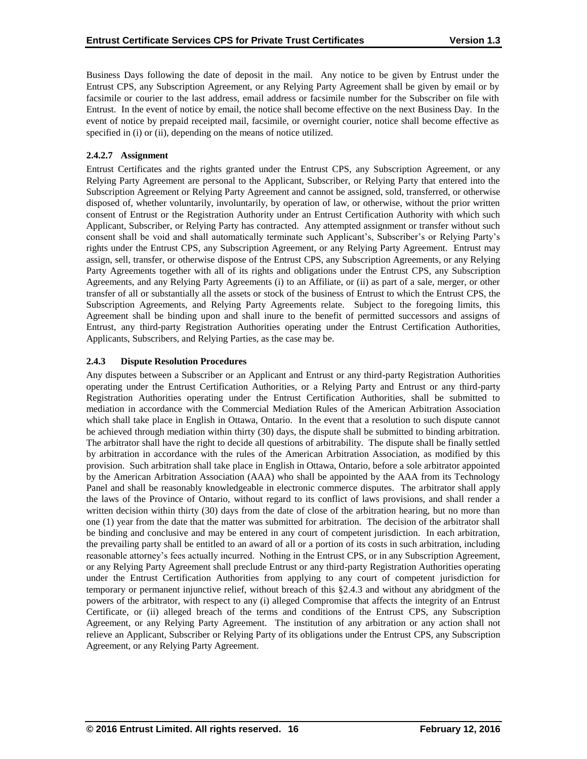Business Days following the date of deposit in the mail. Any notice to be given by Entrust under the Entrust CPS, any Subscription Agreement, or any Relying Party Agreement shall be given by email or by facsimile or courier to the last address, email address or facsimile number for the Subscriber on file with Entrust. In the event of notice by email, the notice shall become effective on the next Business Day. In the event of notice by prepaid receipted mail, facsimile, or overnight courier, notice shall become effective as specified in (i) or (ii), depending on the means of notice utilized.

# **2.4.2.7 Assignment**

Entrust Certificates and the rights granted under the Entrust CPS, any Subscription Agreement, or any Relying Party Agreement are personal to the Applicant, Subscriber, or Relying Party that entered into the Subscription Agreement or Relying Party Agreement and cannot be assigned, sold, transferred, or otherwise disposed of, whether voluntarily, involuntarily, by operation of law, or otherwise, without the prior written consent of Entrust or the Registration Authority under an Entrust Certification Authority with which such Applicant, Subscriber, or Relying Party has contracted. Any attempted assignment or transfer without such consent shall be void and shall automatically terminate such Applicant's, Subscriber's or Relying Party's rights under the Entrust CPS, any Subscription Agreement, or any Relying Party Agreement. Entrust may assign, sell, transfer, or otherwise dispose of the Entrust CPS, any Subscription Agreements, or any Relying Party Agreements together with all of its rights and obligations under the Entrust CPS, any Subscription Agreements, and any Relying Party Agreements (i) to an Affiliate, or (ii) as part of a sale, merger, or other transfer of all or substantially all the assets or stock of the business of Entrust to which the Entrust CPS, the Subscription Agreements, and Relying Party Agreements relate. Subject to the foregoing limits, this Agreement shall be binding upon and shall inure to the benefit of permitted successors and assigns of Entrust, any third-party Registration Authorities operating under the Entrust Certification Authorities, Applicants, Subscribers, and Relying Parties, as the case may be.

# **2.4.3 Dispute Resolution Procedures**

Any disputes between a Subscriber or an Applicant and Entrust or any third-party Registration Authorities operating under the Entrust Certification Authorities, or a Relying Party and Entrust or any third-party Registration Authorities operating under the Entrust Certification Authorities, shall be submitted to mediation in accordance with the Commercial Mediation Rules of the American Arbitration Association which shall take place in English in Ottawa, Ontario. In the event that a resolution to such dispute cannot be achieved through mediation within thirty (30) days, the dispute shall be submitted to binding arbitration. The arbitrator shall have the right to decide all questions of arbitrability. The dispute shall be finally settled by arbitration in accordance with the rules of the American Arbitration Association, as modified by this provision. Such arbitration shall take place in English in Ottawa, Ontario, before a sole arbitrator appointed by the American Arbitration Association (AAA) who shall be appointed by the AAA from its Technology Panel and shall be reasonably knowledgeable in electronic commerce disputes. The arbitrator shall apply the laws of the Province of Ontario, without regard to its conflict of laws provisions, and shall render a written decision within thirty (30) days from the date of close of the arbitration hearing, but no more than one (1) year from the date that the matter was submitted for arbitration. The decision of the arbitrator shall be binding and conclusive and may be entered in any court of competent jurisdiction. In each arbitration, the prevailing party shall be entitled to an award of all or a portion of its costs in such arbitration, including reasonable attorney's fees actually incurred. Nothing in the Entrust CPS, or in any Subscription Agreement, or any Relying Party Agreement shall preclude Entrust or any third-party Registration Authorities operating under the Entrust Certification Authorities from applying to any court of competent jurisdiction for temporary or permanent injunctive relief, without breach of this §2.4.3 and without any abridgment of the powers of the arbitrator, with respect to any (i) alleged Compromise that affects the integrity of an Entrust Certificate, or (ii) alleged breach of the terms and conditions of the Entrust CPS, any Subscription Agreement, or any Relying Party Agreement. The institution of any arbitration or any action shall not relieve an Applicant, Subscriber or Relying Party of its obligations under the Entrust CPS, any Subscription Agreement, or any Relying Party Agreement.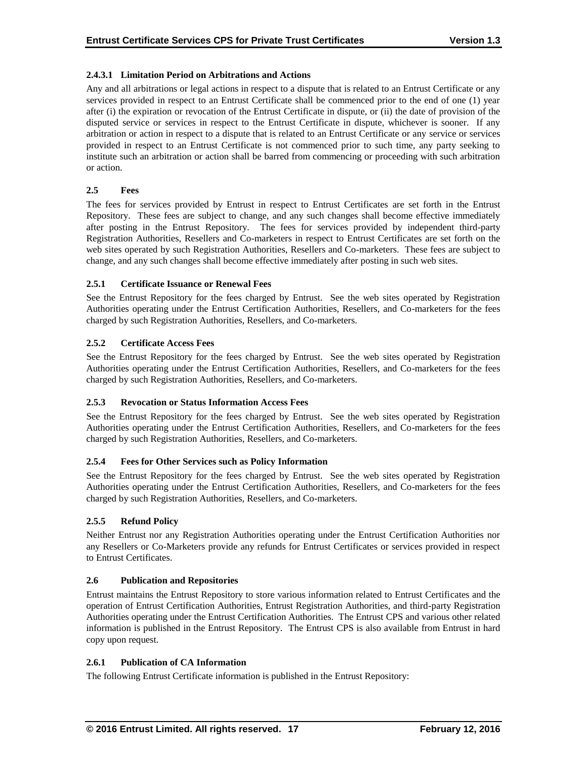# **2.4.3.1 Limitation Period on Arbitrations and Actions**

Any and all arbitrations or legal actions in respect to a dispute that is related to an Entrust Certificate or any services provided in respect to an Entrust Certificate shall be commenced prior to the end of one (1) year after (i) the expiration or revocation of the Entrust Certificate in dispute, or (ii) the date of provision of the disputed service or services in respect to the Entrust Certificate in dispute, whichever is sooner. If any arbitration or action in respect to a dispute that is related to an Entrust Certificate or any service or services provided in respect to an Entrust Certificate is not commenced prior to such time, any party seeking to institute such an arbitration or action shall be barred from commencing or proceeding with such arbitration or action.

# **2.5 Fees**

The fees for services provided by Entrust in respect to Entrust Certificates are set forth in the Entrust Repository. These fees are subject to change, and any such changes shall become effective immediately after posting in the Entrust Repository. The fees for services provided by independent third-party Registration Authorities, Resellers and Co-marketers in respect to Entrust Certificates are set forth on the web sites operated by such Registration Authorities, Resellers and Co-marketers. These fees are subject to change, and any such changes shall become effective immediately after posting in such web sites.

# **2.5.1 Certificate Issuance or Renewal Fees**

See the Entrust Repository for the fees charged by Entrust. See the web sites operated by Registration Authorities operating under the Entrust Certification Authorities, Resellers, and Co-marketers for the fees charged by such Registration Authorities, Resellers, and Co-marketers.

# **2.5.2 Certificate Access Fees**

See the Entrust Repository for the fees charged by Entrust. See the web sites operated by Registration Authorities operating under the Entrust Certification Authorities, Resellers, and Co-marketers for the fees charged by such Registration Authorities, Resellers, and Co-marketers.

## **2.5.3 Revocation or Status Information Access Fees**

See the Entrust Repository for the fees charged by Entrust. See the web sites operated by Registration Authorities operating under the Entrust Certification Authorities, Resellers, and Co-marketers for the fees charged by such Registration Authorities, Resellers, and Co-marketers.

# **2.5.4 Fees for Other Services such as Policy Information**

See the Entrust Repository for the fees charged by Entrust. See the web sites operated by Registration Authorities operating under the Entrust Certification Authorities, Resellers, and Co-marketers for the fees charged by such Registration Authorities, Resellers, and Co-marketers.

# **2.5.5 Refund Policy**

Neither Entrust nor any Registration Authorities operating under the Entrust Certification Authorities nor any Resellers or Co-Marketers provide any refunds for Entrust Certificates or services provided in respect to Entrust Certificates.

# **2.6 Publication and Repositories**

Entrust maintains the Entrust Repository to store various information related to Entrust Certificates and the operation of Entrust Certification Authorities, Entrust Registration Authorities, and third-party Registration Authorities operating under the Entrust Certification Authorities. The Entrust CPS and various other related information is published in the Entrust Repository. The Entrust CPS is also available from Entrust in hard copy upon request.

## **2.6.1 Publication of CA Information**

The following Entrust Certificate information is published in the Entrust Repository: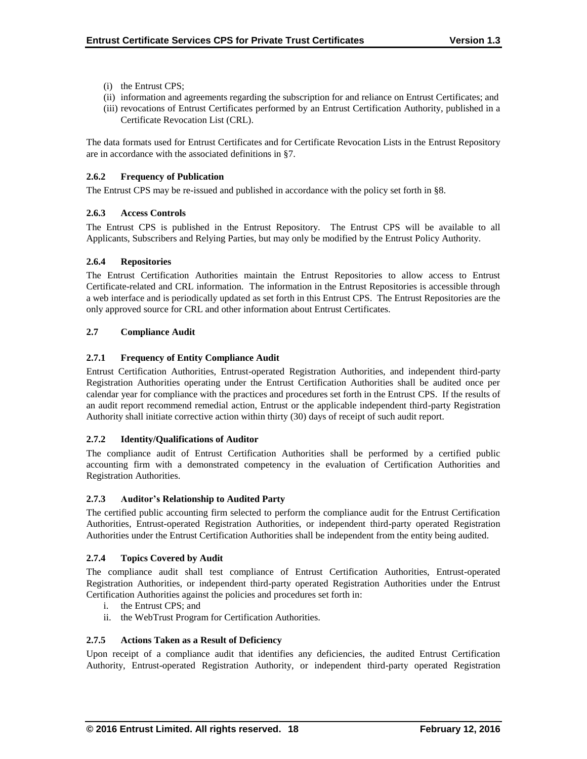- (i) the Entrust CPS;
- (ii) information and agreements regarding the subscription for and reliance on Entrust Certificates; and
- (iii) revocations of Entrust Certificates performed by an Entrust Certification Authority, published in a Certificate Revocation List (CRL).

The data formats used for Entrust Certificates and for Certificate Revocation Lists in the Entrust Repository are in accordance with the associated definitions in §7.

# **2.6.2 Frequency of Publication**

The Entrust CPS may be re-issued and published in accordance with the policy set forth in §8.

# **2.6.3 Access Controls**

The Entrust CPS is published in the Entrust Repository. The Entrust CPS will be available to all Applicants, Subscribers and Relying Parties, but may only be modified by the Entrust Policy Authority.

## **2.6.4 Repositories**

The Entrust Certification Authorities maintain the Entrust Repositories to allow access to Entrust Certificate-related and CRL information. The information in the Entrust Repositories is accessible through a web interface and is periodically updated as set forth in this Entrust CPS. The Entrust Repositories are the only approved source for CRL and other information about Entrust Certificates.

# **2.7 Compliance Audit**

# **2.7.1 Frequency of Entity Compliance Audit**

Entrust Certification Authorities, Entrust-operated Registration Authorities, and independent third-party Registration Authorities operating under the Entrust Certification Authorities shall be audited once per calendar year for compliance with the practices and procedures set forth in the Entrust CPS. If the results of an audit report recommend remedial action, Entrust or the applicable independent third-party Registration Authority shall initiate corrective action within thirty (30) days of receipt of such audit report.

## **2.7.2 Identity/Qualifications of Auditor**

The compliance audit of Entrust Certification Authorities shall be performed by a certified public accounting firm with a demonstrated competency in the evaluation of Certification Authorities and Registration Authorities.

## **2.7.3 Auditor's Relationship to Audited Party**

The certified public accounting firm selected to perform the compliance audit for the Entrust Certification Authorities, Entrust-operated Registration Authorities, or independent third-party operated Registration Authorities under the Entrust Certification Authorities shall be independent from the entity being audited.

## **2.7.4 Topics Covered by Audit**

The compliance audit shall test compliance of Entrust Certification Authorities, Entrust-operated Registration Authorities, or independent third-party operated Registration Authorities under the Entrust Certification Authorities against the policies and procedures set forth in:

- i. the Entrust CPS; and
- ii. the WebTrust Program for Certification Authorities.

## **2.7.5 Actions Taken as a Result of Deficiency**

Upon receipt of a compliance audit that identifies any deficiencies, the audited Entrust Certification Authority, Entrust-operated Registration Authority, or independent third-party operated Registration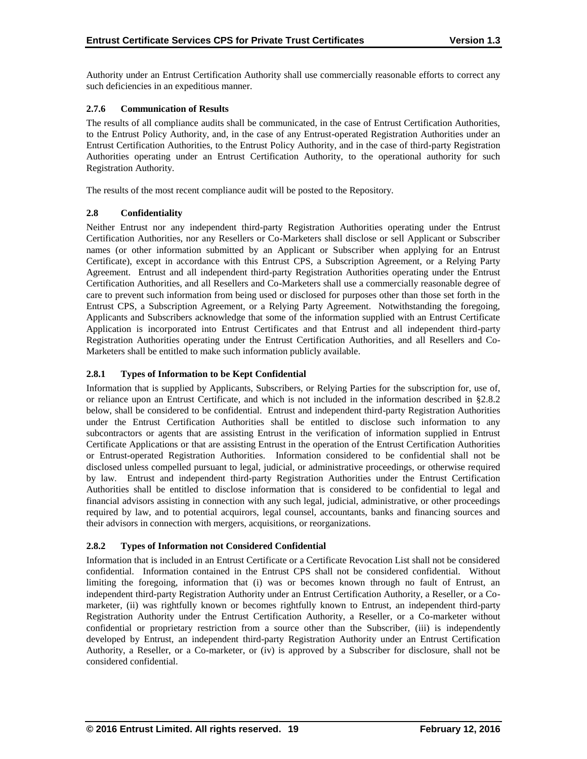Authority under an Entrust Certification Authority shall use commercially reasonable efforts to correct any such deficiencies in an expeditious manner.

# **2.7.6 Communication of Results**

The results of all compliance audits shall be communicated, in the case of Entrust Certification Authorities, to the Entrust Policy Authority, and, in the case of any Entrust-operated Registration Authorities under an Entrust Certification Authorities, to the Entrust Policy Authority, and in the case of third-party Registration Authorities operating under an Entrust Certification Authority, to the operational authority for such Registration Authority.

The results of the most recent compliance audit will be posted to the Repository.

# **2.8 Confidentiality**

Neither Entrust nor any independent third-party Registration Authorities operating under the Entrust Certification Authorities, nor any Resellers or Co-Marketers shall disclose or sell Applicant or Subscriber names (or other information submitted by an Applicant or Subscriber when applying for an Entrust Certificate), except in accordance with this Entrust CPS, a Subscription Agreement, or a Relying Party Agreement. Entrust and all independent third-party Registration Authorities operating under the Entrust Certification Authorities, and all Resellers and Co-Marketers shall use a commercially reasonable degree of care to prevent such information from being used or disclosed for purposes other than those set forth in the Entrust CPS, a Subscription Agreement, or a Relying Party Agreement. Notwithstanding the foregoing, Applicants and Subscribers acknowledge that some of the information supplied with an Entrust Certificate Application is incorporated into Entrust Certificates and that Entrust and all independent third-party Registration Authorities operating under the Entrust Certification Authorities, and all Resellers and Co-Marketers shall be entitled to make such information publicly available.

# **2.8.1 Types of Information to be Kept Confidential**

Information that is supplied by Applicants, Subscribers, or Relying Parties for the subscription for, use of, or reliance upon an Entrust Certificate, and which is not included in the information described in §2.8.2 below, shall be considered to be confidential. Entrust and independent third-party Registration Authorities under the Entrust Certification Authorities shall be entitled to disclose such information to any subcontractors or agents that are assisting Entrust in the verification of information supplied in Entrust Certificate Applications or that are assisting Entrust in the operation of the Entrust Certification Authorities or Entrust-operated Registration Authorities. Information considered to be confidential shall not be disclosed unless compelled pursuant to legal, judicial, or administrative proceedings, or otherwise required by law. Entrust and independent third-party Registration Authorities under the Entrust Certification Authorities shall be entitled to disclose information that is considered to be confidential to legal and financial advisors assisting in connection with any such legal, judicial, administrative, or other proceedings required by law, and to potential acquirors, legal counsel, accountants, banks and financing sources and their advisors in connection with mergers, acquisitions, or reorganizations.

# **2.8.2 Types of Information not Considered Confidential**

Information that is included in an Entrust Certificate or a Certificate Revocation List shall not be considered confidential. Information contained in the Entrust CPS shall not be considered confidential. Without limiting the foregoing, information that (i) was or becomes known through no fault of Entrust, an independent third-party Registration Authority under an Entrust Certification Authority, a Reseller, or a Comarketer, (ii) was rightfully known or becomes rightfully known to Entrust, an independent third-party Registration Authority under the Entrust Certification Authority, a Reseller, or a Co-marketer without confidential or proprietary restriction from a source other than the Subscriber, (iii) is independently developed by Entrust, an independent third-party Registration Authority under an Entrust Certification Authority, a Reseller, or a Co-marketer, or (iv) is approved by a Subscriber for disclosure, shall not be considered confidential.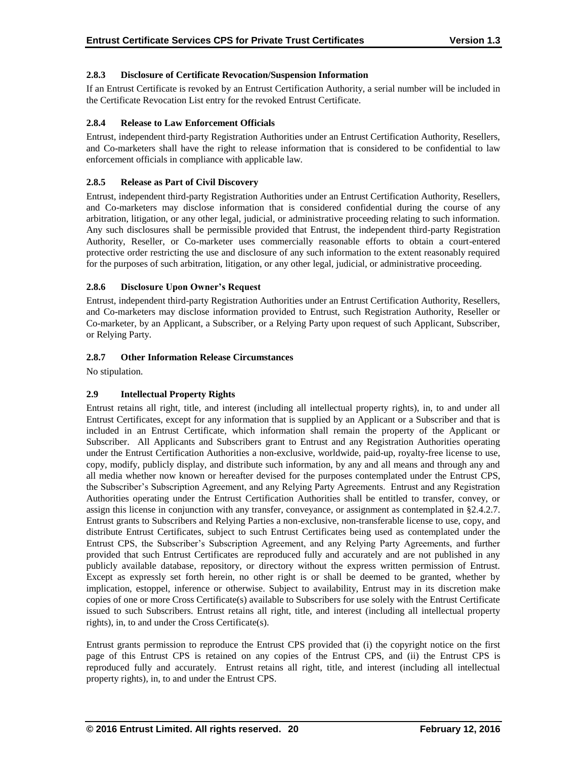# **2.8.3 Disclosure of Certificate Revocation/Suspension Information**

If an Entrust Certificate is revoked by an Entrust Certification Authority, a serial number will be included in the Certificate Revocation List entry for the revoked Entrust Certificate.

## **2.8.4 Release to Law Enforcement Officials**

Entrust, independent third-party Registration Authorities under an Entrust Certification Authority, Resellers, and Co-marketers shall have the right to release information that is considered to be confidential to law enforcement officials in compliance with applicable law.

# **2.8.5 Release as Part of Civil Discovery**

Entrust, independent third-party Registration Authorities under an Entrust Certification Authority, Resellers, and Co-marketers may disclose information that is considered confidential during the course of any arbitration, litigation, or any other legal, judicial, or administrative proceeding relating to such information. Any such disclosures shall be permissible provided that Entrust, the independent third-party Registration Authority, Reseller, or Co-marketer uses commercially reasonable efforts to obtain a court-entered protective order restricting the use and disclosure of any such information to the extent reasonably required for the purposes of such arbitration, litigation, or any other legal, judicial, or administrative proceeding.

# **2.8.6 Disclosure Upon Owner's Request**

Entrust, independent third-party Registration Authorities under an Entrust Certification Authority, Resellers, and Co-marketers may disclose information provided to Entrust, such Registration Authority, Reseller or Co-marketer, by an Applicant, a Subscriber, or a Relying Party upon request of such Applicant, Subscriber, or Relying Party.

# **2.8.7 Other Information Release Circumstances**

No stipulation.

# **2.9 Intellectual Property Rights**

Entrust retains all right, title, and interest (including all intellectual property rights), in, to and under all Entrust Certificates, except for any information that is supplied by an Applicant or a Subscriber and that is included in an Entrust Certificate, which information shall remain the property of the Applicant or Subscriber. All Applicants and Subscribers grant to Entrust and any Registration Authorities operating under the Entrust Certification Authorities a non-exclusive, worldwide, paid-up, royalty-free license to use, copy, modify, publicly display, and distribute such information, by any and all means and through any and all media whether now known or hereafter devised for the purposes contemplated under the Entrust CPS, the Subscriber's Subscription Agreement, and any Relying Party Agreements. Entrust and any Registration Authorities operating under the Entrust Certification Authorities shall be entitled to transfer, convey, or assign this license in conjunction with any transfer, conveyance, or assignment as contemplated in §2.4.2.7. Entrust grants to Subscribers and Relying Parties a non-exclusive, non-transferable license to use, copy, and distribute Entrust Certificates, subject to such Entrust Certificates being used as contemplated under the Entrust CPS, the Subscriber's Subscription Agreement, and any Relying Party Agreements, and further provided that such Entrust Certificates are reproduced fully and accurately and are not published in any publicly available database, repository, or directory without the express written permission of Entrust. Except as expressly set forth herein, no other right is or shall be deemed to be granted, whether by implication, estoppel, inference or otherwise. Subject to availability, Entrust may in its discretion make copies of one or more Cross Certificate(s) available to Subscribers for use solely with the Entrust Certificate issued to such Subscribers. Entrust retains all right, title, and interest (including all intellectual property rights), in, to and under the Cross Certificate(s).

Entrust grants permission to reproduce the Entrust CPS provided that (i) the copyright notice on the first page of this Entrust CPS is retained on any copies of the Entrust CPS, and (ii) the Entrust CPS is reproduced fully and accurately. Entrust retains all right, title, and interest (including all intellectual property rights), in, to and under the Entrust CPS.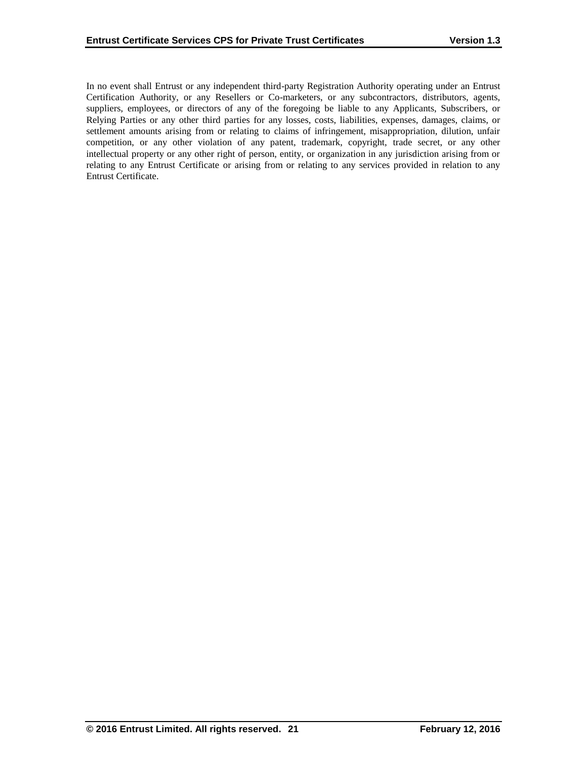In no event shall Entrust or any independent third-party Registration Authority operating under an Entrust Certification Authority, or any Resellers or Co-marketers, or any subcontractors, distributors, agents, suppliers, employees, or directors of any of the foregoing be liable to any Applicants, Subscribers, or Relying Parties or any other third parties for any losses, costs, liabilities, expenses, damages, claims, or settlement amounts arising from or relating to claims of infringement, misappropriation, dilution, unfair competition, or any other violation of any patent, trademark, copyright, trade secret, or any other intellectual property or any other right of person, entity, or organization in any jurisdiction arising from or relating to any Entrust Certificate or arising from or relating to any services provided in relation to any Entrust Certificate.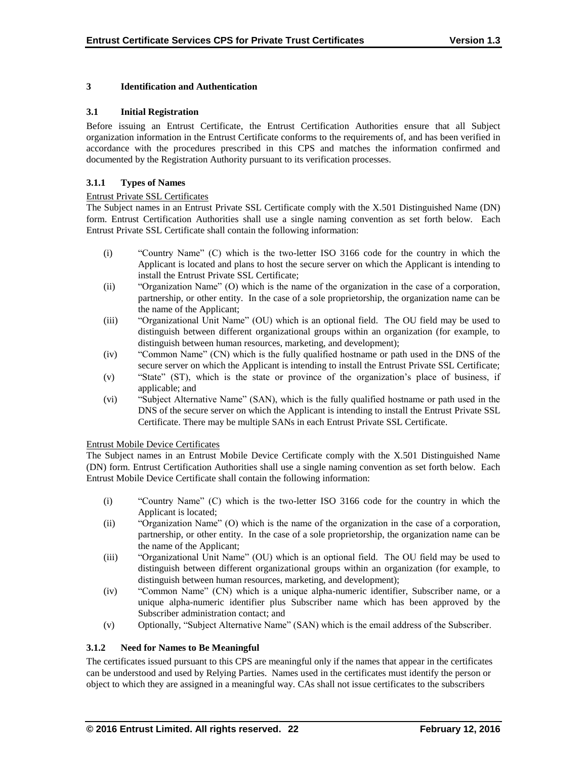# **3 Identification and Authentication**

## **3.1 Initial Registration**

Before issuing an Entrust Certificate, the Entrust Certification Authorities ensure that all Subject organization information in the Entrust Certificate conforms to the requirements of, and has been verified in accordance with the procedures prescribed in this CPS and matches the information confirmed and documented by the Registration Authority pursuant to its verification processes.

## **3.1.1 Types of Names**

## Entrust Private SSL Certificates

The Subject names in an Entrust Private SSL Certificate comply with the X.501 Distinguished Name (DN) form. Entrust Certification Authorities shall use a single naming convention as set forth below. Each Entrust Private SSL Certificate shall contain the following information:

- (i) "Country Name" (C) which is the two-letter ISO 3166 code for the country in which the Applicant is located and plans to host the secure server on which the Applicant is intending to install the Entrust Private SSL Certificate;
- (ii) "Organization Name" (O) which is the name of the organization in the case of a corporation, partnership, or other entity. In the case of a sole proprietorship, the organization name can be the name of the Applicant;
- (iii) "Organizational Unit Name" (OU) which is an optional field. The OU field may be used to distinguish between different organizational groups within an organization (for example, to distinguish between human resources, marketing, and development);
- (iv) "Common Name" (CN) which is the fully qualified hostname or path used in the DNS of the secure server on which the Applicant is intending to install the Entrust Private SSL Certificate;
- (v) "State" (ST), which is the state or province of the organization's place of business, if applicable; and
- (vi) "Subject Alternative Name" (SAN), which is the fully qualified hostname or path used in the DNS of the secure server on which the Applicant is intending to install the Entrust Private SSL Certificate. There may be multiple SANs in each Entrust Private SSL Certificate.

## Entrust Mobile Device Certificates

The Subject names in an Entrust Mobile Device Certificate comply with the X.501 Distinguished Name (DN) form. Entrust Certification Authorities shall use a single naming convention as set forth below. Each Entrust Mobile Device Certificate shall contain the following information:

- (i) "Country Name" (C) which is the two-letter ISO 3166 code for the country in which the Applicant is located;
- (ii) "Organization Name" (O) which is the name of the organization in the case of a corporation, partnership, or other entity. In the case of a sole proprietorship, the organization name can be the name of the Applicant;
- (iii) "Organizational Unit Name" (OU) which is an optional field. The OU field may be used to distinguish between different organizational groups within an organization (for example, to distinguish between human resources, marketing, and development);
- (iv) "Common Name" (CN) which is a unique alpha-numeric identifier, Subscriber name, or a unique alpha-numeric identifier plus Subscriber name which has been approved by the Subscriber administration contact; and
- (v) Optionally, "Subject Alternative Name" (SAN) which is the email address of the Subscriber.

## **3.1.2 Need for Names to Be Meaningful**

The certificates issued pursuant to this CPS are meaningful only if the names that appear in the certificates can be understood and used by Relying Parties. Names used in the certificates must identify the person or object to which they are assigned in a meaningful way. CAs shall not issue certificates to the subscribers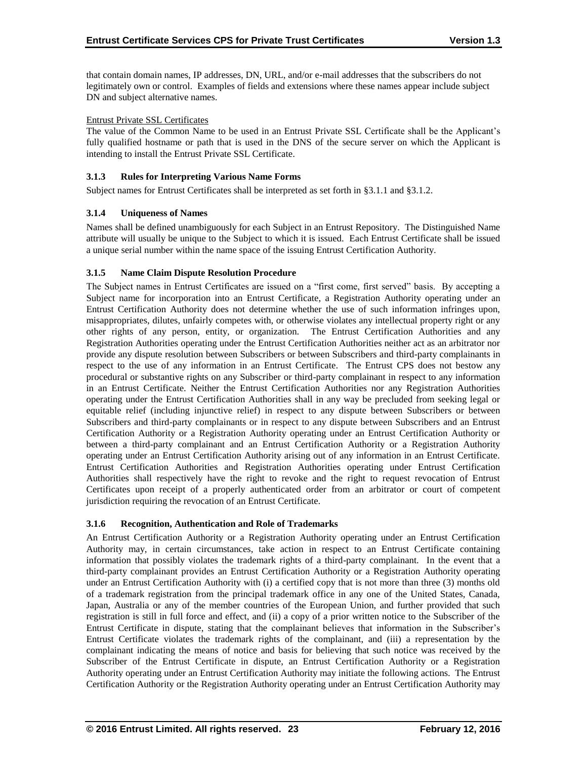that contain domain names, IP addresses, DN, URL, and/or e-mail addresses that the subscribers do not legitimately own or control. Examples of fields and extensions where these names appear include subject DN and subject alternative names.

## Entrust Private SSL Certificates

The value of the Common Name to be used in an Entrust Private SSL Certificate shall be the Applicant's fully qualified hostname or path that is used in the DNS of the secure server on which the Applicant is intending to install the Entrust Private SSL Certificate.

## **3.1.3 Rules for Interpreting Various Name Forms**

Subject names for Entrust Certificates shall be interpreted as set forth in §3.1.1 and §3.1.2.

## **3.1.4 Uniqueness of Names**

Names shall be defined unambiguously for each Subject in an Entrust Repository. The Distinguished Name attribute will usually be unique to the Subject to which it is issued. Each Entrust Certificate shall be issued a unique serial number within the name space of the issuing Entrust Certification Authority.

#### **3.1.5 Name Claim Dispute Resolution Procedure**

The Subject names in Entrust Certificates are issued on a "first come, first served" basis. By accepting a Subject name for incorporation into an Entrust Certificate, a Registration Authority operating under an Entrust Certification Authority does not determine whether the use of such information infringes upon, misappropriates, dilutes, unfairly competes with, or otherwise violates any intellectual property right or any other rights of any person, entity, or organization. The Entrust Certification Authorities and any Registration Authorities operating under the Entrust Certification Authorities neither act as an arbitrator nor provide any dispute resolution between Subscribers or between Subscribers and third-party complainants in respect to the use of any information in an Entrust Certificate. The Entrust CPS does not bestow any procedural or substantive rights on any Subscriber or third-party complainant in respect to any information in an Entrust Certificate. Neither the Entrust Certification Authorities nor any Registration Authorities operating under the Entrust Certification Authorities shall in any way be precluded from seeking legal or equitable relief (including injunctive relief) in respect to any dispute between Subscribers or between Subscribers and third-party complainants or in respect to any dispute between Subscribers and an Entrust Certification Authority or a Registration Authority operating under an Entrust Certification Authority or between a third-party complainant and an Entrust Certification Authority or a Registration Authority operating under an Entrust Certification Authority arising out of any information in an Entrust Certificate. Entrust Certification Authorities and Registration Authorities operating under Entrust Certification Authorities shall respectively have the right to revoke and the right to request revocation of Entrust Certificates upon receipt of a properly authenticated order from an arbitrator or court of competent jurisdiction requiring the revocation of an Entrust Certificate.

## **3.1.6 Recognition, Authentication and Role of Trademarks**

An Entrust Certification Authority or a Registration Authority operating under an Entrust Certification Authority may, in certain circumstances, take action in respect to an Entrust Certificate containing information that possibly violates the trademark rights of a third-party complainant. In the event that a third-party complainant provides an Entrust Certification Authority or a Registration Authority operating under an Entrust Certification Authority with (i) a certified copy that is not more than three (3) months old of a trademark registration from the principal trademark office in any one of the United States, Canada, Japan, Australia or any of the member countries of the European Union, and further provided that such registration is still in full force and effect, and (ii) a copy of a prior written notice to the Subscriber of the Entrust Certificate in dispute, stating that the complainant believes that information in the Subscriber's Entrust Certificate violates the trademark rights of the complainant, and (iii) a representation by the complainant indicating the means of notice and basis for believing that such notice was received by the Subscriber of the Entrust Certificate in dispute, an Entrust Certification Authority or a Registration Authority operating under an Entrust Certification Authority may initiate the following actions. The Entrust Certification Authority or the Registration Authority operating under an Entrust Certification Authority may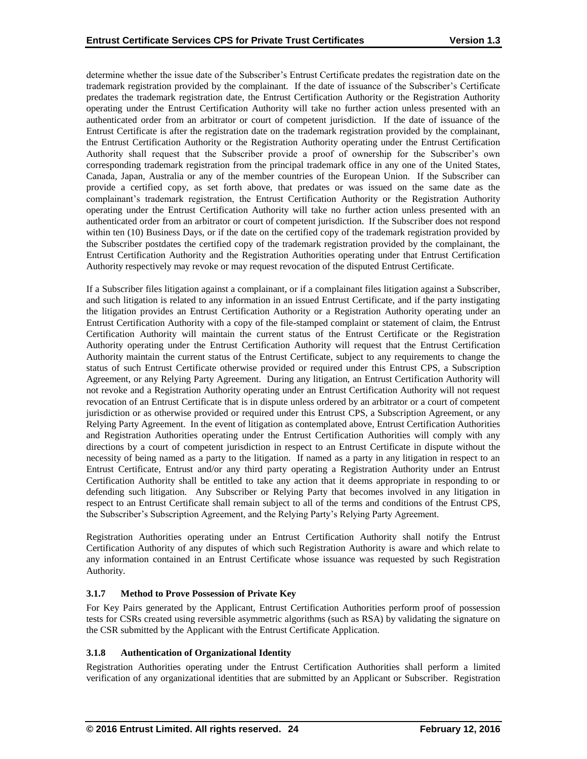determine whether the issue date of the Subscriber's Entrust Certificate predates the registration date on the trademark registration provided by the complainant. If the date of issuance of the Subscriber's Certificate predates the trademark registration date, the Entrust Certification Authority or the Registration Authority operating under the Entrust Certification Authority will take no further action unless presented with an authenticated order from an arbitrator or court of competent jurisdiction. If the date of issuance of the Entrust Certificate is after the registration date on the trademark registration provided by the complainant, the Entrust Certification Authority or the Registration Authority operating under the Entrust Certification Authority shall request that the Subscriber provide a proof of ownership for the Subscriber's own corresponding trademark registration from the principal trademark office in any one of the United States, Canada, Japan, Australia or any of the member countries of the European Union. If the Subscriber can provide a certified copy, as set forth above, that predates or was issued on the same date as the complainant's trademark registration, the Entrust Certification Authority or the Registration Authority operating under the Entrust Certification Authority will take no further action unless presented with an authenticated order from an arbitrator or court of competent jurisdiction. If the Subscriber does not respond within ten (10) Business Days, or if the date on the certified copy of the trademark registration provided by the Subscriber postdates the certified copy of the trademark registration provided by the complainant, the Entrust Certification Authority and the Registration Authorities operating under that Entrust Certification Authority respectively may revoke or may request revocation of the disputed Entrust Certificate.

If a Subscriber files litigation against a complainant, or if a complainant files litigation against a Subscriber, and such litigation is related to any information in an issued Entrust Certificate, and if the party instigating the litigation provides an Entrust Certification Authority or a Registration Authority operating under an Entrust Certification Authority with a copy of the file-stamped complaint or statement of claim, the Entrust Certification Authority will maintain the current status of the Entrust Certificate or the Registration Authority operating under the Entrust Certification Authority will request that the Entrust Certification Authority maintain the current status of the Entrust Certificate, subject to any requirements to change the status of such Entrust Certificate otherwise provided or required under this Entrust CPS, a Subscription Agreement, or any Relying Party Agreement. During any litigation, an Entrust Certification Authority will not revoke and a Registration Authority operating under an Entrust Certification Authority will not request revocation of an Entrust Certificate that is in dispute unless ordered by an arbitrator or a court of competent jurisdiction or as otherwise provided or required under this Entrust CPS, a Subscription Agreement, or any Relying Party Agreement. In the event of litigation as contemplated above, Entrust Certification Authorities and Registration Authorities operating under the Entrust Certification Authorities will comply with any directions by a court of competent jurisdiction in respect to an Entrust Certificate in dispute without the necessity of being named as a party to the litigation. If named as a party in any litigation in respect to an Entrust Certificate, Entrust and/or any third party operating a Registration Authority under an Entrust Certification Authority shall be entitled to take any action that it deems appropriate in responding to or defending such litigation. Any Subscriber or Relying Party that becomes involved in any litigation in respect to an Entrust Certificate shall remain subject to all of the terms and conditions of the Entrust CPS, the Subscriber's Subscription Agreement, and the Relying Party's Relying Party Agreement.

Registration Authorities operating under an Entrust Certification Authority shall notify the Entrust Certification Authority of any disputes of which such Registration Authority is aware and which relate to any information contained in an Entrust Certificate whose issuance was requested by such Registration Authority.

# **3.1.7 Method to Prove Possession of Private Key**

For Key Pairs generated by the Applicant, Entrust Certification Authorities perform proof of possession tests for CSRs created using reversible asymmetric algorithms (such as RSA) by validating the signature on the CSR submitted by the Applicant with the Entrust Certificate Application.

# **3.1.8 Authentication of Organizational Identity**

Registration Authorities operating under the Entrust Certification Authorities shall perform a limited verification of any organizational identities that are submitted by an Applicant or Subscriber. Registration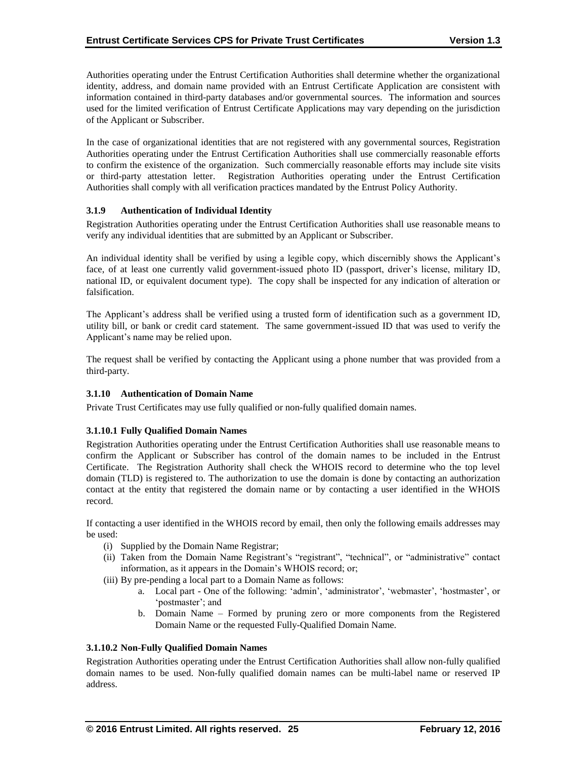Authorities operating under the Entrust Certification Authorities shall determine whether the organizational identity, address, and domain name provided with an Entrust Certificate Application are consistent with information contained in third-party databases and/or governmental sources. The information and sources used for the limited verification of Entrust Certificate Applications may vary depending on the jurisdiction of the Applicant or Subscriber.

In the case of organizational identities that are not registered with any governmental sources, Registration Authorities operating under the Entrust Certification Authorities shall use commercially reasonable efforts to confirm the existence of the organization. Such commercially reasonable efforts may include site visits or third-party attestation letter. Registration Authorities operating under the Entrust Certification Authorities shall comply with all verification practices mandated by the Entrust Policy Authority.

## **3.1.9 Authentication of Individual Identity**

Registration Authorities operating under the Entrust Certification Authorities shall use reasonable means to verify any individual identities that are submitted by an Applicant or Subscriber.

An individual identity shall be verified by using a legible copy, which discernibly shows the Applicant's face, of at least one currently valid government-issued photo ID (passport, driver's license, military ID, national ID, or equivalent document type). The copy shall be inspected for any indication of alteration or falsification.

The Applicant's address shall be verified using a trusted form of identification such as a government ID, utility bill, or bank or credit card statement. The same government-issued ID that was used to verify the Applicant's name may be relied upon.

The request shall be verified by contacting the Applicant using a phone number that was provided from a third-party.

## **3.1.10 Authentication of Domain Name**

Private Trust Certificates may use fully qualified or non-fully qualified domain names.

## **3.1.10.1 Fully Qualified Domain Names**

Registration Authorities operating under the Entrust Certification Authorities shall use reasonable means to confirm the Applicant or Subscriber has control of the domain names to be included in the Entrust Certificate. The Registration Authority shall check the WHOIS record to determine who the top level domain (TLD) is registered to. The authorization to use the domain is done by contacting an authorization contact at the entity that registered the domain name or by contacting a user identified in the WHOIS record.

If contacting a user identified in the WHOIS record by email, then only the following emails addresses may be used:

- (i) Supplied by the Domain Name Registrar;
- (ii) Taken from the Domain Name Registrant's "registrant", "technical", or "administrative" contact information, as it appears in the Domain's WHOIS record; or;
- (iii) By pre-pending a local part to a Domain Name as follows:
	- a. Local part One of the following: 'admin', 'administrator', 'webmaster', 'hostmaster', or 'postmaster'; and
	- b. Domain Name Formed by pruning zero or more components from the Registered Domain Name or the requested Fully-Qualified Domain Name.

## **3.1.10.2 Non-Fully Qualified Domain Names**

Registration Authorities operating under the Entrust Certification Authorities shall allow non-fully qualified domain names to be used. Non-fully qualified domain names can be multi-label name or reserved IP address.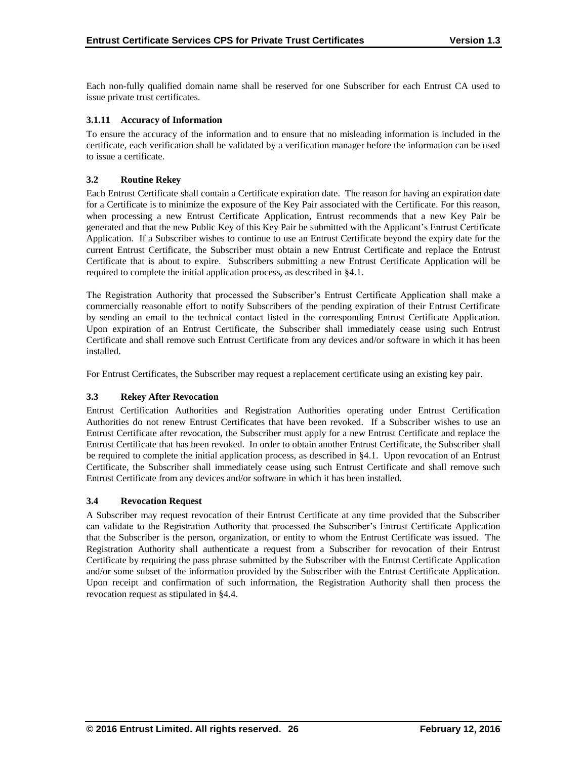Each non-fully qualified domain name shall be reserved for one Subscriber for each Entrust CA used to issue private trust certificates.

## **3.1.11 Accuracy of Information**

To ensure the accuracy of the information and to ensure that no misleading information is included in the certificate, each verification shall be validated by a verification manager before the information can be used to issue a certificate.

# **3.2 Routine Rekey**

Each Entrust Certificate shall contain a Certificate expiration date. The reason for having an expiration date for a Certificate is to minimize the exposure of the Key Pair associated with the Certificate. For this reason, when processing a new Entrust Certificate Application, Entrust recommends that a new Key Pair be generated and that the new Public Key of this Key Pair be submitted with the Applicant's Entrust Certificate Application. If a Subscriber wishes to continue to use an Entrust Certificate beyond the expiry date for the current Entrust Certificate, the Subscriber must obtain a new Entrust Certificate and replace the Entrust Certificate that is about to expire. Subscribers submitting a new Entrust Certificate Application will be required to complete the initial application process, as described in §4.1.

The Registration Authority that processed the Subscriber's Entrust Certificate Application shall make a commercially reasonable effort to notify Subscribers of the pending expiration of their Entrust Certificate by sending an email to the technical contact listed in the corresponding Entrust Certificate Application. Upon expiration of an Entrust Certificate, the Subscriber shall immediately cease using such Entrust Certificate and shall remove such Entrust Certificate from any devices and/or software in which it has been installed.

For Entrust Certificates, the Subscriber may request a replacement certificate using an existing key pair.

## **3.3 Rekey After Revocation**

Entrust Certification Authorities and Registration Authorities operating under Entrust Certification Authorities do not renew Entrust Certificates that have been revoked. If a Subscriber wishes to use an Entrust Certificate after revocation, the Subscriber must apply for a new Entrust Certificate and replace the Entrust Certificate that has been revoked. In order to obtain another Entrust Certificate, the Subscriber shall be required to complete the initial application process, as described in §4.1. Upon revocation of an Entrust Certificate, the Subscriber shall immediately cease using such Entrust Certificate and shall remove such Entrust Certificate from any devices and/or software in which it has been installed.

## **3.4 Revocation Request**

A Subscriber may request revocation of their Entrust Certificate at any time provided that the Subscriber can validate to the Registration Authority that processed the Subscriber's Entrust Certificate Application that the Subscriber is the person, organization, or entity to whom the Entrust Certificate was issued. The Registration Authority shall authenticate a request from a Subscriber for revocation of their Entrust Certificate by requiring the pass phrase submitted by the Subscriber with the Entrust Certificate Application and/or some subset of the information provided by the Subscriber with the Entrust Certificate Application. Upon receipt and confirmation of such information, the Registration Authority shall then process the revocation request as stipulated in §4.4.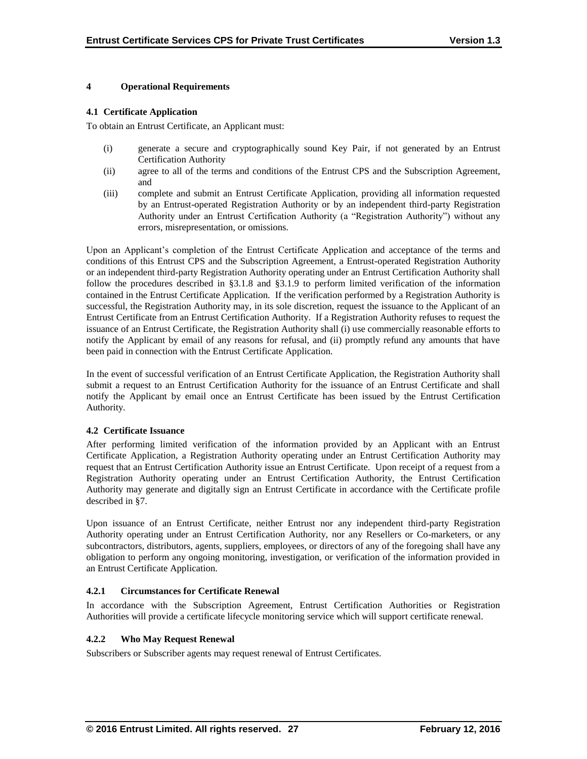## **4 Operational Requirements**

#### **4.1 Certificate Application**

To obtain an Entrust Certificate, an Applicant must:

- (i) generate a secure and cryptographically sound Key Pair, if not generated by an Entrust Certification Authority
- (ii) agree to all of the terms and conditions of the Entrust CPS and the Subscription Agreement, and
- (iii) complete and submit an Entrust Certificate Application, providing all information requested by an Entrust-operated Registration Authority or by an independent third-party Registration Authority under an Entrust Certification Authority (a "Registration Authority") without any errors, misrepresentation, or omissions.

Upon an Applicant's completion of the Entrust Certificate Application and acceptance of the terms and conditions of this Entrust CPS and the Subscription Agreement, a Entrust-operated Registration Authority or an independent third-party Registration Authority operating under an Entrust Certification Authority shall follow the procedures described in §3.1.8 and §3.1.9 to perform limited verification of the information contained in the Entrust Certificate Application. If the verification performed by a Registration Authority is successful, the Registration Authority may, in its sole discretion, request the issuance to the Applicant of an Entrust Certificate from an Entrust Certification Authority. If a Registration Authority refuses to request the issuance of an Entrust Certificate, the Registration Authority shall (i) use commercially reasonable efforts to notify the Applicant by email of any reasons for refusal, and (ii) promptly refund any amounts that have been paid in connection with the Entrust Certificate Application.

In the event of successful verification of an Entrust Certificate Application, the Registration Authority shall submit a request to an Entrust Certification Authority for the issuance of an Entrust Certificate and shall notify the Applicant by email once an Entrust Certificate has been issued by the Entrust Certification Authority.

## **4.2 Certificate Issuance**

After performing limited verification of the information provided by an Applicant with an Entrust Certificate Application, a Registration Authority operating under an Entrust Certification Authority may request that an Entrust Certification Authority issue an Entrust Certificate. Upon receipt of a request from a Registration Authority operating under an Entrust Certification Authority, the Entrust Certification Authority may generate and digitally sign an Entrust Certificate in accordance with the Certificate profile described in §7.

Upon issuance of an Entrust Certificate, neither Entrust nor any independent third-party Registration Authority operating under an Entrust Certification Authority, nor any Resellers or Co-marketers, or any subcontractors, distributors, agents, suppliers, employees, or directors of any of the foregoing shall have any obligation to perform any ongoing monitoring, investigation, or verification of the information provided in an Entrust Certificate Application.

## **4.2.1 Circumstances for Certificate Renewal**

In accordance with the Subscription Agreement, Entrust Certification Authorities or Registration Authorities will provide a certificate lifecycle monitoring service which will support certificate renewal.

## **4.2.2 Who May Request Renewal**

Subscribers or Subscriber agents may request renewal of Entrust Certificates.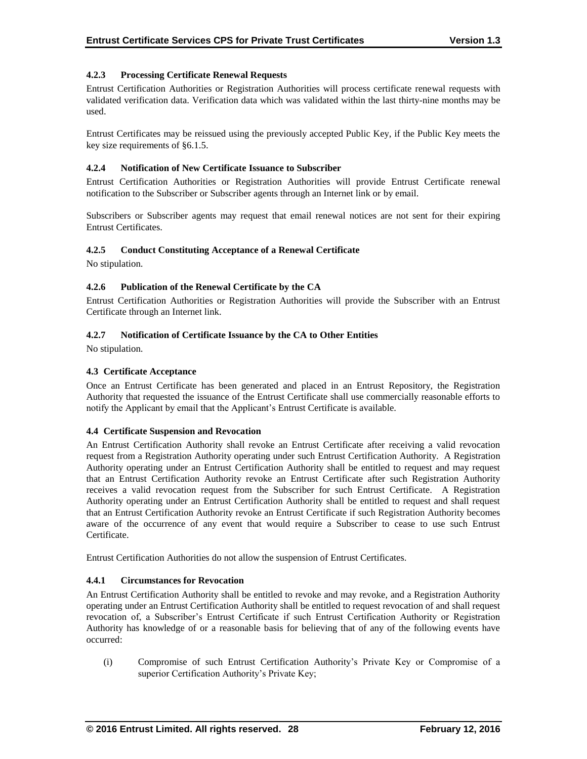# **4.2.3 Processing Certificate Renewal Requests**

Entrust Certification Authorities or Registration Authorities will process certificate renewal requests with validated verification data. Verification data which was validated within the last thirty-nine months may be used.

Entrust Certificates may be reissued using the previously accepted Public Key, if the Public Key meets the key size requirements of §6.1.5.

## **4.2.4 Notification of New Certificate Issuance to Subscriber**

Entrust Certification Authorities or Registration Authorities will provide Entrust Certificate renewal notification to the Subscriber or Subscriber agents through an Internet link or by email.

Subscribers or Subscriber agents may request that email renewal notices are not sent for their expiring Entrust Certificates.

# **4.2.5 Conduct Constituting Acceptance of a Renewal Certificate**

No stipulation.

## **4.2.6 Publication of the Renewal Certificate by the CA**

Entrust Certification Authorities or Registration Authorities will provide the Subscriber with an Entrust Certificate through an Internet link.

## **4.2.7 Notification of Certificate Issuance by the CA to Other Entities**

No stipulation.

# **4.3 Certificate Acceptance**

Once an Entrust Certificate has been generated and placed in an Entrust Repository, the Registration Authority that requested the issuance of the Entrust Certificate shall use commercially reasonable efforts to notify the Applicant by email that the Applicant's Entrust Certificate is available.

## **4.4 Certificate Suspension and Revocation**

An Entrust Certification Authority shall revoke an Entrust Certificate after receiving a valid revocation request from a Registration Authority operating under such Entrust Certification Authority. A Registration Authority operating under an Entrust Certification Authority shall be entitled to request and may request that an Entrust Certification Authority revoke an Entrust Certificate after such Registration Authority receives a valid revocation request from the Subscriber for such Entrust Certificate. A Registration Authority operating under an Entrust Certification Authority shall be entitled to request and shall request that an Entrust Certification Authority revoke an Entrust Certificate if such Registration Authority becomes aware of the occurrence of any event that would require a Subscriber to cease to use such Entrust Certificate.

Entrust Certification Authorities do not allow the suspension of Entrust Certificates.

# **4.4.1 Circumstances for Revocation**

An Entrust Certification Authority shall be entitled to revoke and may revoke, and a Registration Authority operating under an Entrust Certification Authority shall be entitled to request revocation of and shall request revocation of, a Subscriber's Entrust Certificate if such Entrust Certification Authority or Registration Authority has knowledge of or a reasonable basis for believing that of any of the following events have occurred:

(i) Compromise of such Entrust Certification Authority's Private Key or Compromise of a superior Certification Authority's Private Key;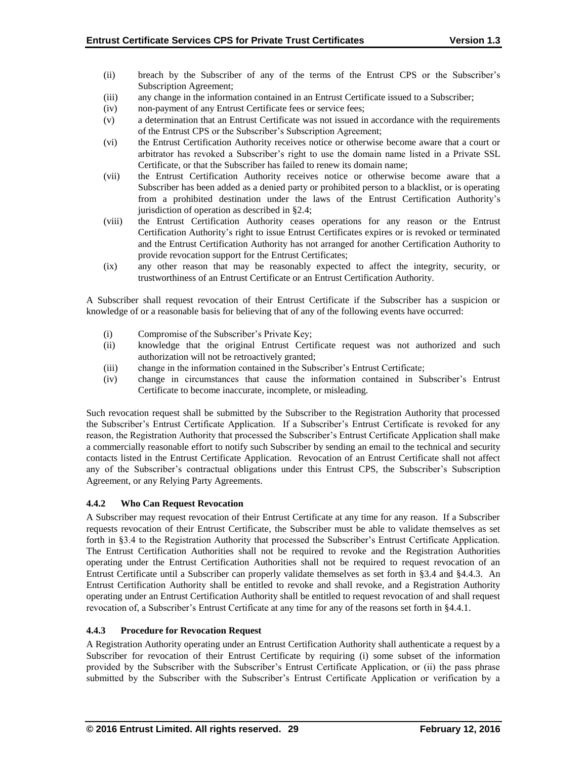- (ii) breach by the Subscriber of any of the terms of the Entrust CPS or the Subscriber's Subscription Agreement;
- (iii) any change in the information contained in an Entrust Certificate issued to a Subscriber;
- (iv) non-payment of any Entrust Certificate fees or service fees;
- (v) a determination that an Entrust Certificate was not issued in accordance with the requirements of the Entrust CPS or the Subscriber's Subscription Agreement;
- (vi) the Entrust Certification Authority receives notice or otherwise become aware that a court or arbitrator has revoked a Subscriber's right to use the domain name listed in a Private SSL Certificate, or that the Subscriber has failed to renew its domain name;
- (vii) the Entrust Certification Authority receives notice or otherwise become aware that a Subscriber has been added as a denied party or prohibited person to a blacklist, or is operating from a prohibited destination under the laws of the Entrust Certification Authority's jurisdiction of operation as described in §2.4;
- (viii) the Entrust Certification Authority ceases operations for any reason or the Entrust Certification Authority's right to issue Entrust Certificates expires or is revoked or terminated and the Entrust Certification Authority has not arranged for another Certification Authority to provide revocation support for the Entrust Certificates;
- (ix) any other reason that may be reasonably expected to affect the integrity, security, or trustworthiness of an Entrust Certificate or an Entrust Certification Authority.

A Subscriber shall request revocation of their Entrust Certificate if the Subscriber has a suspicion or knowledge of or a reasonable basis for believing that of any of the following events have occurred:

- (i) Compromise of the Subscriber's Private Key;
- (ii) knowledge that the original Entrust Certificate request was not authorized and such authorization will not be retroactively granted;
- (iii) change in the information contained in the Subscriber's Entrust Certificate;
- (iv) change in circumstances that cause the information contained in Subscriber's Entrust Certificate to become inaccurate, incomplete, or misleading.

Such revocation request shall be submitted by the Subscriber to the Registration Authority that processed the Subscriber's Entrust Certificate Application. If a Subscriber's Entrust Certificate is revoked for any reason, the Registration Authority that processed the Subscriber's Entrust Certificate Application shall make a commercially reasonable effort to notify such Subscriber by sending an email to the technical and security contacts listed in the Entrust Certificate Application. Revocation of an Entrust Certificate shall not affect any of the Subscriber's contractual obligations under this Entrust CPS, the Subscriber's Subscription Agreement, or any Relying Party Agreements.

# **4.4.2 Who Can Request Revocation**

A Subscriber may request revocation of their Entrust Certificate at any time for any reason. If a Subscriber requests revocation of their Entrust Certificate, the Subscriber must be able to validate themselves as set forth in §3.4 to the Registration Authority that processed the Subscriber's Entrust Certificate Application. The Entrust Certification Authorities shall not be required to revoke and the Registration Authorities operating under the Entrust Certification Authorities shall not be required to request revocation of an Entrust Certificate until a Subscriber can properly validate themselves as set forth in §3.4 and §4.4.3. An Entrust Certification Authority shall be entitled to revoke and shall revoke, and a Registration Authority operating under an Entrust Certification Authority shall be entitled to request revocation of and shall request revocation of, a Subscriber's Entrust Certificate at any time for any of the reasons set forth in §4.4.1.

## **4.4.3 Procedure for Revocation Request**

A Registration Authority operating under an Entrust Certification Authority shall authenticate a request by a Subscriber for revocation of their Entrust Certificate by requiring (i) some subset of the information provided by the Subscriber with the Subscriber's Entrust Certificate Application, or (ii) the pass phrase submitted by the Subscriber with the Subscriber's Entrust Certificate Application or verification by a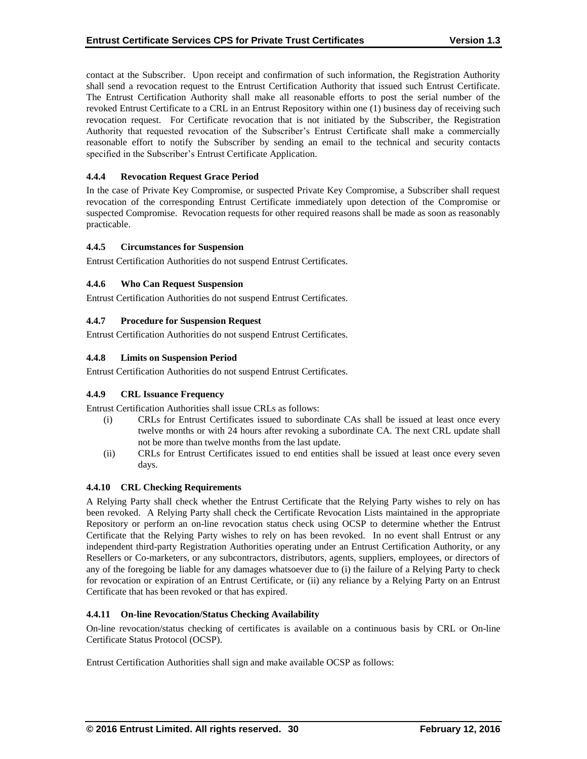contact at the Subscriber. Upon receipt and confirmation of such information, the Registration Authority shall send a revocation request to the Entrust Certification Authority that issued such Entrust Certificate. The Entrust Certification Authority shall make all reasonable efforts to post the serial number of the revoked Entrust Certificate to a CRL in an Entrust Repository within one (1) business day of receiving such revocation request. For Certificate revocation that is not initiated by the Subscriber, the Registration Authority that requested revocation of the Subscriber's Entrust Certificate shall make a commercially reasonable effort to notify the Subscriber by sending an email to the technical and security contacts specified in the Subscriber's Entrust Certificate Application.

# **4.4.4 Revocation Request Grace Period**

In the case of Private Key Compromise, or suspected Private Key Compromise, a Subscriber shall request revocation of the corresponding Entrust Certificate immediately upon detection of the Compromise or suspected Compromise. Revocation requests for other required reasons shall be made as soon as reasonably practicable.

# **4.4.5 Circumstances for Suspension**

Entrust Certification Authorities do not suspend Entrust Certificates.

# **4.4.6 Who Can Request Suspension**

Entrust Certification Authorities do not suspend Entrust Certificates.

# **4.4.7 Procedure for Suspension Request**

Entrust Certification Authorities do not suspend Entrust Certificates.

# **4.4.8 Limits on Suspension Period**

Entrust Certification Authorities do not suspend Entrust Certificates.

## **4.4.9 CRL Issuance Frequency**

Entrust Certification Authorities shall issue CRLs as follows:

- (i) CRLs for Entrust Certificates issued to subordinate CAs shall be issued at least once every twelve months or with 24 hours after revoking a subordinate CA. The next CRL update shall not be more than twelve months from the last update.
- (ii) CRLs for Entrust Certificates issued to end entities shall be issued at least once every seven days.

## **4.4.10 CRL Checking Requirements**

A Relying Party shall check whether the Entrust Certificate that the Relying Party wishes to rely on has been revoked. A Relying Party shall check the Certificate Revocation Lists maintained in the appropriate Repository or perform an on-line revocation status check using OCSP to determine whether the Entrust Certificate that the Relying Party wishes to rely on has been revoked. In no event shall Entrust or any independent third-party Registration Authorities operating under an Entrust Certification Authority, or any Resellers or Co-marketers, or any subcontractors, distributors, agents, suppliers, employees, or directors of any of the foregoing be liable for any damages whatsoever due to (i) the failure of a Relying Party to check for revocation or expiration of an Entrust Certificate, or (ii) any reliance by a Relying Party on an Entrust Certificate that has been revoked or that has expired.

## **4.4.11 On-line Revocation/Status Checking Availability**

On-line revocation/status checking of certificates is available on a continuous basis by CRL or On-line Certificate Status Protocol (OCSP).

Entrust Certification Authorities shall sign and make available OCSP as follows: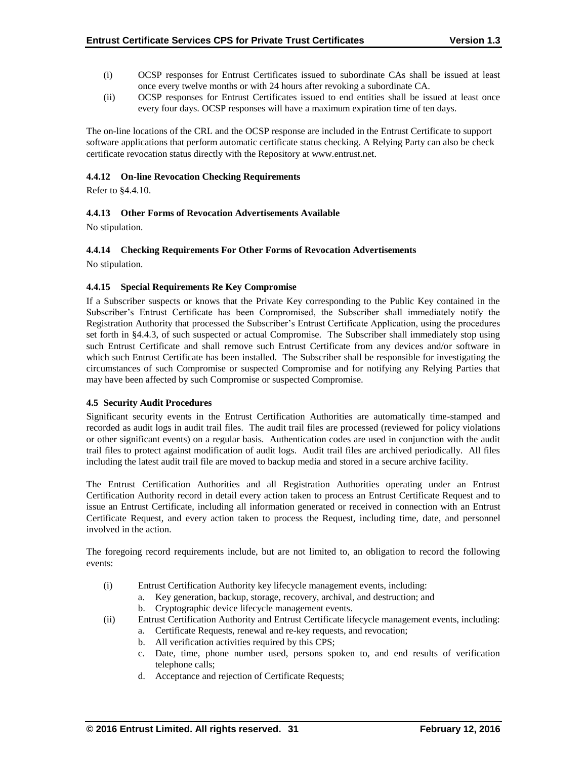- (i) OCSP responses for Entrust Certificates issued to subordinate CAs shall be issued at least once every twelve months or with 24 hours after revoking a subordinate CA.
- (ii) OCSP responses for Entrust Certificates issued to end entities shall be issued at least once every four days. OCSP responses will have a maximum expiration time of ten days.

The on-line locations of the CRL and the OCSP response are included in the Entrust Certificate to support software applications that perform automatic certificate status checking. A Relying Party can also be check certificate revocation status directly with the Repository at www.entrust.net.

## **4.4.12 On-line Revocation Checking Requirements**

Refer to §4.4.10.

# **4.4.13 Other Forms of Revocation Advertisements Available**

No stipulation.

## **4.4.14 Checking Requirements For Other Forms of Revocation Advertisements**

No stipulation.

## **4.4.15 Special Requirements Re Key Compromise**

If a Subscriber suspects or knows that the Private Key corresponding to the Public Key contained in the Subscriber's Entrust Certificate has been Compromised, the Subscriber shall immediately notify the Registration Authority that processed the Subscriber's Entrust Certificate Application, using the procedures set forth in §4.4.3, of such suspected or actual Compromise. The Subscriber shall immediately stop using such Entrust Certificate and shall remove such Entrust Certificate from any devices and/or software in which such Entrust Certificate has been installed. The Subscriber shall be responsible for investigating the circumstances of such Compromise or suspected Compromise and for notifying any Relying Parties that may have been affected by such Compromise or suspected Compromise.

## **4.5 Security Audit Procedures**

Significant security events in the Entrust Certification Authorities are automatically time-stamped and recorded as audit logs in audit trail files. The audit trail files are processed (reviewed for policy violations or other significant events) on a regular basis. Authentication codes are used in conjunction with the audit trail files to protect against modification of audit logs. Audit trail files are archived periodically. All files including the latest audit trail file are moved to backup media and stored in a secure archive facility.

The Entrust Certification Authorities and all Registration Authorities operating under an Entrust Certification Authority record in detail every action taken to process an Entrust Certificate Request and to issue an Entrust Certificate, including all information generated or received in connection with an Entrust Certificate Request, and every action taken to process the Request, including time, date, and personnel involved in the action.

The foregoing record requirements include, but are not limited to, an obligation to record the following events:

- (i) Entrust Certification Authority key lifecycle management events, including:
	- a. Key generation, backup, storage, recovery, archival, and destruction; and
	- b. Cryptographic device lifecycle management events.
- (ii) Entrust Certification Authority and Entrust Certificate lifecycle management events, including:
	- a. Certificate Requests, renewal and re-key requests, and revocation;
	- b. All verification activities required by this CPS;
	- c. Date, time, phone number used, persons spoken to, and end results of verification telephone calls;
	- d. Acceptance and rejection of Certificate Requests;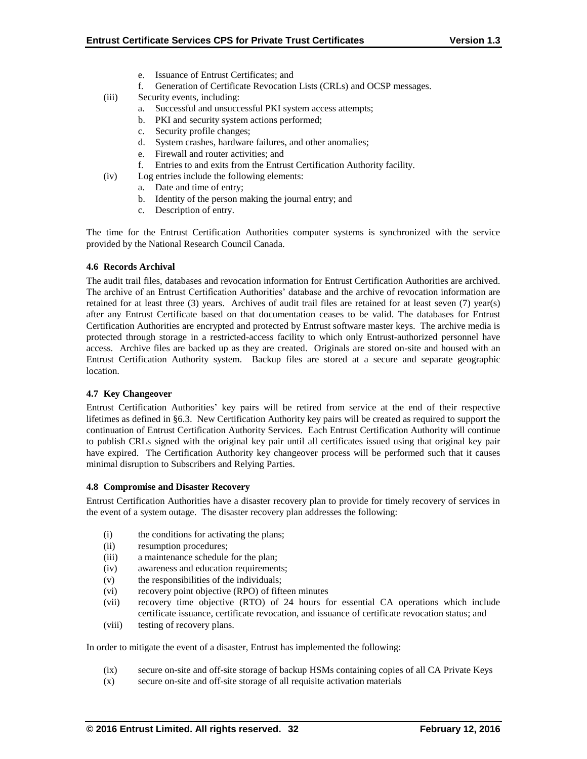- e. Issuance of Entrust Certificates; and
- f. Generation of Certificate Revocation Lists (CRLs) and OCSP messages.
- (iii) Security events, including:
	- a. Successful and unsuccessful PKI system access attempts;
	- b. PKI and security system actions performed;
	- c. Security profile changes;
	- d. System crashes, hardware failures, and other anomalies;
	- e. Firewall and router activities; and
	- f. Entries to and exits from the Entrust Certification Authority facility.
- (iv) Log entries include the following elements:
	- a. Date and time of entry;
	- b. Identity of the person making the journal entry; and
	- c. Description of entry.

The time for the Entrust Certification Authorities computer systems is synchronized with the service provided by the National Research Council Canada.

## **4.6 Records Archival**

The audit trail files, databases and revocation information for Entrust Certification Authorities are archived. The archive of an Entrust Certification Authorities' database and the archive of revocation information are retained for at least three (3) years. Archives of audit trail files are retained for at least seven (7) year(s) after any Entrust Certificate based on that documentation ceases to be valid. The databases for Entrust Certification Authorities are encrypted and protected by Entrust software master keys. The archive media is protected through storage in a restricted-access facility to which only Entrust-authorized personnel have access. Archive files are backed up as they are created. Originals are stored on-site and housed with an Entrust Certification Authority system. Backup files are stored at a secure and separate geographic location.

## **4.7 Key Changeover**

Entrust Certification Authorities' key pairs will be retired from service at the end of their respective lifetimes as defined in §6.3. New Certification Authority key pairs will be created as required to support the continuation of Entrust Certification Authority Services. Each Entrust Certification Authority will continue to publish CRLs signed with the original key pair until all certificates issued using that original key pair have expired. The Certification Authority key changeover process will be performed such that it causes minimal disruption to Subscribers and Relying Parties.

## **4.8 Compromise and Disaster Recovery**

Entrust Certification Authorities have a disaster recovery plan to provide for timely recovery of services in the event of a system outage. The disaster recovery plan addresses the following:

- (i) the conditions for activating the plans;
- (ii) resumption procedures;
- (iii) a maintenance schedule for the plan;
- (iv) awareness and education requirements;
- (v) the responsibilities of the individuals;
- (vi) recovery point objective (RPO) of fifteen minutes
- (vii) recovery time objective (RTO) of 24 hours for essential CA operations which include certificate issuance, certificate revocation, and issuance of certificate revocation status; and
- (viii) testing of recovery plans.

In order to mitigate the event of a disaster, Entrust has implemented the following:

- (ix) secure on-site and off-site storage of backup HSMs containing copies of all CA Private Keys
- (x) secure on-site and off-site storage of all requisite activation materials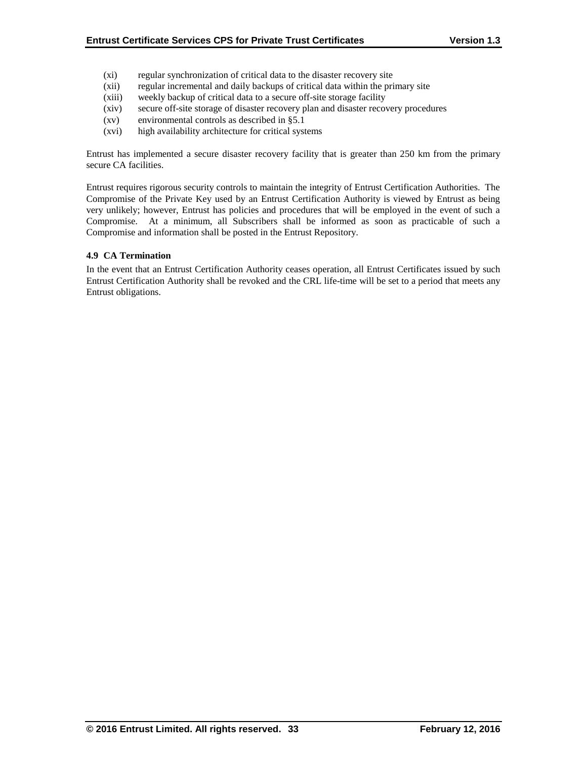- (xi) regular synchronization of critical data to the disaster recovery site
- (xii) regular incremental and daily backups of critical data within the primary site
- (xiii) weekly backup of critical data to a secure off-site storage facility
- (xiv) secure off-site storage of disaster recovery plan and disaster recovery procedures
- (xv) environmental controls as described in §5.1
- (xvi) high availability architecture for critical systems

Entrust has implemented a secure disaster recovery facility that is greater than 250 km from the primary secure CA facilities.

Entrust requires rigorous security controls to maintain the integrity of Entrust Certification Authorities. The Compromise of the Private Key used by an Entrust Certification Authority is viewed by Entrust as being very unlikely; however, Entrust has policies and procedures that will be employed in the event of such a Compromise. At a minimum, all Subscribers shall be informed as soon as practicable of such a Compromise and information shall be posted in the Entrust Repository.

# **4.9 CA Termination**

In the event that an Entrust Certification Authority ceases operation, all Entrust Certificates issued by such Entrust Certification Authority shall be revoked and the CRL life-time will be set to a period that meets any Entrust obligations.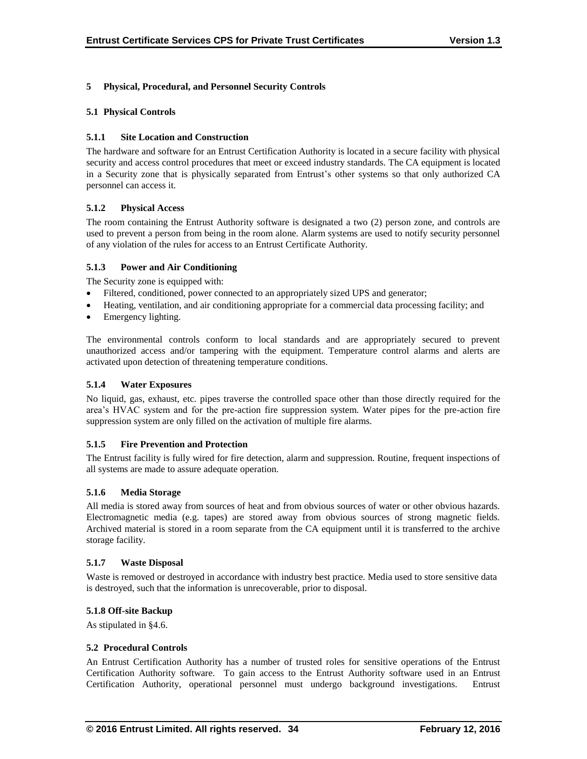# **5 Physical, Procedural, and Personnel Security Controls**

## **5.1 Physical Controls**

## **5.1.1 Site Location and Construction**

The hardware and software for an Entrust Certification Authority is located in a secure facility with physical security and access control procedures that meet or exceed industry standards. The CA equipment is located in a Security zone that is physically separated from Entrust's other systems so that only authorized CA personnel can access it.

# **5.1.2 Physical Access**

The room containing the Entrust Authority software is designated a two (2) person zone, and controls are used to prevent a person from being in the room alone. Alarm systems are used to notify security personnel of any violation of the rules for access to an Entrust Certificate Authority.

# **5.1.3 Power and Air Conditioning**

The Security zone is equipped with:

- Filtered, conditioned, power connected to an appropriately sized UPS and generator;
- Heating, ventilation, and air conditioning appropriate for a commercial data processing facility; and
- Emergency lighting.

The environmental controls conform to local standards and are appropriately secured to prevent unauthorized access and/or tampering with the equipment. Temperature control alarms and alerts are activated upon detection of threatening temperature conditions.

## **5.1.4 Water Exposures**

No liquid, gas, exhaust, etc. pipes traverse the controlled space other than those directly required for the area's HVAC system and for the pre-action fire suppression system. Water pipes for the pre-action fire suppression system are only filled on the activation of multiple fire alarms.

## **5.1.5 Fire Prevention and Protection**

The Entrust facility is fully wired for fire detection, alarm and suppression. Routine, frequent inspections of all systems are made to assure adequate operation.

## **5.1.6 Media Storage**

All media is stored away from sources of heat and from obvious sources of water or other obvious hazards. Electromagnetic media (e.g. tapes) are stored away from obvious sources of strong magnetic fields. Archived material is stored in a room separate from the CA equipment until it is transferred to the archive storage facility.

## **5.1.7 Waste Disposal**

Waste is removed or destroyed in accordance with industry best practice. Media used to store sensitive data is destroyed, such that the information is unrecoverable, prior to disposal.

## **5.1.8 Off-site Backup**

As stipulated in §4.6.

## **5.2 Procedural Controls**

An Entrust Certification Authority has a number of trusted roles for sensitive operations of the Entrust Certification Authority software. To gain access to the Entrust Authority software used in an Entrust Certification Authority, operational personnel must undergo background investigations. Entrust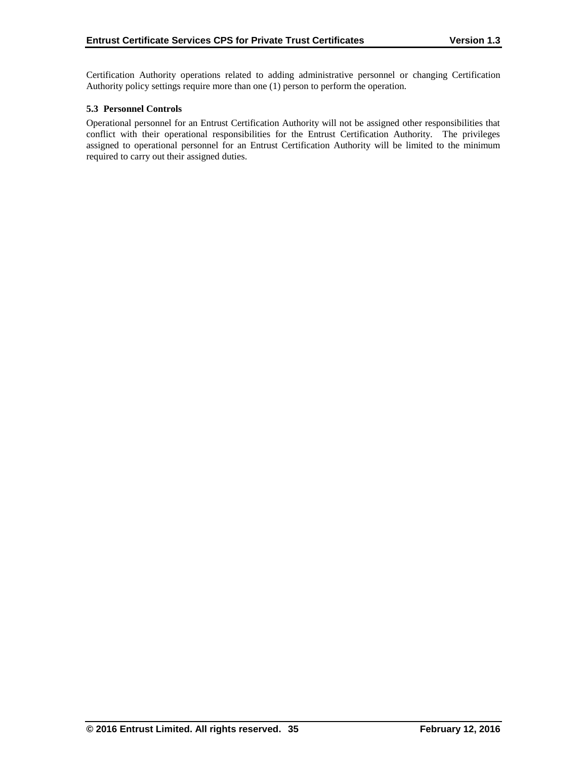Certification Authority operations related to adding administrative personnel or changing Certification Authority policy settings require more than one (1) person to perform the operation.

## **5.3 Personnel Controls**

Operational personnel for an Entrust Certification Authority will not be assigned other responsibilities that conflict with their operational responsibilities for the Entrust Certification Authority. The privileges assigned to operational personnel for an Entrust Certification Authority will be limited to the minimum required to carry out their assigned duties.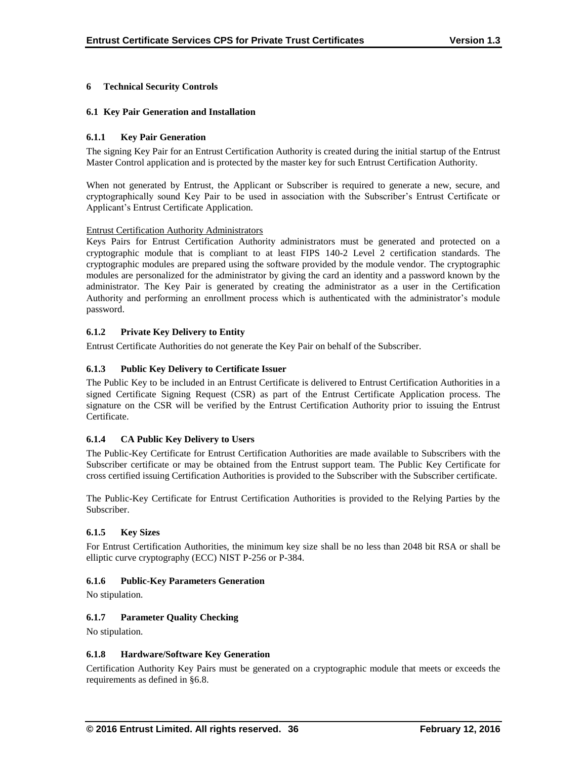# **6 Technical Security Controls**

## **6.1 Key Pair Generation and Installation**

## **6.1.1 Key Pair Generation**

The signing Key Pair for an Entrust Certification Authority is created during the initial startup of the Entrust Master Control application and is protected by the master key for such Entrust Certification Authority.

When not generated by Entrust, the Applicant or Subscriber is required to generate a new, secure, and cryptographically sound Key Pair to be used in association with the Subscriber's Entrust Certificate or Applicant's Entrust Certificate Application.

## Entrust Certification Authority Administrators

Keys Pairs for Entrust Certification Authority administrators must be generated and protected on a cryptographic module that is compliant to at least FIPS 140-2 Level 2 certification standards. The cryptographic modules are prepared using the software provided by the module vendor. The cryptographic modules are personalized for the administrator by giving the card an identity and a password known by the administrator. The Key Pair is generated by creating the administrator as a user in the Certification Authority and performing an enrollment process which is authenticated with the administrator's module password.

# **6.1.2 Private Key Delivery to Entity**

Entrust Certificate Authorities do not generate the Key Pair on behalf of the Subscriber.

# **6.1.3 Public Key Delivery to Certificate Issuer**

The Public Key to be included in an Entrust Certificate is delivered to Entrust Certification Authorities in a signed Certificate Signing Request (CSR) as part of the Entrust Certificate Application process. The signature on the CSR will be verified by the Entrust Certification Authority prior to issuing the Entrust Certificate.

# **6.1.4 CA Public Key Delivery to Users**

The Public-Key Certificate for Entrust Certification Authorities are made available to Subscribers with the Subscriber certificate or may be obtained from the Entrust support team. The Public Key Certificate for cross certified issuing Certification Authorities is provided to the Subscriber with the Subscriber certificate.

The Public-Key Certificate for Entrust Certification Authorities is provided to the Relying Parties by the Subscriber.

## **6.1.5 Key Sizes**

For Entrust Certification Authorities, the minimum key size shall be no less than 2048 bit RSA or shall be elliptic curve cryptography (ECC) NIST P-256 or P-384.

## **6.1.6 Public-Key Parameters Generation**

No stipulation.

# **6.1.7 Parameter Quality Checking**

No stipulation.

## **6.1.8 Hardware/Software Key Generation**

Certification Authority Key Pairs must be generated on a cryptographic module that meets or exceeds the requirements as defined in §6.8.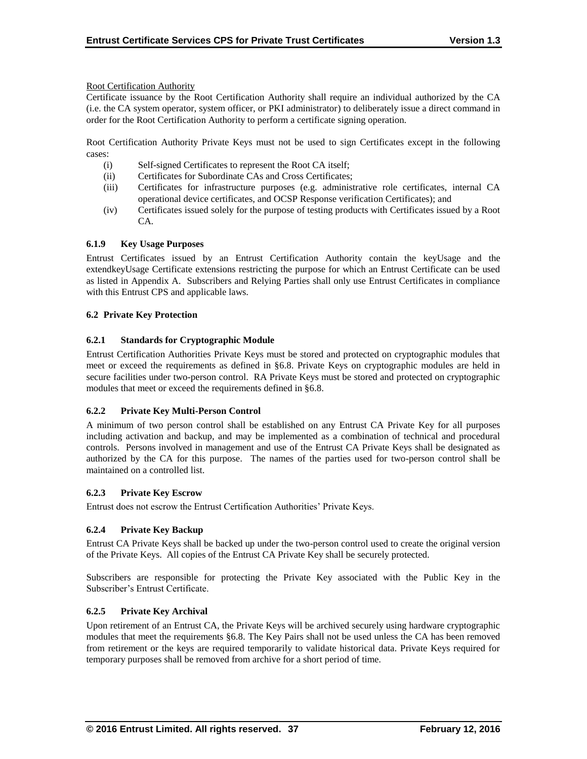Root Certification Authority

Certificate issuance by the Root Certification Authority shall require an individual authorized by the CA (i.e. the CA system operator, system officer, or PKI administrator) to deliberately issue a direct command in order for the Root Certification Authority to perform a certificate signing operation.

Root Certification Authority Private Keys must not be used to sign Certificates except in the following cases:

- (i) Self-signed Certificates to represent the Root CA itself;
- (ii) Certificates for Subordinate CAs and Cross Certificates;
- (iii) Certificates for infrastructure purposes (e.g. administrative role certificates, internal CA operational device certificates, and OCSP Response verification Certificates); and
- (iv) Certificates issued solely for the purpose of testing products with Certificates issued by a Root CA.

# **6.1.9 Key Usage Purposes**

Entrust Certificates issued by an Entrust Certification Authority contain the keyUsage and the extendkeyUsage Certificate extensions restricting the purpose for which an Entrust Certificate can be used as listed in Appendix A. Subscribers and Relying Parties shall only use Entrust Certificates in compliance with this Entrust CPS and applicable laws.

## **6.2 Private Key Protection**

# **6.2.1 Standards for Cryptographic Module**

Entrust Certification Authorities Private Keys must be stored and protected on cryptographic modules that meet or exceed the requirements as defined in §6.8. Private Keys on cryptographic modules are held in secure facilities under two-person control. RA Private Keys must be stored and protected on cryptographic modules that meet or exceed the requirements defined in §6.8.

## **6.2.2 Private Key Multi-Person Control**

A minimum of two person control shall be established on any Entrust CA Private Key for all purposes including activation and backup, and may be implemented as a combination of technical and procedural controls. Persons involved in management and use of the Entrust CA Private Keys shall be designated as authorized by the CA for this purpose. The names of the parties used for two-person control shall be maintained on a controlled list.

## **6.2.3 Private Key Escrow**

Entrust does not escrow the Entrust Certification Authorities' Private Keys.

# **6.2.4 Private Key Backup**

Entrust CA Private Keys shall be backed up under the two-person control used to create the original version of the Private Keys. All copies of the Entrust CA Private Key shall be securely protected.

Subscribers are responsible for protecting the Private Key associated with the Public Key in the Subscriber's Entrust Certificate.

## **6.2.5 Private Key Archival**

Upon retirement of an Entrust CA, the Private Keys will be archived securely using hardware cryptographic modules that meet the requirements §6.8. The Key Pairs shall not be used unless the CA has been removed from retirement or the keys are required temporarily to validate historical data. Private Keys required for temporary purposes shall be removed from archive for a short period of time.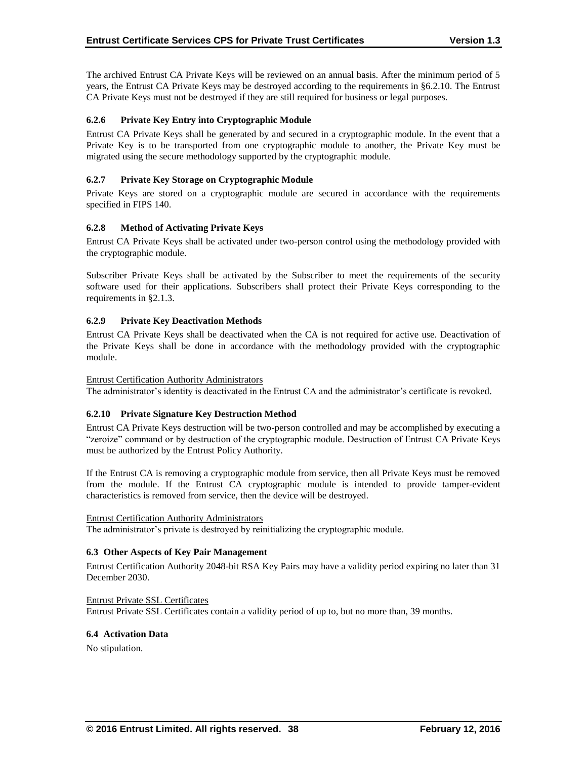The archived Entrust CA Private Keys will be reviewed on an annual basis. After the minimum period of 5 years, the Entrust CA Private Keys may be destroyed according to the requirements in §6.2.10. The Entrust CA Private Keys must not be destroyed if they are still required for business or legal purposes.

# **6.2.6 Private Key Entry into Cryptographic Module**

Entrust CA Private Keys shall be generated by and secured in a cryptographic module. In the event that a Private Key is to be transported from one cryptographic module to another, the Private Key must be migrated using the secure methodology supported by the cryptographic module.

# **6.2.7 Private Key Storage on Cryptographic Module**

Private Keys are stored on a cryptographic module are secured in accordance with the requirements specified in FIPS 140.

# **6.2.8 Method of Activating Private Keys**

Entrust CA Private Keys shall be activated under two-person control using the methodology provided with the cryptographic module.

Subscriber Private Keys shall be activated by the Subscriber to meet the requirements of the security software used for their applications. Subscribers shall protect their Private Keys corresponding to the requirements in §2.1.3.

# **6.2.9 Private Key Deactivation Methods**

Entrust CA Private Keys shall be deactivated when the CA is not required for active use. Deactivation of the Private Keys shall be done in accordance with the methodology provided with the cryptographic module.

## Entrust Certification Authority Administrators

The administrator's identity is deactivated in the Entrust CA and the administrator's certificate is revoked.

## **6.2.10 Private Signature Key Destruction Method**

Entrust CA Private Keys destruction will be two-person controlled and may be accomplished by executing a "zeroize" command or by destruction of the cryptographic module. Destruction of Entrust CA Private Keys must be authorized by the Entrust Policy Authority.

If the Entrust CA is removing a cryptographic module from service, then all Private Keys must be removed from the module. If the Entrust CA cryptographic module is intended to provide tamper-evident characteristics is removed from service, then the device will be destroyed.

## Entrust Certification Authority Administrators

The administrator's private is destroyed by reinitializing the cryptographic module.

## **6.3 Other Aspects of Key Pair Management**

Entrust Certification Authority 2048-bit RSA Key Pairs may have a validity period expiring no later than 31 December 2030.

Entrust Private SSL Certificates Entrust Private SSL Certificates contain a validity period of up to, but no more than, 39 months.

## **6.4 Activation Data**

No stipulation.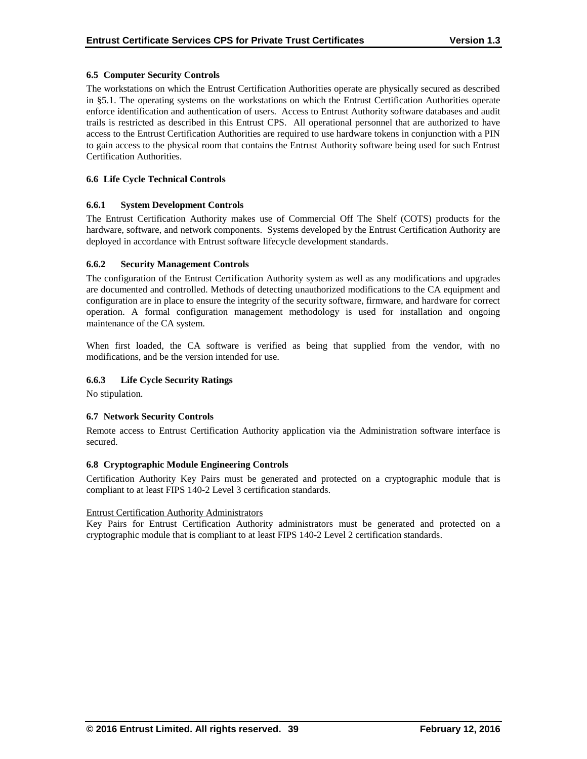## **6.5 Computer Security Controls**

The workstations on which the Entrust Certification Authorities operate are physically secured as described in §5.1. The operating systems on the workstations on which the Entrust Certification Authorities operate enforce identification and authentication of users. Access to Entrust Authority software databases and audit trails is restricted as described in this Entrust CPS. All operational personnel that are authorized to have access to the Entrust Certification Authorities are required to use hardware tokens in conjunction with a PIN to gain access to the physical room that contains the Entrust Authority software being used for such Entrust Certification Authorities.

## **6.6 Life Cycle Technical Controls**

#### **6.6.1 System Development Controls**

The Entrust Certification Authority makes use of Commercial Off The Shelf (COTS) products for the hardware, software, and network components. Systems developed by the Entrust Certification Authority are deployed in accordance with Entrust software lifecycle development standards.

#### **6.6.2 Security Management Controls**

The configuration of the Entrust Certification Authority system as well as any modifications and upgrades are documented and controlled. Methods of detecting unauthorized modifications to the CA equipment and configuration are in place to ensure the integrity of the security software, firmware, and hardware for correct operation. A formal configuration management methodology is used for installation and ongoing maintenance of the CA system.

When first loaded, the CA software is verified as being that supplied from the vendor, with no modifications, and be the version intended for use.

## **6.6.3 Life Cycle Security Ratings**

No stipulation.

## **6.7 Network Security Controls**

Remote access to Entrust Certification Authority application via the Administration software interface is secured.

#### **6.8 Cryptographic Module Engineering Controls**

Certification Authority Key Pairs must be generated and protected on a cryptographic module that is compliant to at least FIPS 140-2 Level 3 certification standards.

#### Entrust Certification Authority Administrators

Key Pairs for Entrust Certification Authority administrators must be generated and protected on a cryptographic module that is compliant to at least FIPS 140-2 Level 2 certification standards.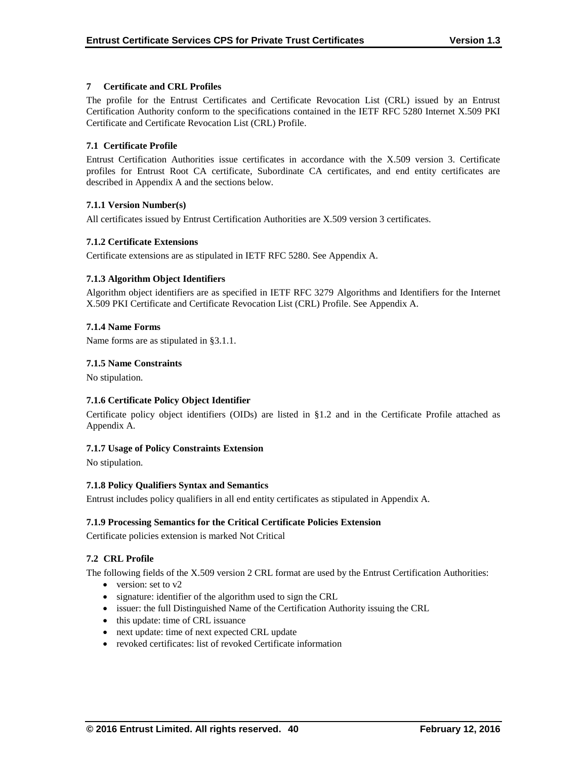## **7 Certificate and CRL Profiles**

The profile for the Entrust Certificates and Certificate Revocation List (CRL) issued by an Entrust Certification Authority conform to the specifications contained in the IETF RFC 5280 Internet X.509 PKI Certificate and Certificate Revocation List (CRL) Profile.

# **7.1 Certificate Profile**

Entrust Certification Authorities issue certificates in accordance with the X.509 version 3. Certificate profiles for Entrust Root CA certificate, Subordinate CA certificates, and end entity certificates are described in Appendix A and the sections below.

# **7.1.1 Version Number(s)**

All certificates issued by Entrust Certification Authorities are X.509 version 3 certificates.

# **7.1.2 Certificate Extensions**

Certificate extensions are as stipulated in IETF RFC 5280. See Appendix A.

# **7.1.3 Algorithm Object Identifiers**

Algorithm object identifiers are as specified in IETF RFC 3279 Algorithms and Identifiers for the Internet X.509 PKI Certificate and Certificate Revocation List (CRL) Profile. See Appendix A.

# **7.1.4 Name Forms**

Name forms are as stipulated in §3.1.1.

# **7.1.5 Name Constraints**

No stipulation.

# **7.1.6 Certificate Policy Object Identifier**

Certificate policy object identifiers (OIDs) are listed in §1.2 and in the Certificate Profile attached as Appendix A.

## **7.1.7 Usage of Policy Constraints Extension**

No stipulation.

## **7.1.8 Policy Qualifiers Syntax and Semantics**

Entrust includes policy qualifiers in all end entity certificates as stipulated in Appendix A.

## **7.1.9 Processing Semantics for the Critical Certificate Policies Extension**

Certificate policies extension is marked Not Critical

# **7.2 CRL Profile**

The following fields of the X.509 version 2 CRL format are used by the Entrust Certification Authorities:

- version: set to  $v2$
- signature: identifier of the algorithm used to sign the CRL
- issuer: the full Distinguished Name of the Certification Authority issuing the CRL
- this update: time of CRL issuance
- next update: time of next expected CRL update
- revoked certificates: list of revoked Certificate information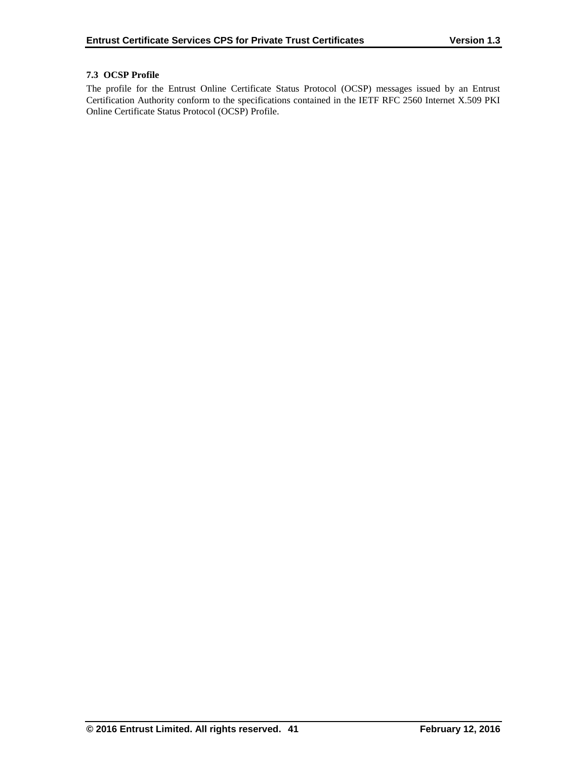# **7.3 OCSP Profile**

The profile for the Entrust Online Certificate Status Protocol (OCSP) messages issued by an Entrust Certification Authority conform to the specifications contained in the IETF RFC 2560 Internet X.509 PKI Online Certificate Status Protocol (OCSP) Profile.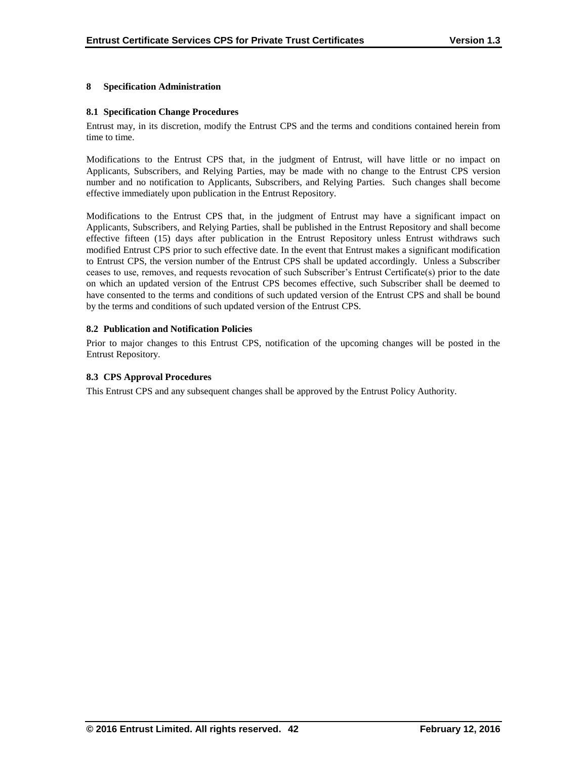## **8 Specification Administration**

## **8.1 Specification Change Procedures**

Entrust may, in its discretion, modify the Entrust CPS and the terms and conditions contained herein from time to time.

Modifications to the Entrust CPS that, in the judgment of Entrust, will have little or no impact on Applicants, Subscribers, and Relying Parties, may be made with no change to the Entrust CPS version number and no notification to Applicants, Subscribers, and Relying Parties. Such changes shall become effective immediately upon publication in the Entrust Repository.

Modifications to the Entrust CPS that, in the judgment of Entrust may have a significant impact on Applicants, Subscribers, and Relying Parties, shall be published in the Entrust Repository and shall become effective fifteen (15) days after publication in the Entrust Repository unless Entrust withdraws such modified Entrust CPS prior to such effective date. In the event that Entrust makes a significant modification to Entrust CPS, the version number of the Entrust CPS shall be updated accordingly. Unless a Subscriber ceases to use, removes, and requests revocation of such Subscriber's Entrust Certificate(s) prior to the date on which an updated version of the Entrust CPS becomes effective, such Subscriber shall be deemed to have consented to the terms and conditions of such updated version of the Entrust CPS and shall be bound by the terms and conditions of such updated version of the Entrust CPS.

# **8.2 Publication and Notification Policies**

Prior to major changes to this Entrust CPS, notification of the upcoming changes will be posted in the Entrust Repository.

## **8.3 CPS Approval Procedures**

This Entrust CPS and any subsequent changes shall be approved by the Entrust Policy Authority.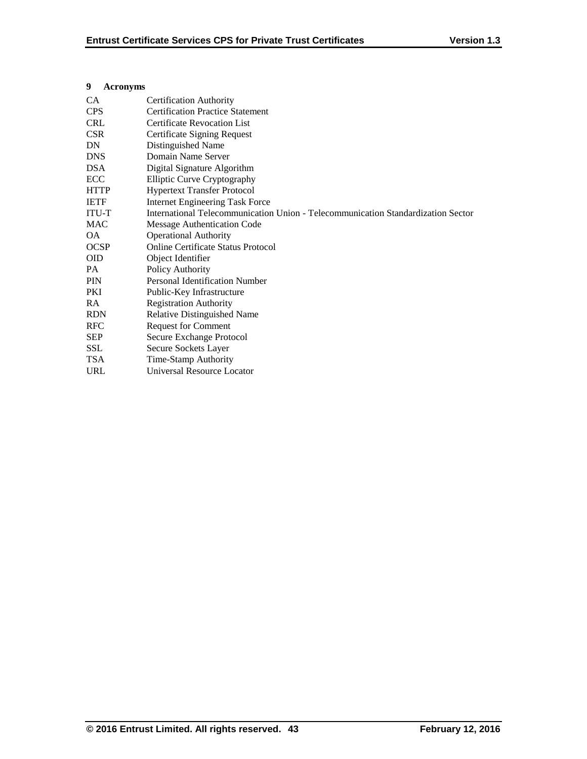| У<br>Acronyms |                                                                                  |
|---------------|----------------------------------------------------------------------------------|
| CA.           | <b>Certification Authority</b>                                                   |
| <b>CPS</b>    | <b>Certification Practice Statement</b>                                          |
| <b>CRL</b>    | <b>Certificate Revocation List</b>                                               |
| <b>CSR</b>    | Certificate Signing Request                                                      |
| DN            | Distinguished Name                                                               |
| <b>DNS</b>    | Domain Name Server                                                               |
| <b>DSA</b>    | Digital Signature Algorithm                                                      |
| <b>ECC</b>    | <b>Elliptic Curve Cryptography</b>                                               |
| <b>HTTP</b>   | <b>Hypertext Transfer Protocol</b>                                               |
| <b>IETF</b>   | <b>Internet Engineering Task Force</b>                                           |
| <b>ITU-T</b>  | International Telecommunication Union - Telecommunication Standardization Sector |
| <b>MAC</b>    | <b>Message Authentication Code</b>                                               |
| OA.           | <b>Operational Authority</b>                                                     |
| <b>OCSP</b>   | <b>Online Certificate Status Protocol</b>                                        |
| <b>OID</b>    | Object Identifier                                                                |
| PA.           | Policy Authority                                                                 |
| <b>PIN</b>    | Personal Identification Number                                                   |
| PKI           | Public-Key Infrastructure                                                        |
| RA.           | <b>Registration Authority</b>                                                    |
| <b>RDN</b>    | <b>Relative Distinguished Name</b>                                               |
| <b>RFC</b>    | <b>Request for Comment</b>                                                       |
| <b>SEP</b>    | Secure Exchange Protocol                                                         |
| <b>SSL</b>    | Secure Sockets Layer                                                             |
| <b>TSA</b>    | Time-Stamp Authority                                                             |
| <b>URL</b>    | Universal Resource Locator                                                       |
|               |                                                                                  |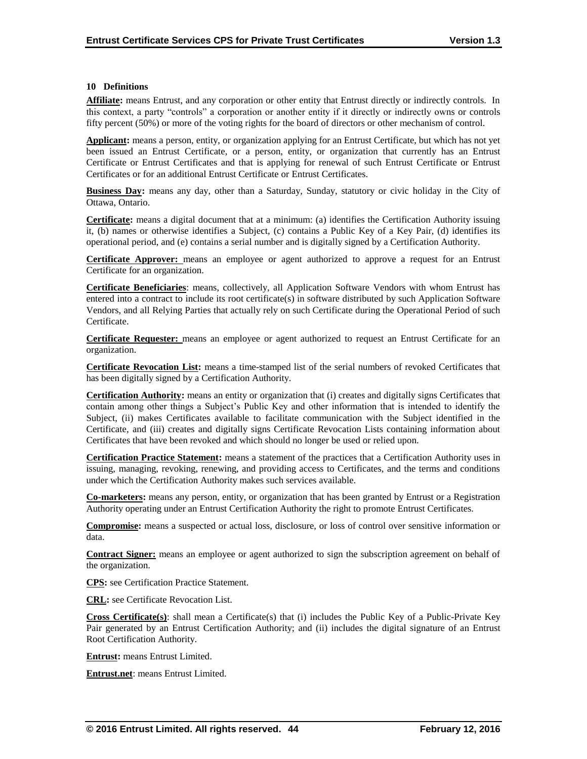#### **10 Definitions**

**Affiliate:** means Entrust, and any corporation or other entity that Entrust directly or indirectly controls. In this context, a party "controls" a corporation or another entity if it directly or indirectly owns or controls fifty percent (50%) or more of the voting rights for the board of directors or other mechanism of control.

**Applicant:** means a person, entity, or organization applying for an Entrust Certificate, but which has not yet been issued an Entrust Certificate, or a person, entity, or organization that currently has an Entrust Certificate or Entrust Certificates and that is applying for renewal of such Entrust Certificate or Entrust Certificates or for an additional Entrust Certificate or Entrust Certificates.

**Business Day:** means any day, other than a Saturday, Sunday, statutory or civic holiday in the City of Ottawa, Ontario.

**Certificate:** means a digital document that at a minimum: (a) identifies the Certification Authority issuing it, (b) names or otherwise identifies a Subject, (c) contains a Public Key of a Key Pair, (d) identifies its operational period, and (e) contains a serial number and is digitally signed by a Certification Authority.

**Certificate Approver:** means an employee or agent authorized to approve a request for an Entrust Certificate for an organization.

**Certificate Beneficiaries**: means, collectively, all Application Software Vendors with whom Entrust has entered into a contract to include its root certificate(s) in software distributed by such Application Software Vendors, and all Relying Parties that actually rely on such Certificate during the Operational Period of such Certificate.

**Certificate Requester:** means an employee or agent authorized to request an Entrust Certificate for an organization.

**Certificate Revocation List:** means a time-stamped list of the serial numbers of revoked Certificates that has been digitally signed by a Certification Authority.

**Certification Authority:** means an entity or organization that (i) creates and digitally signs Certificates that contain among other things a Subject's Public Key and other information that is intended to identify the Subject, (ii) makes Certificates available to facilitate communication with the Subject identified in the Certificate, and (iii) creates and digitally signs Certificate Revocation Lists containing information about Certificates that have been revoked and which should no longer be used or relied upon.

**Certification Practice Statement:** means a statement of the practices that a Certification Authority uses in issuing, managing, revoking, renewing, and providing access to Certificates, and the terms and conditions under which the Certification Authority makes such services available.

**Co-marketers:** means any person, entity, or organization that has been granted by Entrust or a Registration Authority operating under an Entrust Certification Authority the right to promote Entrust Certificates.

**Compromise:** means a suspected or actual loss, disclosure, or loss of control over sensitive information or data.

**Contract Signer:** means an employee or agent authorized to sign the subscription agreement on behalf of the organization.

**CPS:** see Certification Practice Statement.

**CRL:** see Certificate Revocation List.

**Cross Certificate(s)**: shall mean a Certificate(s) that (i) includes the Public Key of a Public-Private Key Pair generated by an Entrust Certification Authority; and (ii) includes the digital signature of an Entrust Root Certification Authority.

**Entrust:** means Entrust Limited.

**Entrust.net**: means Entrust Limited.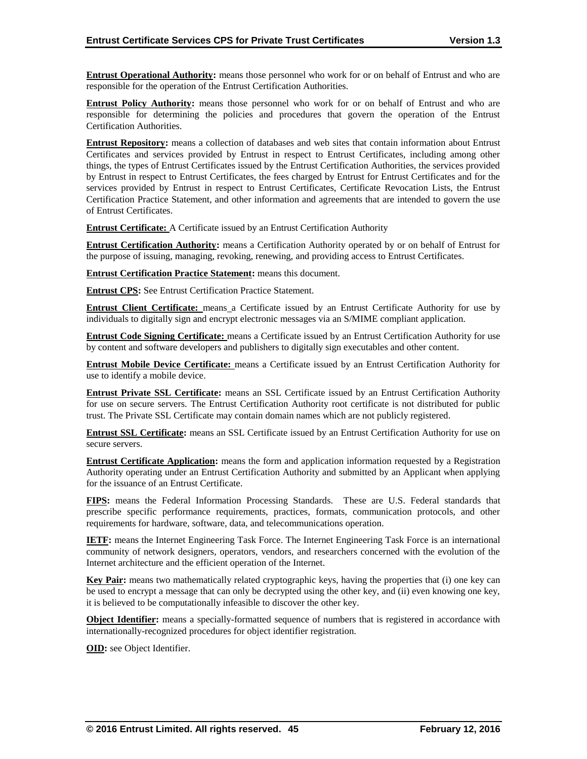**Entrust Operational Authority:** means those personnel who work for or on behalf of Entrust and who are responsible for the operation of the Entrust Certification Authorities.

**Entrust Policy Authority:** means those personnel who work for or on behalf of Entrust and who are responsible for determining the policies and procedures that govern the operation of the Entrust Certification Authorities.

**Entrust Repository:** means a collection of databases and web sites that contain information about Entrust Certificates and services provided by Entrust in respect to Entrust Certificates, including among other things, the types of Entrust Certificates issued by the Entrust Certification Authorities, the services provided by Entrust in respect to Entrust Certificates, the fees charged by Entrust for Entrust Certificates and for the services provided by Entrust in respect to Entrust Certificates, Certificate Revocation Lists, the Entrust Certification Practice Statement, and other information and agreements that are intended to govern the use of Entrust Certificates.

**Entrust Certificate:** A Certificate issued by an Entrust Certification Authority

**Entrust Certification Authority:** means a Certification Authority operated by or on behalf of Entrust for the purpose of issuing, managing, revoking, renewing, and providing access to Entrust Certificates.

**Entrust Certification Practice Statement:** means this document.

**Entrust CPS:** See Entrust Certification Practice Statement.

**Entrust Client Certificate:** means a Certificate issued by an Entrust Certificate Authority for use by individuals to digitally sign and encrypt electronic messages via an S/MIME compliant application.

**Entrust Code Signing Certificate:** means a Certificate issued by an Entrust Certification Authority for use by content and software developers and publishers to digitally sign executables and other content.

**Entrust Mobile Device Certificate:** means a Certificate issued by an Entrust Certification Authority for use to identify a mobile device.

**Entrust Private SSL Certificate:** means an SSL Certificate issued by an Entrust Certification Authority for use on secure servers. The Entrust Certification Authority root certificate is not distributed for public trust. The Private SSL Certificate may contain domain names which are not publicly registered.

**Entrust SSL Certificate:** means an SSL Certificate issued by an Entrust Certification Authority for use on secure servers.

**Entrust Certificate Application:** means the form and application information requested by a Registration Authority operating under an Entrust Certification Authority and submitted by an Applicant when applying for the issuance of an Entrust Certificate.

**FIPS:** means the Federal Information Processing Standards. These are U.S. Federal standards that prescribe specific performance requirements, practices, formats, communication protocols, and other requirements for hardware, software, data, and telecommunications operation.

**IETF:** means the Internet Engineering Task Force. The Internet Engineering Task Force is an international community of network designers, operators, vendors, and researchers concerned with the evolution of the Internet architecture and the efficient operation of the Internet.

**Key Pair:** means two mathematically related cryptographic keys, having the properties that (i) one key can be used to encrypt a message that can only be decrypted using the other key, and (ii) even knowing one key, it is believed to be computationally infeasible to discover the other key.

**Object Identifier:** means a specially-formatted sequence of numbers that is registered in accordance with internationally-recognized procedures for object identifier registration.

**OID:** see Object Identifier.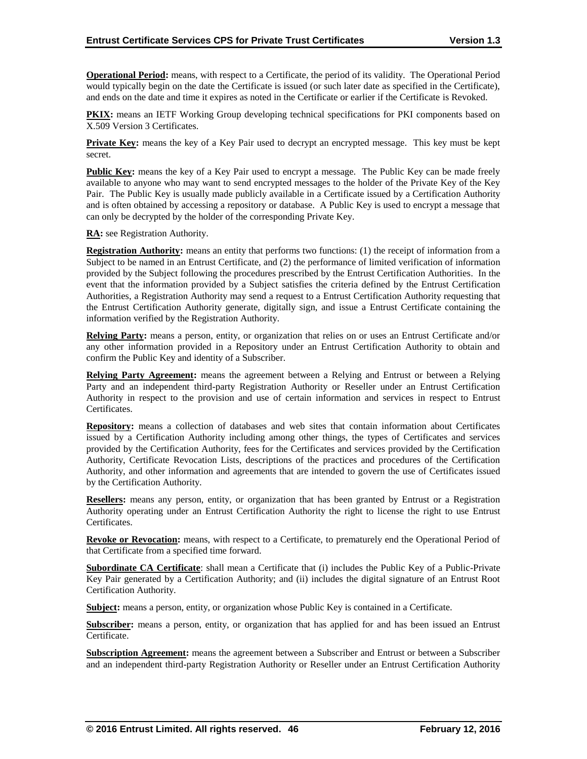**Operational Period:** means, with respect to a Certificate, the period of its validity. The Operational Period would typically begin on the date the Certificate is issued (or such later date as specified in the Certificate), and ends on the date and time it expires as noted in the Certificate or earlier if the Certificate is Revoked.

**PKIX:** means an IETF Working Group developing technical specifications for PKI components based on X.509 Version 3 Certificates.

**Private Key:** means the key of a Key Pair used to decrypt an encrypted message. This key must be kept secret.

**Public Key:** means the key of a Key Pair used to encrypt a message. The Public Key can be made freely available to anyone who may want to send encrypted messages to the holder of the Private Key of the Key Pair. The Public Key is usually made publicly available in a Certificate issued by a Certification Authority and is often obtained by accessing a repository or database. A Public Key is used to encrypt a message that can only be decrypted by the holder of the corresponding Private Key.

**RA:** see Registration Authority.

**Registration Authority:** means an entity that performs two functions: (1) the receipt of information from a Subject to be named in an Entrust Certificate, and (2) the performance of limited verification of information provided by the Subject following the procedures prescribed by the Entrust Certification Authorities. In the event that the information provided by a Subject satisfies the criteria defined by the Entrust Certification Authorities, a Registration Authority may send a request to a Entrust Certification Authority requesting that the Entrust Certification Authority generate, digitally sign, and issue a Entrust Certificate containing the information verified by the Registration Authority.

**Relying Party:** means a person, entity, or organization that relies on or uses an Entrust Certificate and/or any other information provided in a Repository under an Entrust Certification Authority to obtain and confirm the Public Key and identity of a Subscriber.

**Relying Party Agreement:** means the agreement between a Relying and Entrust or between a Relying Party and an independent third-party Registration Authority or Reseller under an Entrust Certification Authority in respect to the provision and use of certain information and services in respect to Entrust Certificates.

**Repository:** means a collection of databases and web sites that contain information about Certificates issued by a Certification Authority including among other things, the types of Certificates and services provided by the Certification Authority, fees for the Certificates and services provided by the Certification Authority, Certificate Revocation Lists, descriptions of the practices and procedures of the Certification Authority, and other information and agreements that are intended to govern the use of Certificates issued by the Certification Authority.

**Resellers:** means any person, entity, or organization that has been granted by Entrust or a Registration Authority operating under an Entrust Certification Authority the right to license the right to use Entrust Certificates.

**Revoke or Revocation:** means, with respect to a Certificate, to prematurely end the Operational Period of that Certificate from a specified time forward.

**Subordinate CA Certificate**: shall mean a Certificate that (i) includes the Public Key of a Public-Private Key Pair generated by a Certification Authority; and (ii) includes the digital signature of an Entrust Root Certification Authority.

**Subject:** means a person, entity, or organization whose Public Key is contained in a Certificate.

**Subscriber:** means a person, entity, or organization that has applied for and has been issued an Entrust Certificate.

**Subscription Agreement:** means the agreement between a Subscriber and Entrust or between a Subscriber and an independent third-party Registration Authority or Reseller under an Entrust Certification Authority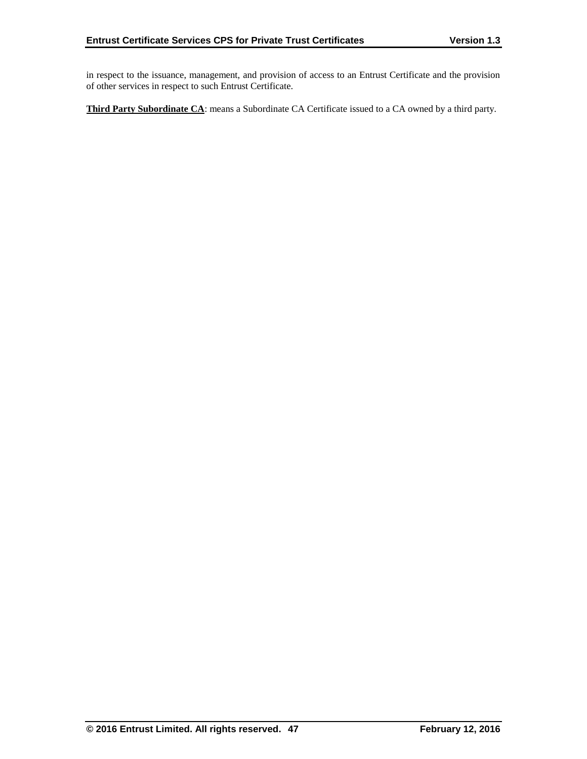in respect to the issuance, management, and provision of access to an Entrust Certificate and the provision of other services in respect to such Entrust Certificate.

**Third Party Subordinate CA**: means a Subordinate CA Certificate issued to a CA owned by a third party.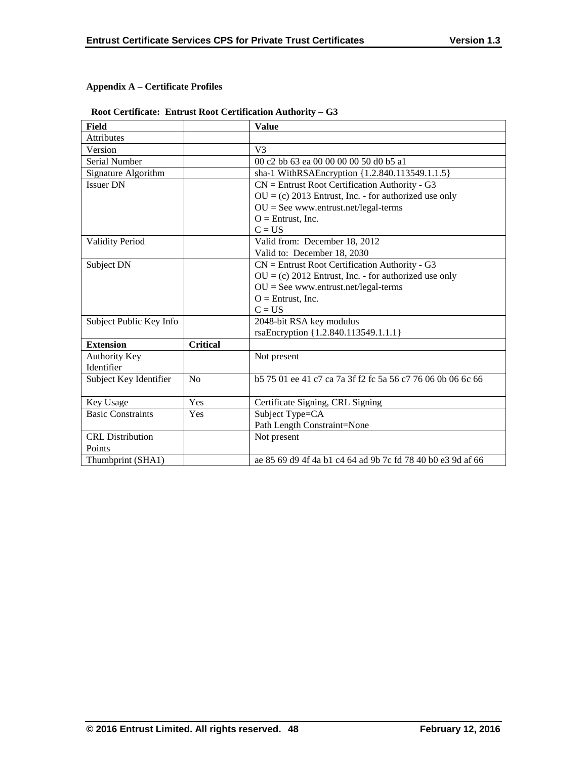# **Appendix A – Certificate Profiles**

# **Root Certificate: Entrust Root Certification Authority – G3**

| Field                    |                 | <b>Value</b>                                                |
|--------------------------|-----------------|-------------------------------------------------------------|
| <b>Attributes</b>        |                 |                                                             |
| Version                  |                 | V <sub>3</sub>                                              |
| Serial Number            |                 | 00 c2 bb 63 ea 00 00 00 00 50 d0 b5 a1                      |
| Signature Algorithm      |                 | sha-1 WithRSAEncryption {1.2.840.113549.1.1.5}              |
| <b>Issuer DN</b>         |                 | $CN =$ Entrust Root Certification Authority - G3            |
|                          |                 | $OU = (c) 2013$ Entrust, Inc. - for authorized use only     |
|                          |                 | $OU = See$ www.entrust.net/legal-terms                      |
|                          |                 | $O =$ Entrust, Inc.                                         |
|                          |                 | $C = US$                                                    |
| <b>Validity Period</b>   |                 | Valid from: December 18, 2012                               |
|                          |                 | Valid to: December 18, 2030                                 |
| Subject DN               |                 | $CN =$ Entrust Root Certification Authority - G3            |
|                          |                 | $OU = (c) 2012$ Entrust, Inc. - for authorized use only     |
|                          |                 | $OU = See$ www.entrust.net/legal-terms                      |
|                          |                 | $O =$ Entrust, Inc.                                         |
|                          |                 | $C = US$                                                    |
| Subject Public Key Info  |                 | 2048-bit RSA key modulus                                    |
|                          |                 | rsaEncryption {1.2.840.113549.1.1.1}                        |
| <b>Extension</b>         | <b>Critical</b> |                                                             |
| <b>Authority Key</b>     |                 | Not present                                                 |
| Identifier               |                 |                                                             |
| Subject Key Identifier   | No              | b 575 01 ee 41 c7 ca 7a 3f f2 fc 5a 56 c7 76 06 0b 06 6c 66 |
|                          |                 |                                                             |
| Key Usage                | Yes             | Certificate Signing, CRL Signing                            |
| <b>Basic Constraints</b> | Yes             | Subject Type=CA                                             |
|                          |                 | Path Length Constraint=None                                 |
| <b>CRL</b> Distribution  |                 | Not present                                                 |
| Points                   |                 |                                                             |
| Thumbprint (SHA1)        |                 | ae 85 69 d9 4f 4a b1 c4 64 ad 9b 7c fd 78 40 b0 e3 9d af 66 |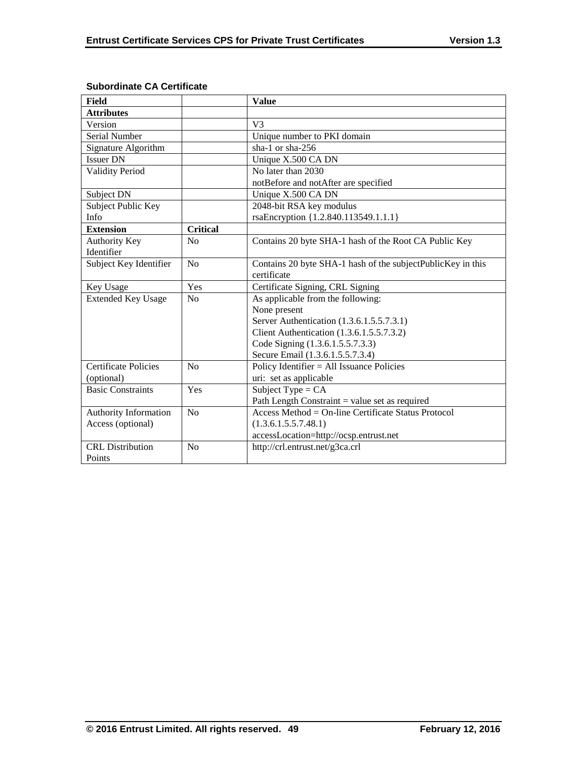| Field                       |                 | <b>Value</b>                                                |
|-----------------------------|-----------------|-------------------------------------------------------------|
| <b>Attributes</b>           |                 |                                                             |
| Version                     |                 | V <sub>3</sub>                                              |
| Serial Number               |                 | Unique number to PKI domain                                 |
| Signature Algorithm         |                 | sha-1 or sha- $256$                                         |
| <b>Issuer DN</b>            |                 | Unique X.500 CA DN                                          |
| <b>Validity Period</b>      |                 | No later than 2030                                          |
|                             |                 | notBefore and notAfter are specified                        |
| Subject DN                  |                 | Unique X.500 CA DN                                          |
| Subject Public Key          |                 | 2048-bit RSA key modulus                                    |
| Info                        |                 | rsaEncryption {1.2.840.113549.1.1.1}                        |
| <b>Extension</b>            | <b>Critical</b> |                                                             |
| <b>Authority Key</b>        | No              | Contains 20 byte SHA-1 hash of the Root CA Public Key       |
| Identifier                  |                 |                                                             |
| Subject Key Identifier      | No              | Contains 20 byte SHA-1 hash of the subjectPublicKey in this |
|                             |                 | certificate                                                 |
| Key Usage                   | Yes             | Certificate Signing, CRL Signing                            |
| <b>Extended Key Usage</b>   | N <sub>o</sub>  | As applicable from the following:                           |
|                             |                 | None present                                                |
|                             |                 | Server Authentication (1.3.6.1.5.5.7.3.1)                   |
|                             |                 | Client Authentication (1.3.6.1.5.5.7.3.2)                   |
|                             |                 | Code Signing (1.3.6.1.5.5.7.3.3)                            |
|                             |                 | Secure Email (1.3.6.1.5.5.7.3.4)                            |
| <b>Certificate Policies</b> | No              | Policy Identifier $=$ All Issuance Policies                 |
| (optional)                  |                 | uri: set as applicable                                      |
| <b>Basic Constraints</b>    | Yes             | Subject Type = $CA$                                         |
|                             |                 | Path Length Constraint $=$ value set as required            |
| Authority Information       | No              | Access Method = $On$ -line Certificate Status Protocol      |
| Access (optional)           |                 | (1.3.6.1.5.5.7.48.1)                                        |
|                             |                 | accessLocation=http://ocsp.entrust.net                      |
| <b>CRL</b> Distribution     | No              | http://crl.entrust.net/g3ca.crl                             |
| Points                      |                 |                                                             |

# **Subordinate CA Certificate**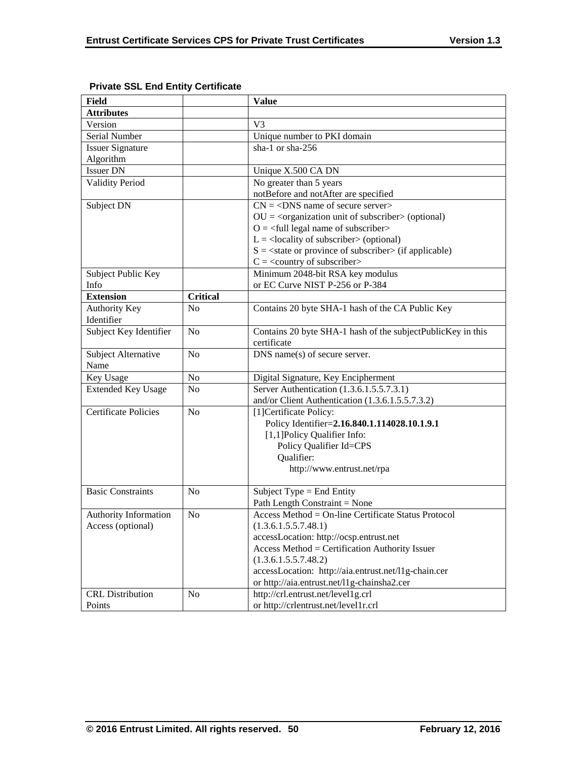| <b>Field</b>                |                 | <b>Value</b>                                                           |
|-----------------------------|-----------------|------------------------------------------------------------------------|
| <b>Attributes</b>           |                 |                                                                        |
| Version                     |                 | V <sub>3</sub>                                                         |
| Serial Number               |                 | Unique number to PKI domain                                            |
| <b>Issuer Signature</b>     |                 | sha-1 or sha-256                                                       |
| Algorithm                   |                 |                                                                        |
| <b>Issuer DN</b>            |                 | Unique X.500 CA DN                                                     |
| <b>Validity Period</b>      |                 | No greater than 5 years                                                |
|                             |                 | notBefore and notAfter are specified                                   |
| Subject DN                  |                 | $CN = <$ DNS name of secure server>                                    |
|                             |                 | $OU = corganization unit of subscripter > (optional)$                  |
|                             |                 | $O = \left\langle \text{full legal name of subscripter} \right\rangle$ |
|                             |                 | $L =$ <locality of="" subscriber=""> (optional)</locality>             |
|                             |                 | $S = \text{state or province of subscriber} > (if applicable)$         |
|                             |                 | $C = \langle$ country of subscriber>                                   |
| Subject Public Key          |                 | Minimum 2048-bit RSA key modulus                                       |
| Info                        |                 | or EC Curve NIST P-256 or P-384                                        |
| <b>Extension</b>            | <b>Critical</b> |                                                                        |
| <b>Authority Key</b>        | N <sub>o</sub>  | Contains 20 byte SHA-1 hash of the CA Public Key                       |
| Identifier                  |                 |                                                                        |
| Subject Key Identifier      | N <sub>o</sub>  | Contains 20 byte SHA-1 hash of the subjectPublicKey in this            |
|                             |                 | certificate                                                            |
| Subject Alternative         | N <sub>o</sub>  | DNS name(s) of secure server.                                          |
| Name                        |                 |                                                                        |
| Key Usage                   | No              | Digital Signature, Key Encipherment                                    |
| <b>Extended Key Usage</b>   | N <sub>0</sub>  | Server Authentication (1.3.6.1.5.5.7.3.1)                              |
|                             |                 | and/or Client Authentication (1.3.6.1.5.5.7.3.2)                       |
| <b>Certificate Policies</b> | N <sub>0</sub>  | [1] Certificate Policy:                                                |
|                             |                 | Policy Identifier=2.16.840.1.114028.10.1.9.1                           |
|                             |                 | [1,1] Policy Qualifier Info:                                           |
|                             |                 | Policy Qualifier Id=CPS                                                |
|                             |                 | Qualifier:                                                             |
|                             |                 | http://www.entrust.net/rpa                                             |
|                             |                 |                                                                        |
| <b>Basic Constraints</b>    | N <sub>0</sub>  | Subject Type $=$ End Entity                                            |
|                             |                 | Path Length Constraint = None                                          |
| Authority Information       | No              | Access Method = On-line Certificate Status Protocol                    |
| Access (optional)           |                 | (1.3.6.1.5.5.7.48.1)                                                   |
|                             |                 | accessLocation: http://ocsp.entrust.net                                |
|                             |                 | Access Method = Certification Authority Issuer                         |
|                             |                 | (1.3.6.1.5.5.7.48.2)                                                   |
|                             |                 | accessLocation: http://aia.entrust.net/l1g-chain.cer                   |
|                             |                 | or http://aia.entrust.net/11g-chainsha2.cer                            |
| <b>CRL</b> Distribution     | No              | http://crl.entrust.net/level1g.crl                                     |
| Points                      |                 | or http://crlentrust.net/level1r.crl                                   |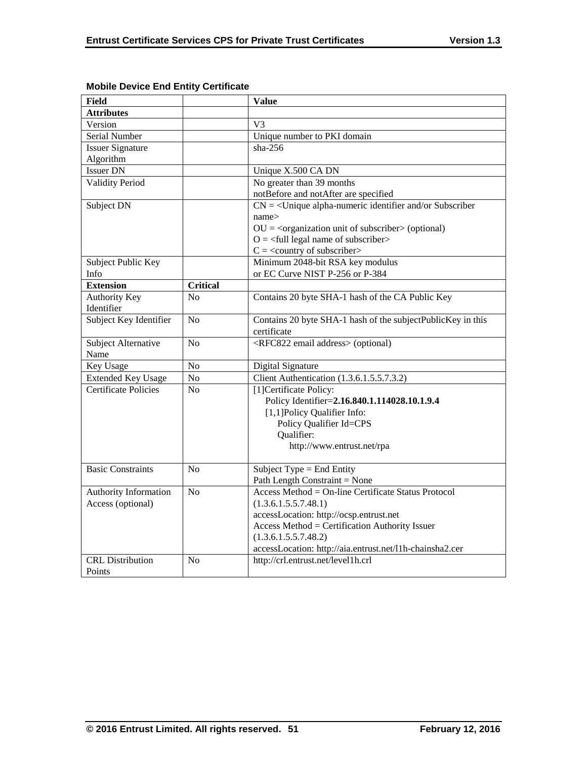| <b>Field</b>                |                 | <b>Value</b>                                                           |
|-----------------------------|-----------------|------------------------------------------------------------------------|
| <b>Attributes</b>           |                 |                                                                        |
| Version                     |                 | V <sub>3</sub>                                                         |
| Serial Number               |                 | Unique number to PKI domain                                            |
| <b>Issuer Signature</b>     |                 | $sha-256$                                                              |
| Algorithm                   |                 |                                                                        |
| <b>Issuer DN</b>            |                 | Unique X.500 CA DN                                                     |
| <b>Validity Period</b>      |                 | No greater than 39 months                                              |
|                             |                 | notBefore and notAfter are specified                                   |
| Subject DN                  |                 | $CN = \langle$ Unique alpha-numeric identifier and/or Subscriber       |
|                             |                 | name>                                                                  |
|                             |                 | $OU = corganization unit of subscriber > (optional)$                   |
|                             |                 | $O = \left\langle \text{full legal name of subscripter} \right\rangle$ |
|                             |                 | $C = \langle$ country of subscriber>                                   |
| Subject Public Key          |                 | Minimum 2048-bit RSA key modulus                                       |
| Info                        |                 | or EC Curve NIST P-256 or P-384                                        |
| <b>Extension</b>            | <b>Critical</b> |                                                                        |
| <b>Authority Key</b>        | N <sub>0</sub>  | Contains 20 byte SHA-1 hash of the CA Public Key                       |
| Identifier                  |                 |                                                                        |
| Subject Key Identifier      | N <sub>o</sub>  | Contains 20 byte SHA-1 hash of the subjectPublicKey in this            |
|                             |                 | certificate                                                            |
| Subject Alternative         | No              | <rfc822 address="" email=""> (optional)</rfc822>                       |
| Name                        |                 |                                                                        |
| Key Usage                   | N <sub>o</sub>  | Digital Signature                                                      |
| <b>Extended Key Usage</b>   | $\rm No$        | Client Authentication (1.3.6.1.5.5.7.3.2)                              |
| <b>Certificate Policies</b> | N <sub>0</sub>  | [1] Certificate Policy:                                                |
|                             |                 | Policy Identifier=2.16.840.1.114028.10.1.9.4                           |
|                             |                 | [1,1]Policy Qualifier Info:                                            |
|                             |                 | Policy Qualifier Id=CPS                                                |
|                             |                 | Qualifier:                                                             |
|                             |                 | http://www.entrust.net/rpa                                             |
|                             |                 |                                                                        |
| <b>Basic Constraints</b>    | N <sub>0</sub>  | Subject Type = End Entity                                              |
|                             |                 | Path Length Constraint = None                                          |
| Authority Information       | No              | Access Method = On-line Certificate Status Protocol                    |
| Access (optional)           |                 | (1.3.6.1.5.5.7.48.1)                                                   |
|                             |                 | accessLocation: http://ocsp.entrust.net                                |
|                             |                 | Access Method = Certification Authority Issuer                         |
|                             |                 | (1.3.6.1.5.5.7.48.2)                                                   |
|                             |                 | accessLocation: http://aia.entrust.net/l1h-chainsha2.cer               |
| <b>CRL</b> Distribution     | N <sub>o</sub>  | http://crl.entrust.net/level1h.crl                                     |
| Points                      |                 |                                                                        |

# **Mobile Device End Entity Certificate**